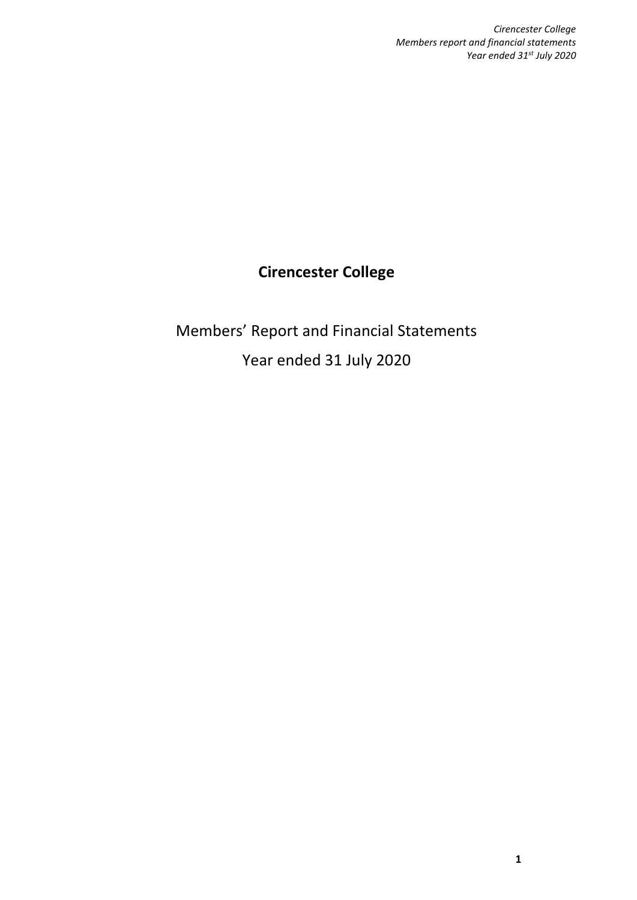# **Cirencester College**

Members' Report and Financial Statements Year ended 31 July 2020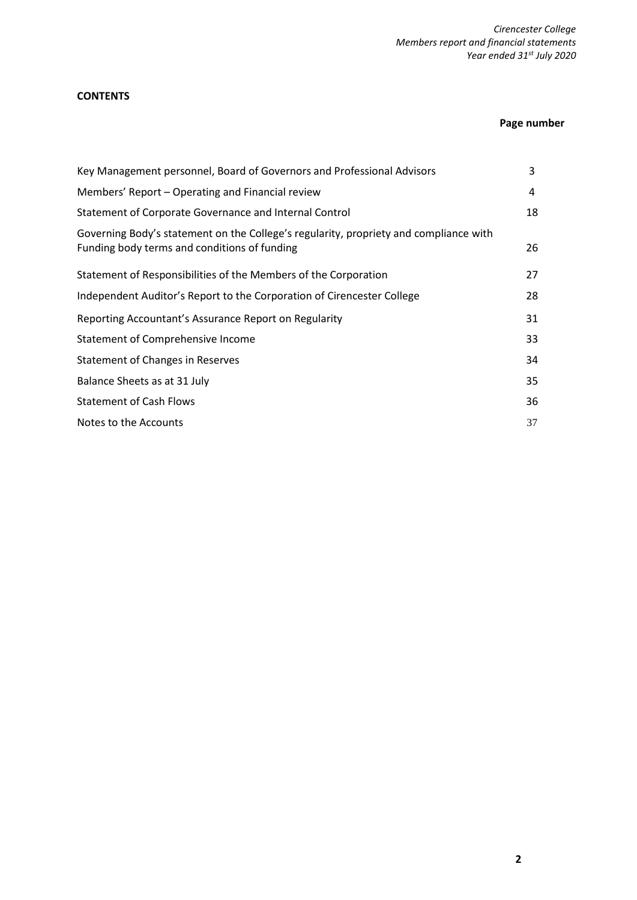# **CONTENTS**

# **Page number**

| Key Management personnel, Board of Governors and Professional Advisors                                                                | 3  |
|---------------------------------------------------------------------------------------------------------------------------------------|----|
| Members' Report – Operating and Financial review                                                                                      | 4  |
| Statement of Corporate Governance and Internal Control                                                                                | 18 |
| Governing Body's statement on the College's regularity, propriety and compliance with<br>Funding body terms and conditions of funding | 26 |
| Statement of Responsibilities of the Members of the Corporation                                                                       | 27 |
| Independent Auditor's Report to the Corporation of Cirencester College                                                                | 28 |
| Reporting Accountant's Assurance Report on Regularity                                                                                 | 31 |
| Statement of Comprehensive Income                                                                                                     | 33 |
| Statement of Changes in Reserves                                                                                                      | 34 |
| Balance Sheets as at 31 July                                                                                                          | 35 |
| <b>Statement of Cash Flows</b>                                                                                                        | 36 |
| Notes to the Accounts                                                                                                                 | 37 |
|                                                                                                                                       |    |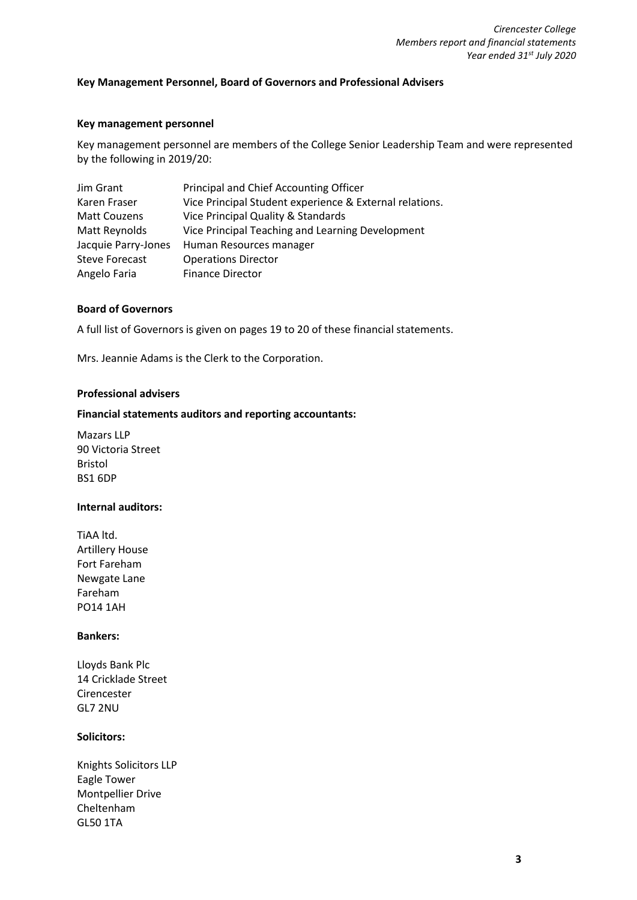# **Key Management Personnel, Board of Governors and Professional Advisers**

# **Key management personnel**

Key management personnel are members of the College Senior Leadership Team and were represented by the following in 2019/20:

| Jim Grant             | Principal and Chief Accounting Officer                  |
|-----------------------|---------------------------------------------------------|
| Karen Fraser          | Vice Principal Student experience & External relations. |
| <b>Matt Couzens</b>   | Vice Principal Quality & Standards                      |
| Matt Reynolds         | Vice Principal Teaching and Learning Development        |
| Jacquie Parry-Jones   | Human Resources manager                                 |
| <b>Steve Forecast</b> | <b>Operations Director</b>                              |
| Angelo Faria          | <b>Finance Director</b>                                 |

# **Board of Governors**

A full list of Governors is given on pages 19 to 20 of these financial statements.

Mrs. Jeannie Adams is the Clerk to the Corporation.

#### **Professional advisers**

## **Financial statements auditors and reporting accountants:**

Mazars LLP 90 Victoria Street Bristol BS1 6DP

# **Internal auditors:**

TiAA ltd. Artillery House Fort Fareham Newgate Lane Fareham PO14 1AH

#### **Bankers:**

Lloyds Bank Plc 14 Cricklade Street Cirencester GL7 2NU

# **Solicitors:**

Knights Solicitors LLP Eagle Tower Montpellier Drive Cheltenham GL50 1TA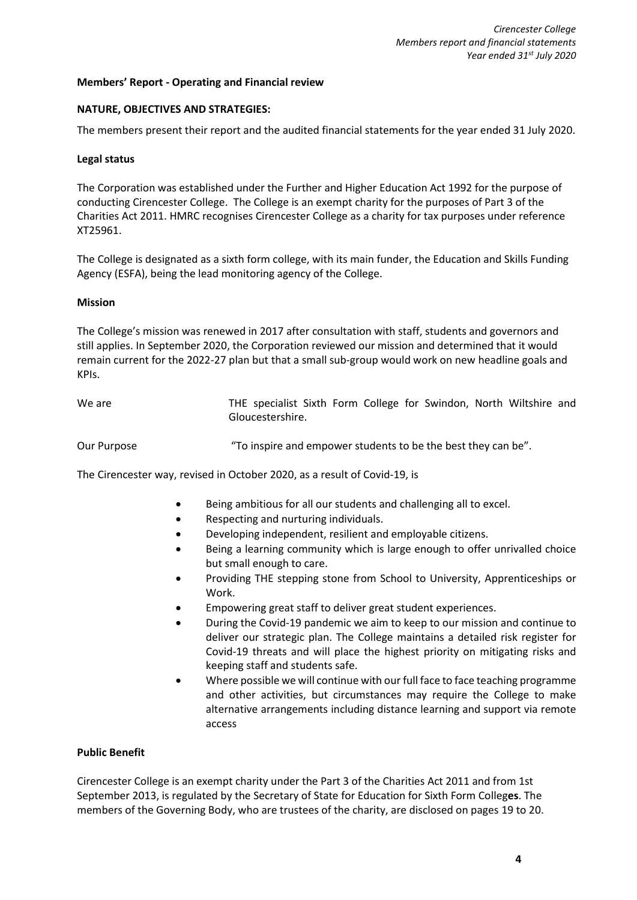#### **Members' Report - Operating and Financial review**

#### **NATURE, OBJECTIVES AND STRATEGIES:**

The members present their report and the audited financial statements for the year ended 31 July 2020.

#### **Legal status**

The Corporation was established under the Further and Higher Education Act 1992 for the purpose of conducting Cirencester College. The College is an exempt charity for the purposes of Part 3 of the Charities Act 2011. HMRC recognises Cirencester College as a charity for tax purposes under reference XT25961.

The College is designated as a sixth form college, with its main funder, the Education and Skills Funding Agency (ESFA), being the lead monitoring agency of the College.

#### **Mission**

The College's mission was renewed in 2017 after consultation with staff, students and governors and still applies. In September 2020, the Corporation reviewed our mission and determined that it would remain current for the 2022-27 plan but that a small sub-group would work on new headline goals and KPIs.

| We are      | THE specialist Sixth Form College for Swindon, North Wiltshire and<br>Gloucestershire. |
|-------------|----------------------------------------------------------------------------------------|
| Our Purpose | "To inspire and empower students to be the best they can be".                          |

The Cirencester way, revised in October 2020, as a result of Covid-19, is

- Being ambitious for all our students and challenging all to excel.
- Respecting and nurturing individuals.
- Developing independent, resilient and employable citizens.
- Being a learning community which is large enough to offer unrivalled choice but small enough to care.
- Providing THE stepping stone from School to University, Apprenticeships or Work.
- Empowering great staff to deliver great student experiences.
- During the Covid-19 pandemic we aim to keep to our mission and continue to deliver our strategic plan. The College maintains a detailed risk register for Covid-19 threats and will place the highest priority on mitigating risks and keeping staff and students safe.
- Where possible we will continue with our full face to face teaching programme and other activities, but circumstances may require the College to make alternative arrangements including distance learning and support via remote access

#### **Public Benefit**

Cirencester College is an exempt charity under the Part 3 of the Charities Act 2011 and from 1st September 2013, is regulated by the Secretary of State for Education for Sixth Form Colleg**es**. The members of the Governing Body, who are trustees of the charity, are disclosed on pages 19 to 20.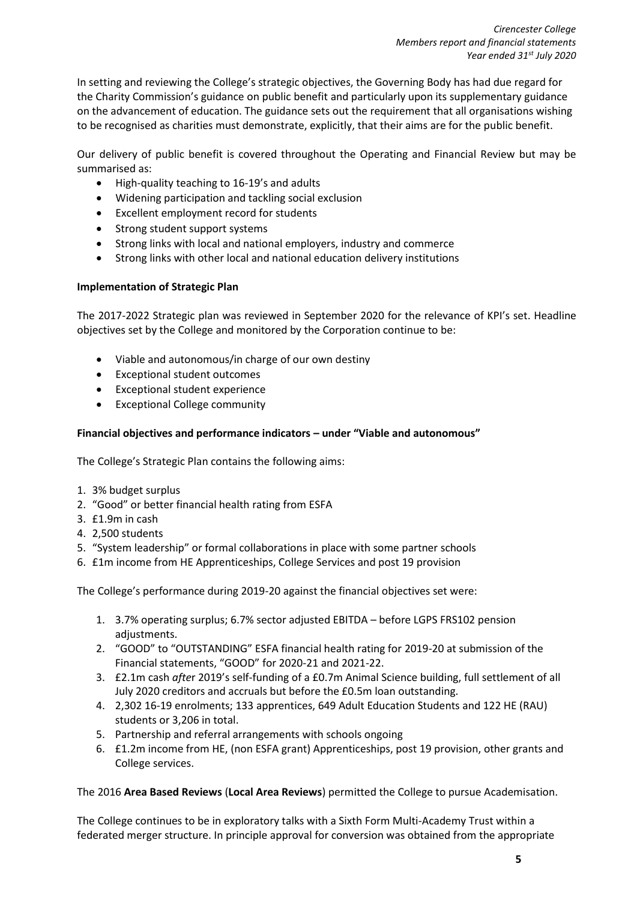In setting and reviewing the College's strategic objectives, the Governing Body has had due regard for the Charity Commission's guidance on public benefit and particularly upon its supplementary guidance on the advancement of education. The guidance sets out the requirement that all organisations wishing to be recognised as charities must demonstrate, explicitly, that their aims are for the public benefit.

Our delivery of public benefit is covered throughout the Operating and Financial Review but may be summarised as:

- High-quality teaching to 16-19's and adults
- Widening participation and tackling social exclusion
- Excellent employment record for students
- Strong student support systems
- Strong links with local and national employers, industry and commerce
- Strong links with other local and national education delivery institutions

# **Implementation of Strategic Plan**

The 2017-2022 Strategic plan was reviewed in September 2020 for the relevance of KPI's set. Headline objectives set by the College and monitored by the Corporation continue to be:

- Viable and autonomous/in charge of our own destiny
- Exceptional student outcomes
- Exceptional student experience
- Exceptional College community

# **Financial objectives and performance indicators – under "Viable and autonomous"**

The College's Strategic Plan contains the following aims:

- 1. 3% budget surplus
- 2. "Good" or better financial health rating from ESFA
- 3. £1.9m in cash
- 4. 2,500 students
- 5. "System leadership" or formal collaborations in place with some partner schools
- 6. £1m income from HE Apprenticeships, College Services and post 19 provision

The College's performance during 2019-20 against the financial objectives set were:

- 1. 3.7% operating surplus; 6.7% sector adjusted EBITDA before LGPS FRS102 pension adjustments.
- 2. "GOOD" to "OUTSTANDING" ESFA financial health rating for 2019-20 at submission of the Financial statements, "GOOD" for 2020-21 and 2021-22.
- 3. £2.1m cash *afte*r 2019's self-funding of a £0.7m Animal Science building, full settlement of all July 2020 creditors and accruals but before the £0.5m loan outstanding.
- 4. 2,302 16-19 enrolments; 133 apprentices, 649 Adult Education Students and 122 HE (RAU) students or 3,206 in total.
- 5. Partnership and referral arrangements with schools ongoing
- 6. £1.2m income from HE, (non ESFA grant) Apprenticeships, post 19 provision, other grants and College services.

The 2016 **Area Based Reviews** (**Local Area Reviews**) permitted the College to pursue Academisation.

The College continues to be in exploratory talks with a Sixth Form Multi-Academy Trust within a federated merger structure. In principle approval for conversion was obtained from the appropriate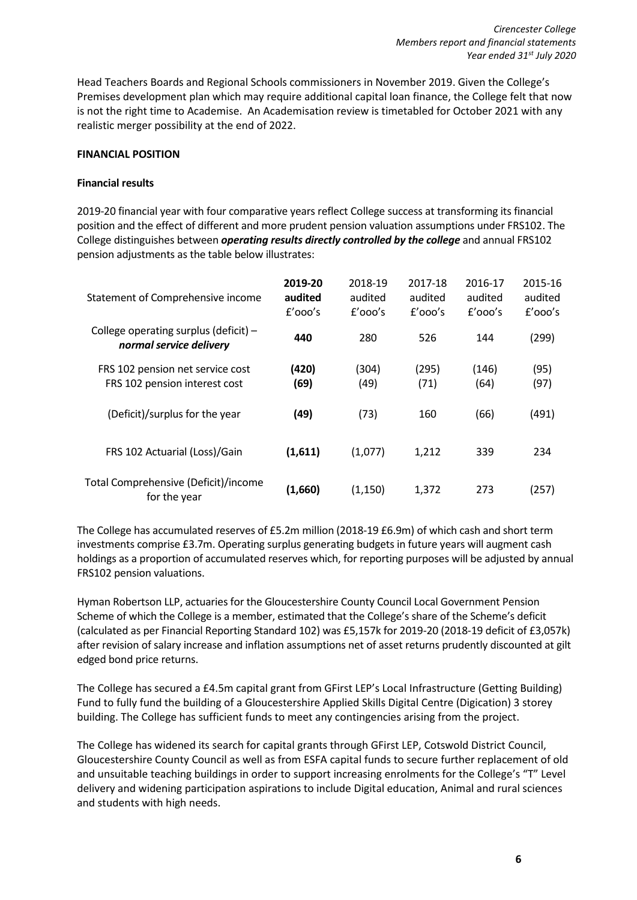Head Teachers Boards and Regional Schools commissioners in November 2019. Given the College's Premises development plan which may require additional capital loan finance, the College felt that now is not the right time to Academise. An Academisation review is timetabled for October 2021 with any realistic merger possibility at the end of 2022.

# **FINANCIAL POSITION**

# **Financial results**

2019-20 financial year with four comparative years reflect College success at transforming its financial position and the effect of different and more prudent pension valuation assumptions under FRS102. The College distinguishes between *operating results directly controlled by the college* and annual FRS102 pension adjustments as the table below illustrates:

| Statement of Comprehensive income                                  | 2019-20<br>audited<br>$f'$ 000's | 2018-19<br>audited<br>$f'$ 000's | 2017-18<br>audited<br>$f'$ 000's | 2016-17<br>audited<br>$f'$ 000's | 2015-16<br>audited<br>$f'$ 000's |
|--------------------------------------------------------------------|----------------------------------|----------------------------------|----------------------------------|----------------------------------|----------------------------------|
| College operating surplus (deficit) $-$<br>normal service delivery | 440                              | 280                              | 526                              | 144                              | (299)                            |
| FRS 102 pension net service cost<br>FRS 102 pension interest cost  | (420)<br>(69)                    | (304)<br>(49)                    | (295)<br>(71)                    | (146)<br>(64)                    | (95)<br>(97)                     |
| (Deficit)/surplus for the year                                     | (49)                             | (73)                             | 160                              | (66)                             | (491)                            |
| FRS 102 Actuarial (Loss)/Gain                                      | (1,611)                          | (1,077)                          | 1,212                            | 339                              | 234                              |
| Total Comprehensive (Deficit)/income<br>for the year               | (1,660)                          | (1, 150)                         | 1,372                            | 273                              | (257)                            |

The College has accumulated reserves of £5.2m million (2018-19 £6.9m) of which cash and short term investments comprise £3.7m. Operating surplus generating budgets in future years will augment cash holdings as a proportion of accumulated reserves which, for reporting purposes will be adjusted by annual FRS102 pension valuations.

Hyman Robertson LLP, actuaries for the Gloucestershire County Council Local Government Pension Scheme of which the College is a member, estimated that the College's share of the Scheme's deficit (calculated as per Financial Reporting Standard 102) was £5,157k for 2019-20 (2018-19 deficit of £3,057k) after revision of salary increase and inflation assumptions net of asset returns prudently discounted at gilt edged bond price returns.

The College has secured a £4.5m capital grant from GFirst LEP's Local Infrastructure (Getting Building) Fund to fully fund the building of a Gloucestershire Applied Skills Digital Centre (Digication) 3 storey building. The College has sufficient funds to meet any contingencies arising from the project.

The College has widened its search for capital grants through GFirst LEP, Cotswold District Council, Gloucestershire County Council as well as from ESFA capital funds to secure further replacement of old and unsuitable teaching buildings in order to support increasing enrolments for the College's "T" Level delivery and widening participation aspirations to include Digital education, Animal and rural sciences and students with high needs.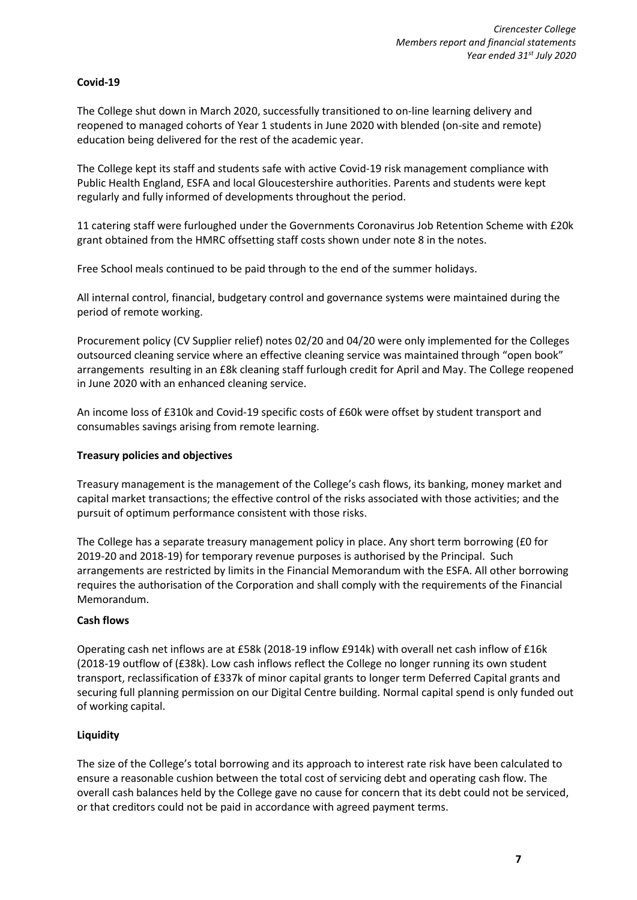# **Covid-19**

The College shut down in March 2020, successfully transitioned to on-line learning delivery and reopened to managed cohorts of Year 1 students in June 2020 with blended (on-site and remote) education being delivered for the rest of the academic year.

The College kept its staff and students safe with active Covid-19 risk management compliance with Public Health England, ESFA and local Gloucestershire authorities. Parents and students were kept regularly and fully informed of developments throughout the period.

11 catering staff were furloughed under the Governments Coronavirus Job Retention Scheme with £20k grant obtained from the HMRC offsetting staff costs shown under note 8 in the notes.

Free School meals continued to be paid through to the end of the summer holidays.

All internal control, financial, budgetary control and governance systems were maintained during the period of remote working.

Procurement policy (CV Supplier relief) notes 02/20 and 04/20 were only implemented for the Colleges outsourced cleaning service where an effective cleaning service was maintained through "open book" arrangements resulting in an £8k cleaning staff furlough credit for April and May. The College reopened in June 2020 with an enhanced cleaning service.

An income loss of £310k and Covid-19 specific costs of £60k were offset by student transport and consumables savings arising from remote learning.

# **Treasury policies and objectives**

Treasury management is the management of the College's cash flows, its banking, money market and capital market transactions; the effective control of the risks associated with those activities; and the pursuit of optimum performance consistent with those risks.

The College has a separate treasury management policy in place. Any short term borrowing (£0 for 2019-20 and 2018-19) for temporary revenue purposes is authorised by the Principal. Such arrangements are restricted by limits in the Financial Memorandum with the ESFA. All other borrowing requires the authorisation of the Corporation and shall comply with the requirements of the Financial Memorandum.

# **Cash flows**

Operating cash net inflows are at £58k (2018-19 inflow £914k) with overall net cash inflow of £16k (2018-19 outflow of (£38k). Low cash inflows reflect the College no longer running its own student transport, reclassification of £337k of minor capital grants to longer term Deferred Capital grants and securing full planning permission on our Digital Centre building. Normal capital spend is only funded out of working capital.

# **Liquidity**

The size of the College's total borrowing and its approach to interest rate risk have been calculated to ensure a reasonable cushion between the total cost of servicing debt and operating cash flow. The overall cash balances held by the College gave no cause for concern that its debt could not be serviced, or that creditors could not be paid in accordance with agreed payment terms.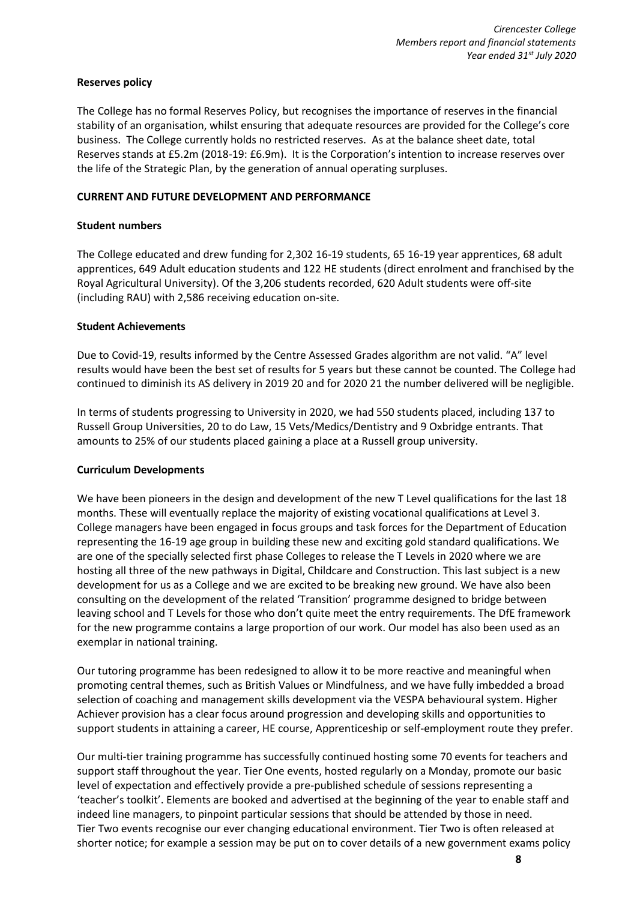# **Reserves policy**

The College has no formal Reserves Policy, but recognises the importance of reserves in the financial stability of an organisation, whilst ensuring that adequate resources are provided for the College's core business. The College currently holds no restricted reserves. As at the balance sheet date, total Reserves stands at £5.2m (2018-19: £6.9m). It is the Corporation's intention to increase reserves over the life of the Strategic Plan, by the generation of annual operating surpluses.

# **CURRENT AND FUTURE DEVELOPMENT AND PERFORMANCE**

# **Student numbers**

The College educated and drew funding for 2,302 16-19 students, 65 16-19 year apprentices, 68 adult apprentices, 649 Adult education students and 122 HE students (direct enrolment and franchised by the Royal Agricultural University). Of the 3,206 students recorded, 620 Adult students were off-site (including RAU) with 2,586 receiving education on-site.

# **Student Achievements**

Due to Covid-19, results informed by the Centre Assessed Grades algorithm are not valid. "A" level results would have been the best set of results for 5 years but these cannot be counted. The College had continued to diminish its AS delivery in 2019 20 and for 2020 21 the number delivered will be negligible.

In terms of students progressing to University in 2020, we had 550 students placed, including 137 to Russell Group Universities, 20 to do Law, 15 Vets/Medics/Dentistry and 9 Oxbridge entrants. That amounts to 25% of our students placed gaining a place at a Russell group university.

# **Curriculum Developments**

We have been pioneers in the design and development of the new T Level qualifications for the last 18 months. These will eventually replace the majority of existing vocational qualifications at Level 3. College managers have been engaged in focus groups and task forces for the Department of Education representing the 16-19 age group in building these new and exciting gold standard qualifications. We are one of the specially selected first phase Colleges to release the T Levels in 2020 where we are hosting all three of the new pathways in Digital, Childcare and Construction. This last subject is a new development for us as a College and we are excited to be breaking new ground. We have also been consulting on the development of the related 'Transition' programme designed to bridge between leaving school and T Levels for those who don't quite meet the entry requirements. The DfE framework for the new programme contains a large proportion of our work. Our model has also been used as an exemplar in national training.

Our tutoring programme has been redesigned to allow it to be more reactive and meaningful when promoting central themes, such as British Values or Mindfulness, and we have fully imbedded a broad selection of coaching and management skills development via the VESPA behavioural system. Higher Achiever provision has a clear focus around progression and developing skills and opportunities to support students in attaining a career, HE course, Apprenticeship or self-employment route they prefer.

Our multi-tier training programme has successfully continued hosting some 70 events for teachers and support staff throughout the year. Tier One events, hosted regularly on a Monday, promote our basic level of expectation and effectively provide a pre-published schedule of sessions representing a 'teacher's toolkit'. Elements are booked and advertised at the beginning of the year to enable staff and indeed line managers, to pinpoint particular sessions that should be attended by those in need. Tier Two events recognise our ever changing educational environment. Tier Two is often released at shorter notice; for example a session may be put on to cover details of a new government exams policy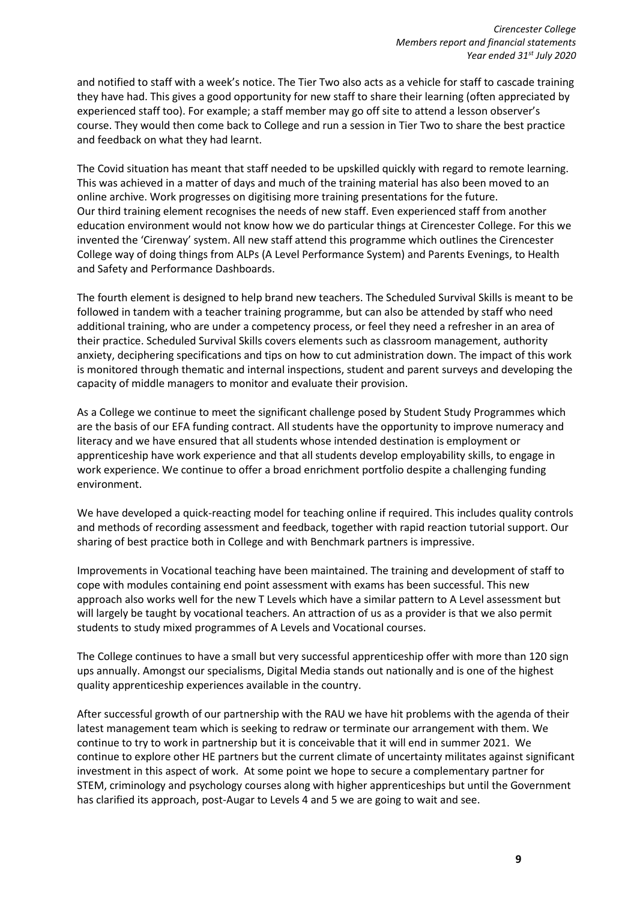and notified to staff with a week's notice. The Tier Two also acts as a vehicle for staff to cascade training they have had. This gives a good opportunity for new staff to share their learning (often appreciated by experienced staff too). For example; a staff member may go off site to attend a lesson observer's course. They would then come back to College and run a session in Tier Two to share the best practice and feedback on what they had learnt.

The Covid situation has meant that staff needed to be upskilled quickly with regard to remote learning. This was achieved in a matter of days and much of the training material has also been moved to an online archive. Work progresses on digitising more training presentations for the future. Our third training element recognises the needs of new staff. Even experienced staff from another education environment would not know how we do particular things at Cirencester College. For this we invented the 'Cirenway' system. All new staff attend this programme which outlines the Cirencester College way of doing things from ALPs (A Level Performance System) and Parents Evenings, to Health and Safety and Performance Dashboards.

The fourth element is designed to help brand new teachers. The Scheduled Survival Skills is meant to be followed in tandem with a teacher training programme, but can also be attended by staff who need additional training, who are under a competency process, or feel they need a refresher in an area of their practice. Scheduled Survival Skills covers elements such as classroom management, authority anxiety, deciphering specifications and tips on how to cut administration down. The impact of this work is monitored through thematic and internal inspections, student and parent surveys and developing the capacity of middle managers to monitor and evaluate their provision.

As a College we continue to meet the significant challenge posed by Student Study Programmes which are the basis of our EFA funding contract. All students have the opportunity to improve numeracy and literacy and we have ensured that all students whose intended destination is employment or apprenticeship have work experience and that all students develop employability skills, to engage in work experience. We continue to offer a broad enrichment portfolio despite a challenging funding environment.

We have developed a quick-reacting model for teaching online if required. This includes quality controls and methods of recording assessment and feedback, together with rapid reaction tutorial support. Our sharing of best practice both in College and with Benchmark partners is impressive.

Improvements in Vocational teaching have been maintained. The training and development of staff to cope with modules containing end point assessment with exams has been successful. This new approach also works well for the new T Levels which have a similar pattern to A Level assessment but will largely be taught by vocational teachers. An attraction of us as a provider is that we also permit students to study mixed programmes of A Levels and Vocational courses.

The College continues to have a small but very successful apprenticeship offer with more than 120 sign ups annually. Amongst our specialisms, Digital Media stands out nationally and is one of the highest quality apprenticeship experiences available in the country.

After successful growth of our partnership with the RAU we have hit problems with the agenda of their latest management team which is seeking to redraw or terminate our arrangement with them. We continue to try to work in partnership but it is conceivable that it will end in summer 2021. We continue to explore other HE partners but the current climate of uncertainty militates against significant investment in this aspect of work. At some point we hope to secure a complementary partner for STEM, criminology and psychology courses along with higher apprenticeships but until the Government has clarified its approach, post-Augar to Levels 4 and 5 we are going to wait and see.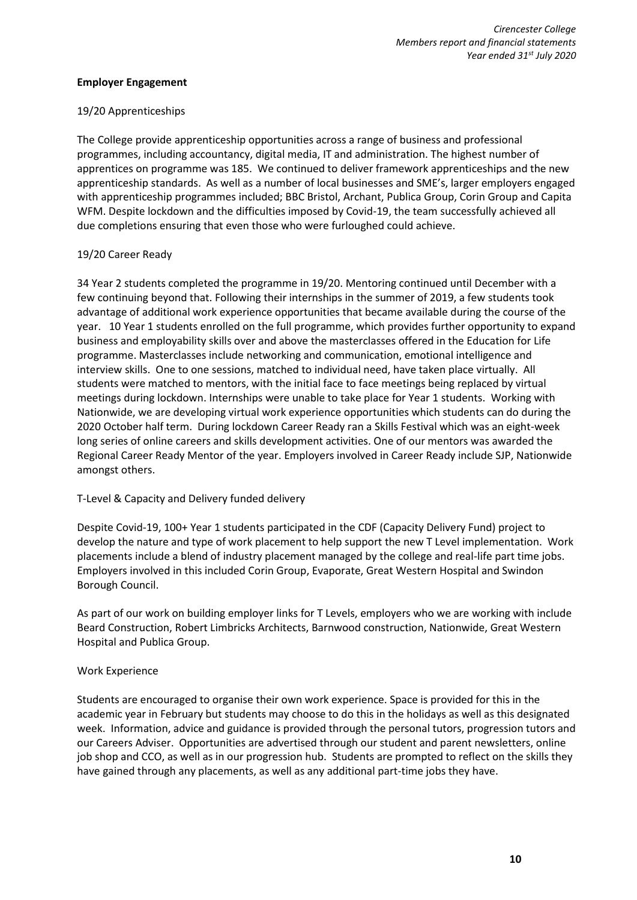# **Employer Engagement**

# 19/20 Apprenticeships

The College provide apprenticeship opportunities across a range of business and professional programmes, including accountancy, digital media, IT and administration. The highest number of apprentices on programme was 185. We continued to deliver framework apprenticeships and the new apprenticeship standards. As well as a number of local businesses and SME's, larger employers engaged with apprenticeship programmes included; BBC Bristol, Archant, Publica Group, Corin Group and Capita WFM. Despite lockdown and the difficulties imposed by Covid-19, the team successfully achieved all due completions ensuring that even those who were furloughed could achieve.

# 19/20 Career Ready

34 Year 2 students completed the programme in 19/20. Mentoring continued until December with a few continuing beyond that. Following their internships in the summer of 2019, a few students took advantage of additional work experience opportunities that became available during the course of the year. 10 Year 1 students enrolled on the full programme, which provides further opportunity to expand business and employability skills over and above the masterclasses offered in the Education for Life programme. Masterclasses include networking and communication, emotional intelligence and interview skills. One to one sessions, matched to individual need, have taken place virtually. All students were matched to mentors, with the initial face to face meetings being replaced by virtual meetings during lockdown. Internships were unable to take place for Year 1 students. Working with Nationwide, we are developing virtual work experience opportunities which students can do during the 2020 October half term. During lockdown Career Ready ran a Skills Festival which was an eight-week long series of online careers and skills development activities. One of our mentors was awarded the Regional Career Ready Mentor of the year. Employers involved in Career Ready include SJP, Nationwide amongst others.

# T-Level & Capacity and Delivery funded delivery

Despite Covid-19, 100+ Year 1 students participated in the CDF (Capacity Delivery Fund) project to develop the nature and type of work placement to help support the new T Level implementation. Work placements include a blend of industry placement managed by the college and real-life part time jobs. Employers involved in this included Corin Group, Evaporate, Great Western Hospital and Swindon Borough Council.

As part of our work on building employer links for T Levels, employers who we are working with include Beard Construction, Robert Limbricks Architects, Barnwood construction, Nationwide, Great Western Hospital and Publica Group.

# Work Experience

Students are encouraged to organise their own work experience. Space is provided for this in the academic year in February but students may choose to do this in the holidays as well as this designated week. Information, advice and guidance is provided through the personal tutors, progression tutors and our Careers Adviser. Opportunities are advertised through our student and parent newsletters, online job shop and CCO, as well as in our progression hub. Students are prompted to reflect on the skills they have gained through any placements, as well as any additional part-time jobs they have.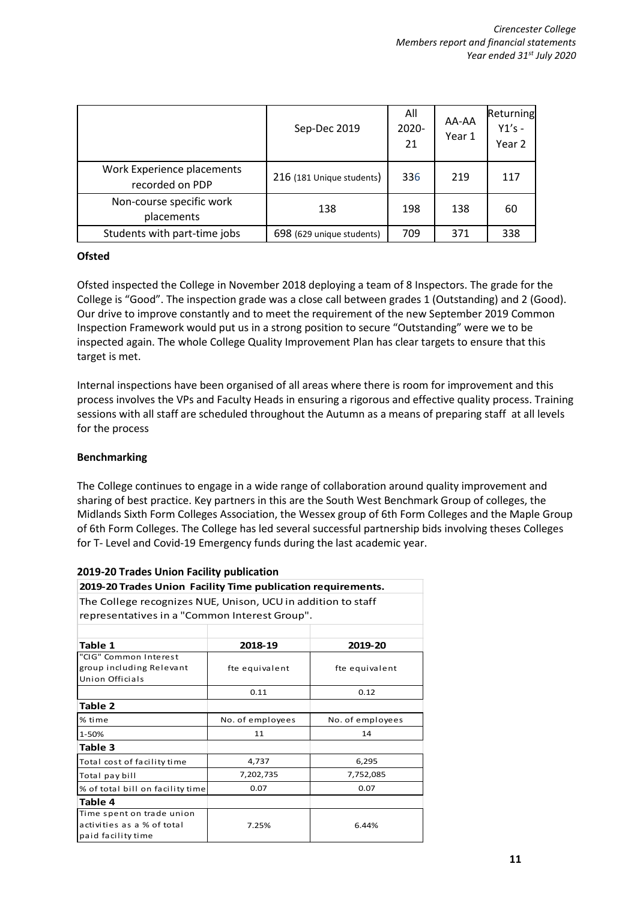|                                               | Sep-Dec 2019              | All<br>$2020 -$<br>21 | AA-AA<br>Year 1 | Returning<br>$Y1's -$<br>Year 2 |
|-----------------------------------------------|---------------------------|-----------------------|-----------------|---------------------------------|
| Work Experience placements<br>recorded on PDP | 216 (181 Unique students) | 336                   | 219             | 117                             |
| Non-course specific work<br>placements        | 138                       | 198                   | 138             | 60                              |
| Students with part-time jobs                  | 698 (629 unique students) | 709                   | 371             | 338                             |

# **Ofsted**

Ofsted inspected the College in November 2018 deploying a team of 8 Inspectors. The grade for the College is "Good". The inspection grade was a close call between grades 1 (Outstanding) and 2 (Good). Our drive to improve constantly and to meet the requirement of the new September 2019 Common Inspection Framework would put us in a strong position to secure "Outstanding" were we to be inspected again. The whole College Quality Improvement Plan has clear targets to ensure that this target is met.

Internal inspections have been organised of all areas where there is room for improvement and this process involves the VPs and Faculty Heads in ensuring a rigorous and effective quality process. Training sessions with all staff are scheduled throughout the Autumn as a means of preparing staff at all levels for the process

# **Benchmarking**

The College continues to engage in a wide range of collaboration around quality improvement and sharing of best practice. Key partners in this are the South West Benchmark Group of colleges, the Midlands Sixth Form Colleges Association, the Wessex group of 6th Form Colleges and the Maple Group of 6th Form Colleges. The College has led several successful partnership bids involving theses Colleges for T- Level and Covid-19 Emergency funds during the last academic year.

| 2019-20 Trages Officit Pacific publication                   |                  |                  |
|--------------------------------------------------------------|------------------|------------------|
| 2019-20 Trades Union Facility Time publication requirements. |                  |                  |
| The College recognizes NUE, Unison, UCU in addition to staff |                  |                  |
| representatives in a "Common Interest Group".                |                  |                  |
|                                                              |                  |                  |
| Table 1                                                      | 2018-19          | 2019-20          |
| "CIG" Common Interest                                        |                  |                  |
| group including Relevant<br>Union Officials                  | fte equivalent   | fte equivalent   |
|                                                              | 0.11             | 0.12             |
| Table 2                                                      |                  |                  |
| % time                                                       | No. of employees | No. of employees |
| 1-50%                                                        | 11               | 14               |
| Table 3                                                      |                  |                  |
| Total cost of facility time                                  | 4,737            | 6,295            |
| Total pay bill                                               | 7,202,735        | 7,752,085        |
| % of total bill on facility time                             | 0.07             | 0.07             |
| Table 4                                                      |                  |                  |
| Time spent on trade union                                    |                  |                  |
| activities as a % of total                                   | 7.25%            | 6.44%            |
| paid facility time                                           |                  |                  |

# **2019-20 Trades Union Facility publication**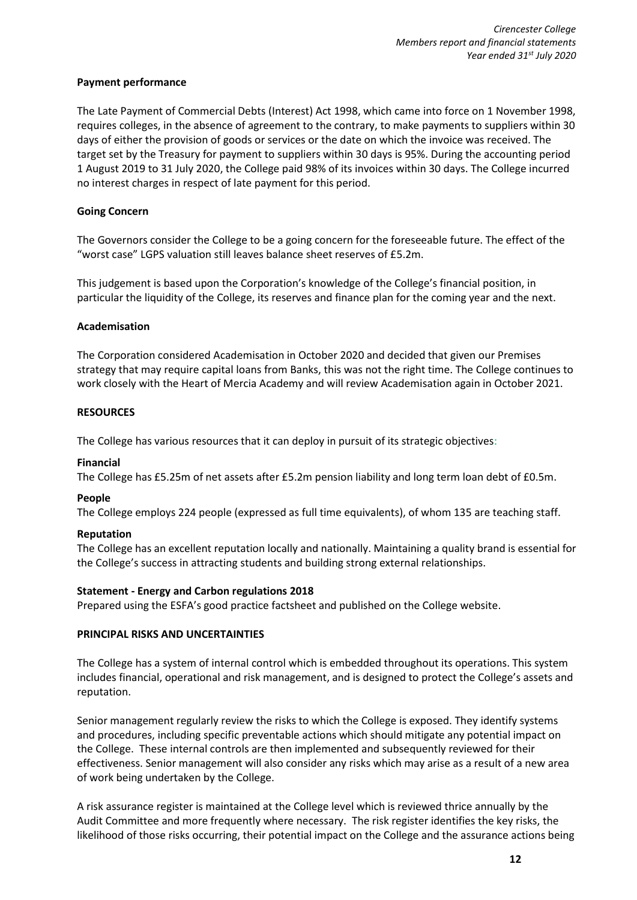# **Payment performance**

The Late Payment of Commercial Debts (Interest) Act 1998, which came into force on 1 November 1998, requires colleges, in the absence of agreement to the contrary, to make payments to suppliers within 30 days of either the provision of goods or services or the date on which the invoice was received. The target set by the Treasury for payment to suppliers within 30 days is 95%. During the accounting period 1 August 2019 to 31 July 2020, the College paid 98% of its invoices within 30 days. The College incurred no interest charges in respect of late payment for this period.

# **Going Concern**

The Governors consider the College to be a going concern for the foreseeable future. The effect of the "worst case" LGPS valuation still leaves balance sheet reserves of £5.2m.

This judgement is based upon the Corporation's knowledge of the College's financial position, in particular the liquidity of the College, its reserves and finance plan for the coming year and the next.

# **Academisation**

The Corporation considered Academisation in October 2020 and decided that given our Premises strategy that may require capital loans from Banks, this was not the right time. The College continues to work closely with the Heart of Mercia Academy and will review Academisation again in October 2021.

# **RESOURCES**

The College has various resources that it can deploy in pursuit of its strategic objectives:

# **Financial**

The College has £5.25m of net assets after £5.2m pension liability and long term loan debt of £0.5m.

# **People**

The College employs 224 people (expressed as full time equivalents), of whom 135 are teaching staff.

# **Reputation**

The College has an excellent reputation locally and nationally. Maintaining a quality brand is essential for the College's success in attracting students and building strong external relationships.

# **Statement - Energy and Carbon regulations 2018**

Prepared using the ESFA's good practice factsheet and published on the College website.

# **PRINCIPAL RISKS AND UNCERTAINTIES**

The College has a system of internal control which is embedded throughout its operations. This system includes financial, operational and risk management, and is designed to protect the College's assets and reputation.

Senior management regularly review the risks to which the College is exposed. They identify systems and procedures, including specific preventable actions which should mitigate any potential impact on the College. These internal controls are then implemented and subsequently reviewed for their effectiveness. Senior management will also consider any risks which may arise as a result of a new area of work being undertaken by the College.

A risk assurance register is maintained at the College level which is reviewed thrice annually by the Audit Committee and more frequently where necessary. The risk register identifies the key risks, the likelihood of those risks occurring, their potential impact on the College and the assurance actions being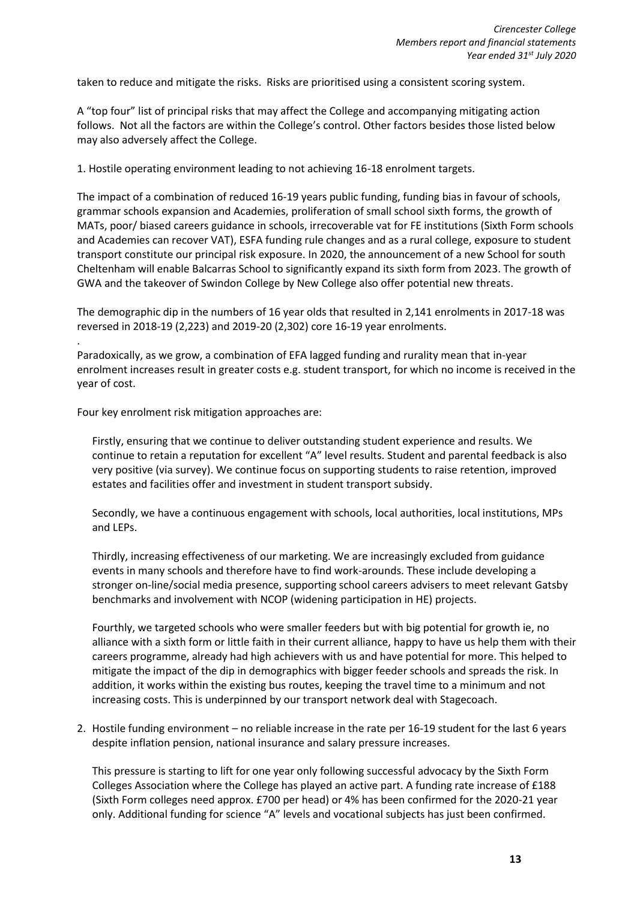taken to reduce and mitigate the risks. Risks are prioritised using a consistent scoring system.

A "top four" list of principal risks that may affect the College and accompanying mitigating action follows. Not all the factors are within the College's control. Other factors besides those listed below may also adversely affect the College.

1. Hostile operating environment leading to not achieving 16-18 enrolment targets.

The impact of a combination of reduced 16-19 years public funding, funding bias in favour of schools, grammar schools expansion and Academies, proliferation of small school sixth forms, the growth of MATs, poor/ biased careers guidance in schools, irrecoverable vat for FE institutions (Sixth Form schools and Academies can recover VAT), ESFA funding rule changes and as a rural college, exposure to student transport constitute our principal risk exposure. In 2020, the announcement of a new School for south Cheltenham will enable Balcarras School to significantly expand its sixth form from 2023. The growth of GWA and the takeover of Swindon College by New College also offer potential new threats.

The demographic dip in the numbers of 16 year olds that resulted in 2,141 enrolments in 2017-18 was reversed in 2018-19 (2,223) and 2019-20 (2,302) core 16-19 year enrolments.

Paradoxically, as we grow, a combination of EFA lagged funding and rurality mean that in-year enrolment increases result in greater costs e.g. student transport, for which no income is received in the year of cost.

Four key enrolment risk mitigation approaches are:

.

Firstly, ensuring that we continue to deliver outstanding student experience and results. We continue to retain a reputation for excellent "A" level results. Student and parental feedback is also very positive (via survey). We continue focus on supporting students to raise retention, improved estates and facilities offer and investment in student transport subsidy.

Secondly, we have a continuous engagement with schools, local authorities, local institutions, MPs and LEPs.

Thirdly, increasing effectiveness of our marketing. We are increasingly excluded from guidance events in many schools and therefore have to find work-arounds. These include developing a stronger on-line/social media presence, supporting school careers advisers to meet relevant Gatsby benchmarks and involvement with NCOP (widening participation in HE) projects.

Fourthly, we targeted schools who were smaller feeders but with big potential for growth ie, no alliance with a sixth form or little faith in their current alliance, happy to have us help them with their careers programme, already had high achievers with us and have potential for more. This helped to mitigate the impact of the dip in demographics with bigger feeder schools and spreads the risk. In addition, it works within the existing bus routes, keeping the travel time to a minimum and not increasing costs. This is underpinned by our transport network deal with Stagecoach.

2. Hostile funding environment – no reliable increase in the rate per 16-19 student for the last 6 years despite inflation pension, national insurance and salary pressure increases.

This pressure is starting to lift for one year only following successful advocacy by the Sixth Form Colleges Association where the College has played an active part. A funding rate increase of £188 (Sixth Form colleges need approx. £700 per head) or 4% has been confirmed for the 2020-21 year only. Additional funding for science "A" levels and vocational subjects has just been confirmed.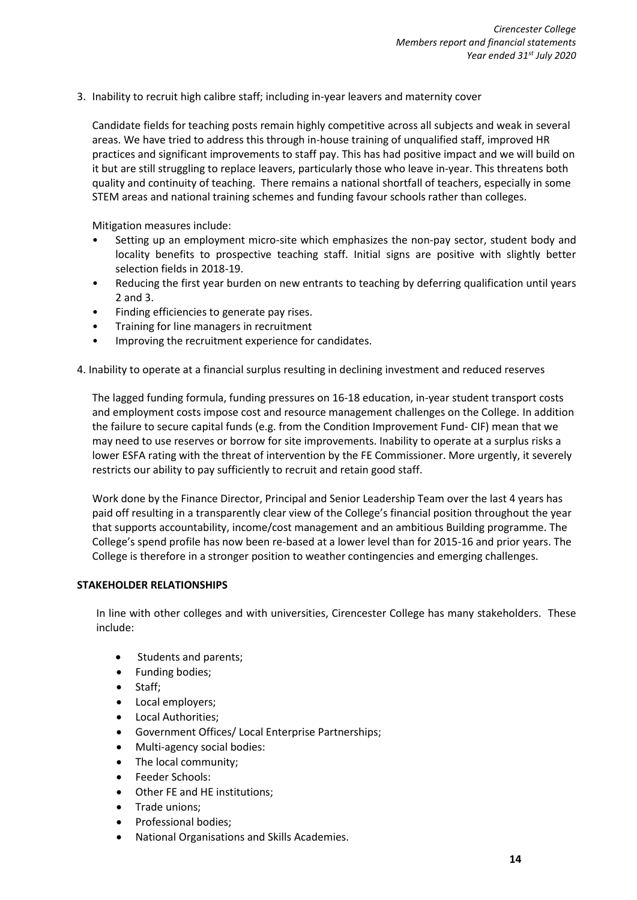3. Inability to recruit high calibre staff; including in-year leavers and maternity cover

Candidate fields for teaching posts remain highly competitive across all subjects and weak in several areas. We have tried to address this through in-house training of unqualified staff, improved HR practices and significant improvements to staff pay. This has had positive impact and we will build on it but are still struggling to replace leavers, particularly those who leave in-year. This threatens both quality and continuity of teaching. There remains a national shortfall of teachers, especially in some STEM areas and national training schemes and funding favour schools rather than colleges.

Mitigation measures include:

- Setting up an employment micro-site which emphasizes the non-pay sector, student body and locality benefits to prospective teaching staff. Initial signs are positive with slightly better selection fields in 2018-19.
- Reducing the first year burden on new entrants to teaching by deferring qualification until years 2 and 3.
- Finding efficiencies to generate pay rises.
- Training for line managers in recruitment
- Improving the recruitment experience for candidates.
- 4. Inability to operate at a financial surplus resulting in declining investment and reduced reserves

The lagged funding formula, funding pressures on 16-18 education, in-year student transport costs and employment costs impose cost and resource management challenges on the College. In addition the failure to secure capital funds (e.g. from the Condition Improvement Fund- CIF) mean that we may need to use reserves or borrow for site improvements. Inability to operate at a surplus risks a lower ESFA rating with the threat of intervention by the FE Commissioner. More urgently, it severely restricts our ability to pay sufficiently to recruit and retain good staff.

Work done by the Finance Director, Principal and Senior Leadership Team over the last 4 years has paid off resulting in a transparently clear view of the College's financial position throughout the year that supports accountability, income/cost management and an ambitious Building programme. The College's spend profile has now been re-based at a lower level than for 2015-16 and prior years. The College is therefore in a stronger position to weather contingencies and emerging challenges.

# **STAKEHOLDER RELATIONSHIPS**

In line with other colleges and with universities, Cirencester College has many stakeholders. These include:

- Students and parents;
- Funding bodies;
- Staff;
- Local employers;
- Local Authorities;
- Government Offices/ Local Enterprise Partnerships;
- Multi-agency social bodies:
- The local community;
- Feeder Schools:
- Other FE and HE institutions;
- Trade unions;
- Professional bodies;
- National Organisations and Skills Academies.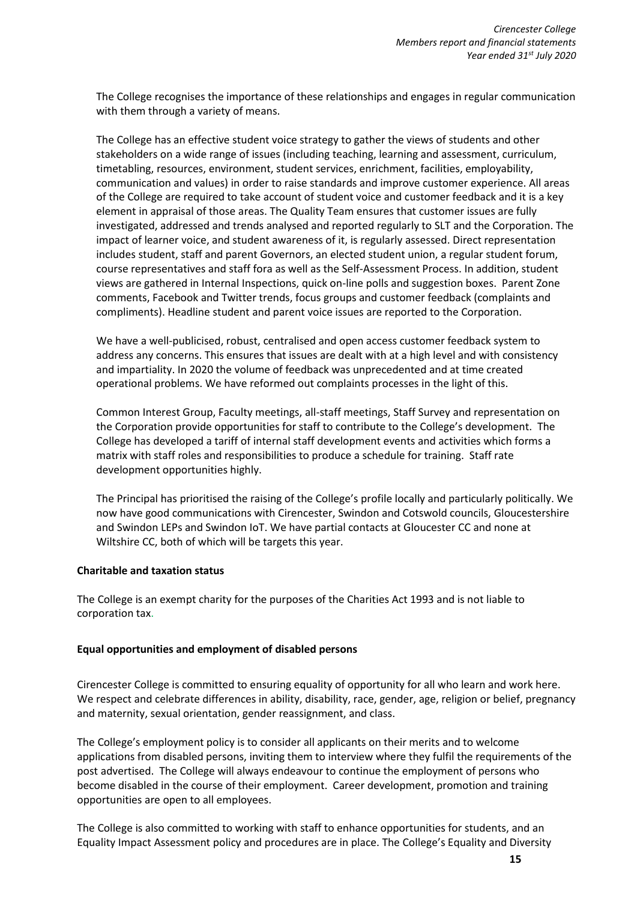The College recognises the importance of these relationships and engages in regular communication with them through a variety of means.

The College has an effective student voice strategy to gather the views of students and other stakeholders on a wide range of issues (including teaching, learning and assessment, curriculum, timetabling, resources, environment, student services, enrichment, facilities, employability, communication and values) in order to raise standards and improve customer experience. All areas of the College are required to take account of student voice and customer feedback and it is a key element in appraisal of those areas. The Quality Team ensures that customer issues are fully investigated, addressed and trends analysed and reported regularly to SLT and the Corporation. The impact of learner voice, and student awareness of it, is regularly assessed. Direct representation includes student, staff and parent Governors, an elected student union, a regular student forum, course representatives and staff fora as well as the Self-Assessment Process. In addition, student views are gathered in Internal Inspections, quick on-line polls and suggestion boxes. Parent Zone comments, Facebook and Twitter trends, focus groups and customer feedback (complaints and compliments). Headline student and parent voice issues are reported to the Corporation.

We have a well-publicised, robust, centralised and open access customer feedback system to address any concerns. This ensures that issues are dealt with at a high level and with consistency and impartiality. In 2020 the volume of feedback was unprecedented and at time created operational problems. We have reformed out complaints processes in the light of this.

Common Interest Group, Faculty meetings, all-staff meetings, Staff Survey and representation on the Corporation provide opportunities for staff to contribute to the College's development. The College has developed a tariff of internal staff development events and activities which forms a matrix with staff roles and responsibilities to produce a schedule for training. Staff rate development opportunities highly.

The Principal has prioritised the raising of the College's profile locally and particularly politically. We now have good communications with Cirencester, Swindon and Cotswold councils, Gloucestershire and Swindon LEPs and Swindon IoT. We have partial contacts at Gloucester CC and none at Wiltshire CC, both of which will be targets this year.

# **Charitable and taxation status**

The College is an exempt charity for the purposes of the Charities Act 1993 and is not liable to corporation tax.

#### **Equal opportunities and employment of disabled persons**

Cirencester College is committed to ensuring equality of opportunity for all who learn and work here. We respect and celebrate differences in ability, disability, race, gender, age, religion or belief, pregnancy and maternity, sexual orientation, gender reassignment, and class.

The College's employment policy is to consider all applicants on their merits and to welcome applications from disabled persons, inviting them to interview where they fulfil the requirements of the post advertised. The College will always endeavour to continue the employment of persons who become disabled in the course of their employment. Career development, promotion and training opportunities are open to all employees.

The College is also committed to working with staff to enhance opportunities for students, and an Equality Impact Assessment policy and procedures are in place. The College's Equality and Diversity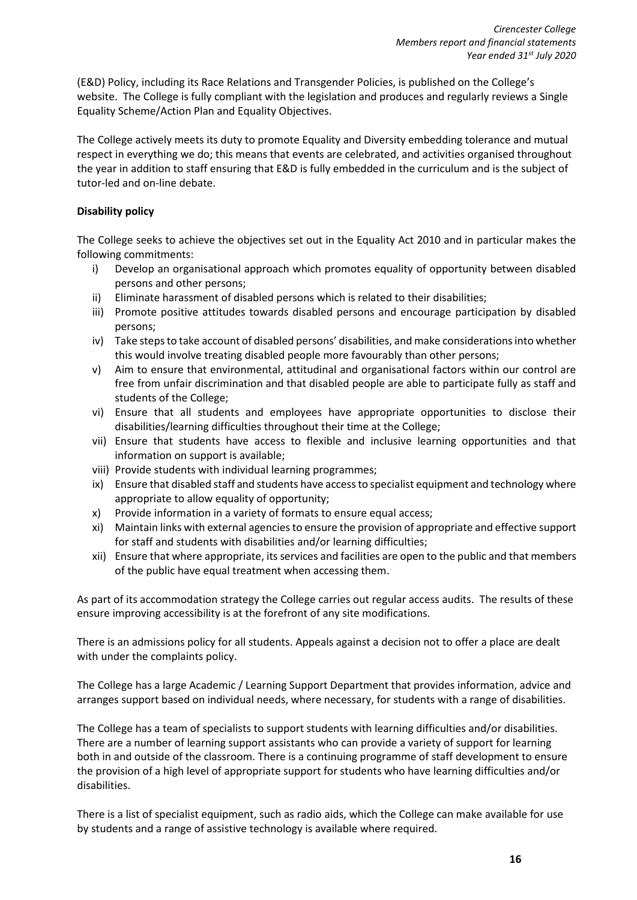(E&D) Policy, including its Race Relations and Transgender Policies, is published on the College's website. The College is fully compliant with the legislation and produces and regularly reviews a Single Equality Scheme/Action Plan and Equality Objectives.

The College actively meets its duty to promote Equality and Diversity embedding tolerance and mutual respect in everything we do; this means that events are celebrated, and activities organised throughout the year in addition to staff ensuring that E&D is fully embedded in the curriculum and is the subject of tutor-led and on-line debate.

# **Disability policy**

The College seeks to achieve the objectives set out in the Equality Act 2010 and in particular makes the following commitments:

- i) Develop an organisational approach which promotes equality of opportunity between disabled persons and other persons;
- ii) Eliminate harassment of disabled persons which is related to their disabilities;
- iii) Promote positive attitudes towards disabled persons and encourage participation by disabled persons;
- iv) Take steps to take account of disabled persons' disabilities, and make considerations into whether this would involve treating disabled people more favourably than other persons;
- v) Aim to ensure that environmental, attitudinal and organisational factors within our control are free from unfair discrimination and that disabled people are able to participate fully as staff and students of the College;
- vi) Ensure that all students and employees have appropriate opportunities to disclose their disabilities/learning difficulties throughout their time at the College;
- vii) Ensure that students have access to flexible and inclusive learning opportunities and that information on support is available;
- viii) Provide students with individual learning programmes;
- ix) Ensure that disabled staff and students have access to specialist equipment and technology where appropriate to allow equality of opportunity;
- x) Provide information in a variety of formats to ensure equal access;
- xi) Maintain links with external agencies to ensure the provision of appropriate and effective support for staff and students with disabilities and/or learning difficulties;
- xii) Ensure that where appropriate, its services and facilities are open to the public and that members of the public have equal treatment when accessing them.

As part of its accommodation strategy the College carries out regular access audits. The results of these ensure improving accessibility is at the forefront of any site modifications.

There is an admissions policy for all students. Appeals against a decision not to offer a place are dealt with under the complaints policy.

The College has a large Academic / Learning Support Department that provides information, advice and arranges support based on individual needs, where necessary, for students with a range of disabilities.

The College has a team of specialists to support students with learning difficulties and/or disabilities. There are a number of learning support assistants who can provide a variety of support for learning both in and outside of the classroom. There is a continuing programme of staff development to ensure the provision of a high level of appropriate support for students who have learning difficulties and/or disabilities.

There is a list of specialist equipment, such as radio aids, which the College can make available for use by students and a range of assistive technology is available where required.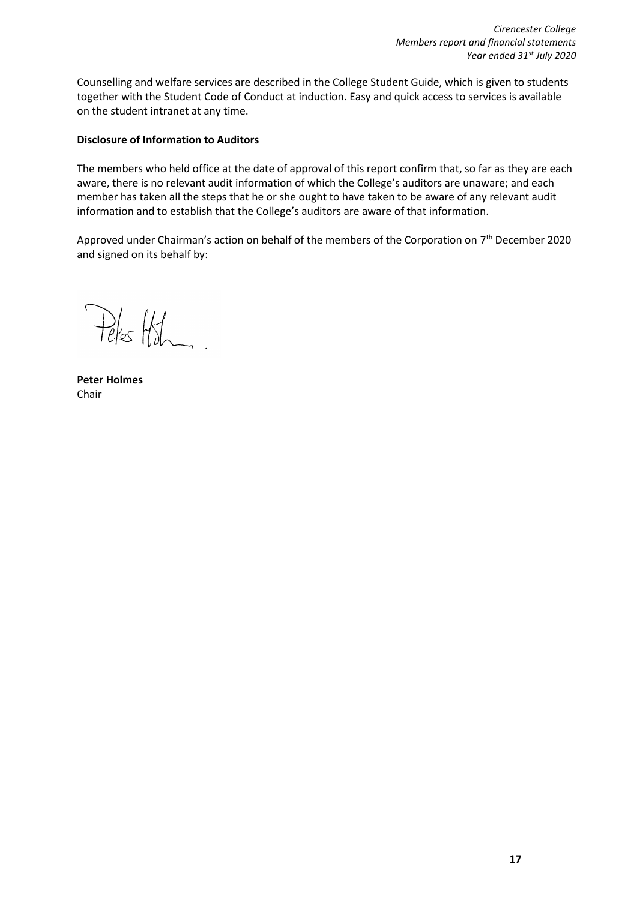Counselling and welfare services are described in the College Student Guide, which is given to students together with the Student Code of Conduct at induction. Easy and quick access to services is available on the student intranet at any time.

# **Disclosure of Information to Auditors**

The members who held office at the date of approval of this report confirm that, so far as they are each aware, there is no relevant audit information of which the College's auditors are unaware; and each member has taken all the steps that he or she ought to have taken to be aware of any relevant audit information and to establish that the College's auditors are aware of that information.

Approved under Chairman's action on behalf of the members of the Corporation on 7<sup>th</sup> December 2020 and signed on its behalf by:

Peles Hish

**Peter Holmes** Chair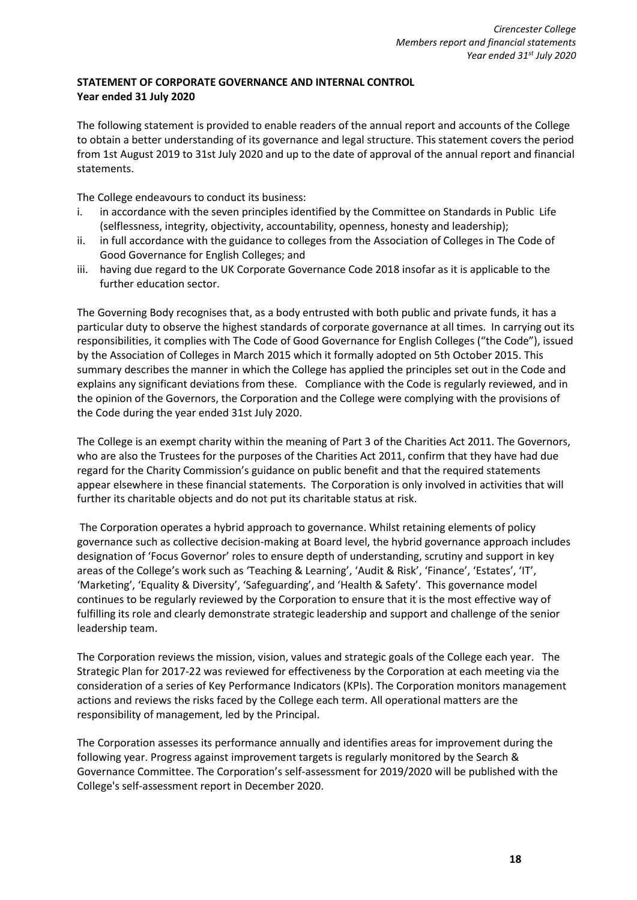# **STATEMENT OF CORPORATE GOVERNANCE AND INTERNAL CONTROL Year ended 31 July 2020**

The following statement is provided to enable readers of the annual report and accounts of the College to obtain a better understanding of its governance and legal structure. This statement covers the period from 1st August 2019 to 31st July 2020 and up to the date of approval of the annual report and financial statements.

The College endeavours to conduct its business:

- i. in accordance with the seven principles identified by the Committee on Standards in Public Life (selflessness, integrity, objectivity, accountability, openness, honesty and leadership);
- ii. in full accordance with the guidance to colleges from the Association of Colleges in The Code of Good Governance for English Colleges; and
- iii. having due regard to the UK Corporate Governance Code 2018 insofar as it is applicable to the further education sector.

The Governing Body recognises that, as a body entrusted with both public and private funds, it has a particular duty to observe the highest standards of corporate governance at all times. In carrying out its responsibilities, it complies with The Code of Good Governance for English Colleges ("the Code"), issued by the Association of Colleges in March 2015 which it formally adopted on 5th October 2015. This summary describes the manner in which the College has applied the principles set out in the Code and explains any significant deviations from these. Compliance with the Code is regularly reviewed, and in the opinion of the Governors, the Corporation and the College were complying with the provisions of the Code during the year ended 31st July 2020.

The College is an exempt charity within the meaning of Part 3 of the Charities Act 2011. The Governors, who are also the Trustees for the purposes of the Charities Act 2011, confirm that they have had due regard for the Charity Commission's guidance on public benefit and that the required statements appear elsewhere in these financial statements. The Corporation is only involved in activities that will further its charitable objects and do not put its charitable status at risk.

The Corporation operates a hybrid approach to governance. Whilst retaining elements of policy governance such as collective decision-making at Board level, the hybrid governance approach includes designation of 'Focus Governor' roles to ensure depth of understanding, scrutiny and support in key areas of the College's work such as 'Teaching & Learning', 'Audit & Risk', 'Finance', 'Estates', 'IT', 'Marketing', 'Equality & Diversity', 'Safeguarding', and 'Health & Safety'. This governance model continues to be regularly reviewed by the Corporation to ensure that it is the most effective way of fulfilling its role and clearly demonstrate strategic leadership and support and challenge of the senior leadership team.

The Corporation reviews the mission, vision, values and strategic goals of the College each year. The Strategic Plan for 2017-22 was reviewed for effectiveness by the Corporation at each meeting via the consideration of a series of Key Performance Indicators (KPIs). The Corporation monitors management actions and reviews the risks faced by the College each term. All operational matters are the responsibility of management, led by the Principal.

The Corporation assesses its performance annually and identifies areas for improvement during the following year. Progress against improvement targets is regularly monitored by the Search & Governance Committee. The Corporation's self-assessment for 2019/2020 will be published with the College's self-assessment report in December 2020.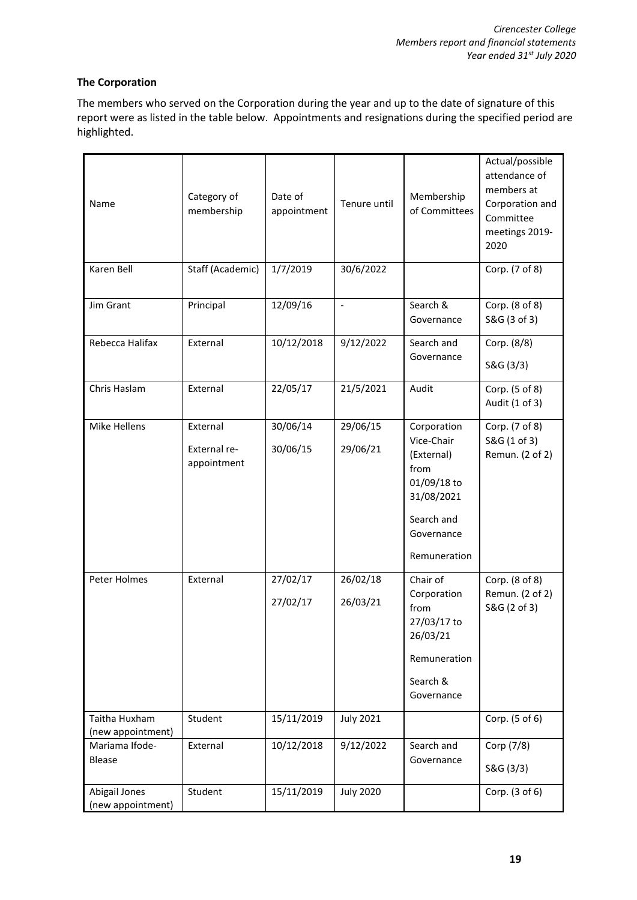# **The Corporation**

The members who served on the Corporation during the year and up to the date of signature of this report were as listed in the table below. Appointments and resignations during the specified period are highlighted.

| Name                               | Category of<br>membership               | Date of<br>appointment | Tenure until         | Membership<br>of Committees                                                                                              | Actual/possible<br>attendance of<br>members at<br>Corporation and<br>Committee<br>meetings 2019-<br>2020 |
|------------------------------------|-----------------------------------------|------------------------|----------------------|--------------------------------------------------------------------------------------------------------------------------|----------------------------------------------------------------------------------------------------------|
| Karen Bell                         | Staff (Academic)                        | 1/7/2019               | 30/6/2022            |                                                                                                                          | Corp. (7 of 8)                                                                                           |
| Jim Grant                          | Principal                               | 12/09/16               | $\Box$               | Search &<br>Governance                                                                                                   | Corp. (8 of 8)<br>S&G (3 of 3)                                                                           |
| Rebecca Halifax                    | External                                | 10/12/2018             | 9/12/2022            | Search and<br>Governance                                                                                                 | Corp. (8/8)<br>S&G (3/3)                                                                                 |
| Chris Haslam                       | External                                | 22/05/17               | 21/5/2021            | Audit                                                                                                                    | Corp. (5 of 8)<br>Audit (1 of 3)                                                                         |
| Mike Hellens                       | External<br>External re-<br>appointment | 30/06/14<br>30/06/15   | 29/06/15<br>29/06/21 | Corporation<br>Vice-Chair<br>(External)<br>from<br>01/09/18 to<br>31/08/2021<br>Search and<br>Governance<br>Remuneration | Corp. (7 of 8)<br>S&G (1 of 3)<br>Remun. (2 of 2)                                                        |
| Peter Holmes                       | External                                | 27/02/17<br>27/02/17   | 26/02/18<br>26/03/21 | Chair of<br>Corporation<br>from<br>27/03/17 to<br>26/03/21<br>Remuneration<br>Search &<br>Governance                     | Corp. (8 of 8)<br>Remun. (2 of 2)<br>S&G (2 of 3)                                                        |
| Taitha Huxham<br>(new appointment) | Student                                 | 15/11/2019             | <b>July 2021</b>     |                                                                                                                          | Corp. (5 of 6)                                                                                           |
| Mariama Ifode-<br>Blease           | External                                | 10/12/2018             | 9/12/2022            | Search and<br>Governance                                                                                                 | Corp (7/8)<br>S&G (3/3)                                                                                  |
| Abigail Jones<br>(new appointment) | Student                                 | 15/11/2019             | <b>July 2020</b>     |                                                                                                                          | Corp. (3 of 6)                                                                                           |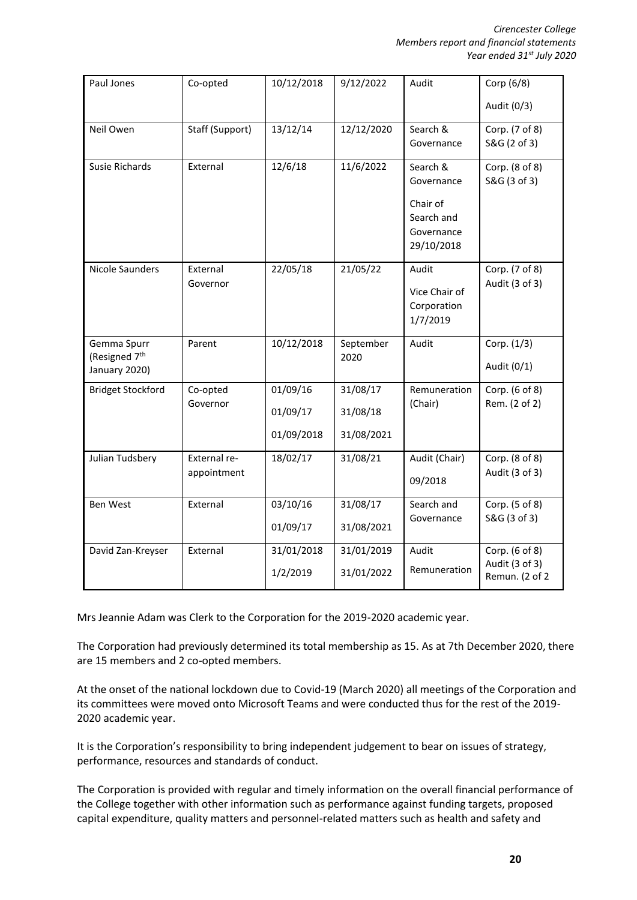| Paul Jones                | Co-opted        | 10/12/2018 | 9/12/2022  | Audit         | Corp (6/8)     |
|---------------------------|-----------------|------------|------------|---------------|----------------|
|                           |                 |            |            |               | Audit (0/3)    |
| Neil Owen                 | Staff (Support) | 13/12/14   | 12/12/2020 | Search &      | Corp. (7 of 8) |
|                           |                 |            |            | Governance    | S&G (2 of 3)   |
| <b>Susie Richards</b>     | External        | 12/6/18    | 11/6/2022  | Search &      | Corp. (8 of 8) |
|                           |                 |            |            | Governance    | S&G (3 of 3)   |
|                           |                 |            |            | Chair of      |                |
|                           |                 |            |            | Search and    |                |
|                           |                 |            |            | Governance    |                |
|                           |                 |            |            | 29/10/2018    |                |
| <b>Nicole Saunders</b>    | External        | 22/05/18   | 21/05/22   | Audit         | Corp. (7 of 8) |
|                           | Governor        |            |            | Vice Chair of | Audit (3 of 3) |
|                           |                 |            |            | Corporation   |                |
|                           |                 |            |            | 1/7/2019      |                |
| Gemma Spurr               | Parent          | 10/12/2018 | September  | Audit         | Corp. (1/3)    |
| (Resigned 7 <sup>th</sup> |                 |            | 2020       |               |                |
| January 2020)             |                 |            |            |               | Audit (0/1)    |
| <b>Bridget Stockford</b>  | Co-opted        | 01/09/16   | 31/08/17   | Remuneration  | Corp. (6 of 8) |
|                           | Governor        | 01/09/17   | 31/08/18   | (Chair)       | Rem. (2 of 2)  |
|                           |                 | 01/09/2018 | 31/08/2021 |               |                |
| Julian Tudsbery           | External re-    | 18/02/17   | 31/08/21   | Audit (Chair) | Corp. (8 of 8) |
|                           | appointment     |            |            | 09/2018       | Audit (3 of 3) |
| Ben West                  | External        | 03/10/16   | 31/08/17   | Search and    | Corp. (5 of 8) |
|                           |                 |            |            | Governance    | S&G (3 of 3)   |
|                           |                 | 01/09/17   | 31/08/2021 |               |                |
| David Zan-Kreyser         | External        | 31/01/2018 | 31/01/2019 | Audit         | Corp. (6 of 8) |
|                           |                 | 1/2/2019   | 31/01/2022 | Remuneration  | Audit (3 of 3) |
|                           |                 |            |            |               | Remun. (2 of 2 |

Mrs Jeannie Adam was Clerk to the Corporation for the 2019-2020 academic year.

The Corporation had previously determined its total membership as 15. As at 7th December 2020, there are 15 members and 2 co-opted members.

At the onset of the national lockdown due to Covid-19 (March 2020) all meetings of the Corporation and its committees were moved onto Microsoft Teams and were conducted thus for the rest of the 2019- 2020 academic year.

It is the Corporation's responsibility to bring independent judgement to bear on issues of strategy, performance, resources and standards of conduct.

The Corporation is provided with regular and timely information on the overall financial performance of the College together with other information such as performance against funding targets, proposed capital expenditure, quality matters and personnel-related matters such as health and safety and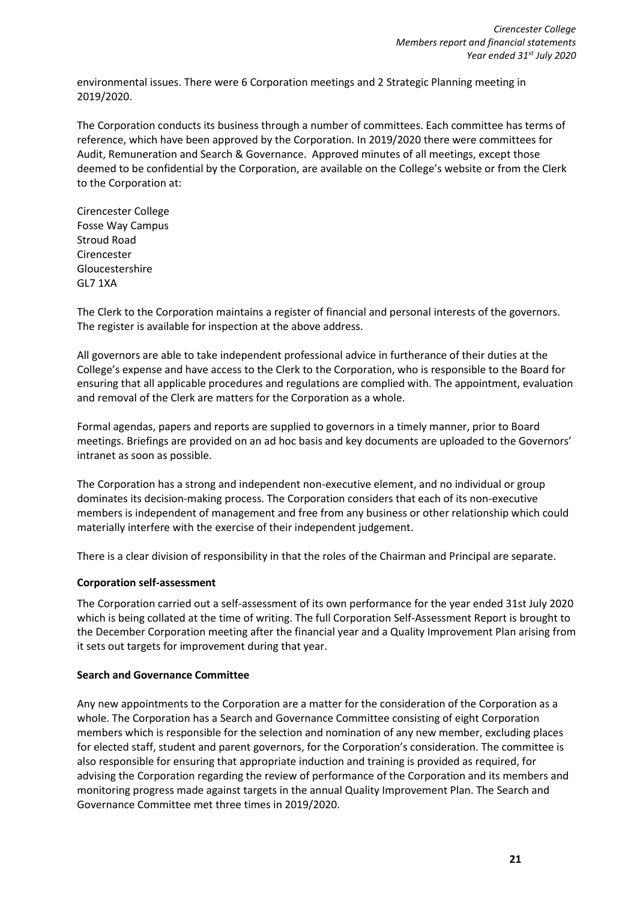environmental issues. There were 6 Corporation meetings and 2 Strategic Planning meeting in 2019/2020.

The Corporation conducts its business through a number of committees. Each committee has terms of reference, which have been approved by the Corporation. In 2019/2020 there were committees for Audit, Remuneration and Search & Governance. Approved minutes of all meetings, except those deemed to be confidential by the Corporation, are available on the College's website or from the Clerk to the Corporation at:

Cirencester College Fosse Way Campus Stroud Road Cirencester Gloucestershire GL7 1XA

The Clerk to the Corporation maintains a register of financial and personal interests of the governors. The register is available for inspection at the above address.

All governors are able to take independent professional advice in furtherance of their duties at the College's expense and have access to the Clerk to the Corporation, who is responsible to the Board for ensuring that all applicable procedures and regulations are complied with. The appointment, evaluation and removal of the Clerk are matters for the Corporation as a whole.

Formal agendas, papers and reports are supplied to governors in a timely manner, prior to Board meetings. Briefings are provided on an ad hoc basis and key documents are uploaded to the Governors' intranet as soon as possible.

The Corporation has a strong and independent non-executive element, and no individual or group dominates its decision-making process. The Corporation considers that each of its non-executive members is independent of management and free from any business or other relationship which could materially interfere with the exercise of their independent judgement.

There is a clear division of responsibility in that the roles of the Chairman and Principal are separate.

# **Corporation self-assessment**

The Corporation carried out a self-assessment of its own performance for the year ended 31st July 2020 which is being collated at the time of writing. The full Corporation Self-Assessment Report is brought to the December Corporation meeting after the financial year and a Quality Improvement Plan arising from it sets out targets for improvement during that year.

# **Search and Governance Committee**

Any new appointments to the Corporation are a matter for the consideration of the Corporation as a whole. The Corporation has a Search and Governance Committee consisting of eight Corporation members which is responsible for the selection and nomination of any new member, excluding places for elected staff, student and parent governors, for the Corporation's consideration. The committee is also responsible for ensuring that appropriate induction and training is provided as required, for advising the Corporation regarding the review of performance of the Corporation and its members and monitoring progress made against targets in the annual Quality Improvement Plan. The Search and Governance Committee met three times in 2019/2020.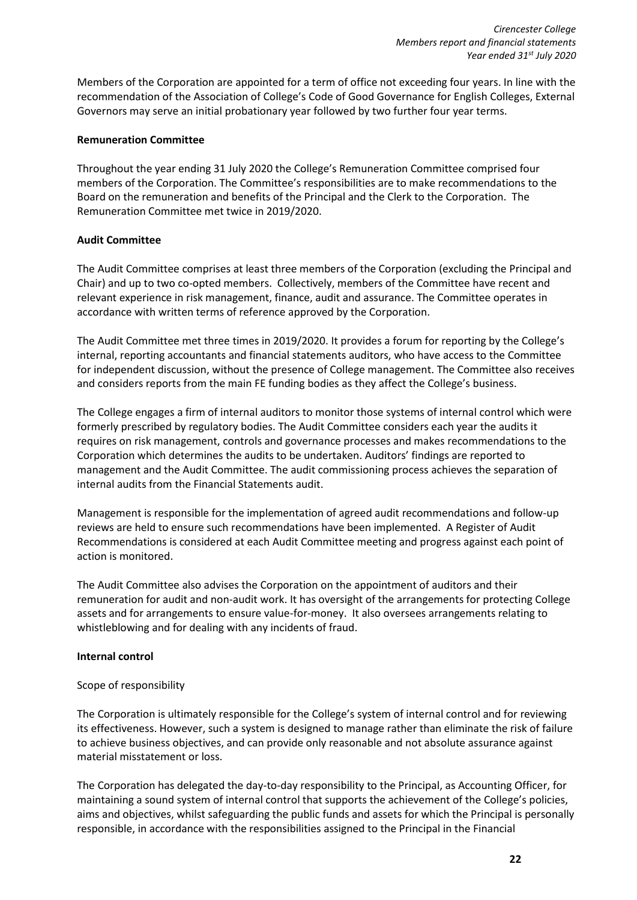Members of the Corporation are appointed for a term of office not exceeding four years. In line with the recommendation of the Association of College's Code of Good Governance for English Colleges, External Governors may serve an initial probationary year followed by two further four year terms.

# **Remuneration Committee**

Throughout the year ending 31 July 2020 the College's Remuneration Committee comprised four members of the Corporation. The Committee's responsibilities are to make recommendations to the Board on the remuneration and benefits of the Principal and the Clerk to the Corporation. The Remuneration Committee met twice in 2019/2020.

# **Audit Committee**

The Audit Committee comprises at least three members of the Corporation (excluding the Principal and Chair) and up to two co-opted members. Collectively, members of the Committee have recent and relevant experience in risk management, finance, audit and assurance. The Committee operates in accordance with written terms of reference approved by the Corporation.

The Audit Committee met three times in 2019/2020. It provides a forum for reporting by the College's internal, reporting accountants and financial statements auditors, who have access to the Committee for independent discussion, without the presence of College management. The Committee also receives and considers reports from the main FE funding bodies as they affect the College's business.

The College engages a firm of internal auditors to monitor those systems of internal control which were formerly prescribed by regulatory bodies. The Audit Committee considers each year the audits it requires on risk management, controls and governance processes and makes recommendations to the Corporation which determines the audits to be undertaken. Auditors' findings are reported to management and the Audit Committee. The audit commissioning process achieves the separation of internal audits from the Financial Statements audit.

Management is responsible for the implementation of agreed audit recommendations and follow-up reviews are held to ensure such recommendations have been implemented. A Register of Audit Recommendations is considered at each Audit Committee meeting and progress against each point of action is monitored.

The Audit Committee also advises the Corporation on the appointment of auditors and their remuneration for audit and non-audit work. It has oversight of the arrangements for protecting College assets and for arrangements to ensure value-for-money. It also oversees arrangements relating to whistleblowing and for dealing with any incidents of fraud.

# **Internal control**

# Scope of responsibility

The Corporation is ultimately responsible for the College's system of internal control and for reviewing its effectiveness. However, such a system is designed to manage rather than eliminate the risk of failure to achieve business objectives, and can provide only reasonable and not absolute assurance against material misstatement or loss.

The Corporation has delegated the day-to-day responsibility to the Principal, as Accounting Officer, for maintaining a sound system of internal control that supports the achievement of the College's policies, aims and objectives, whilst safeguarding the public funds and assets for which the Principal is personally responsible, in accordance with the responsibilities assigned to the Principal in the Financial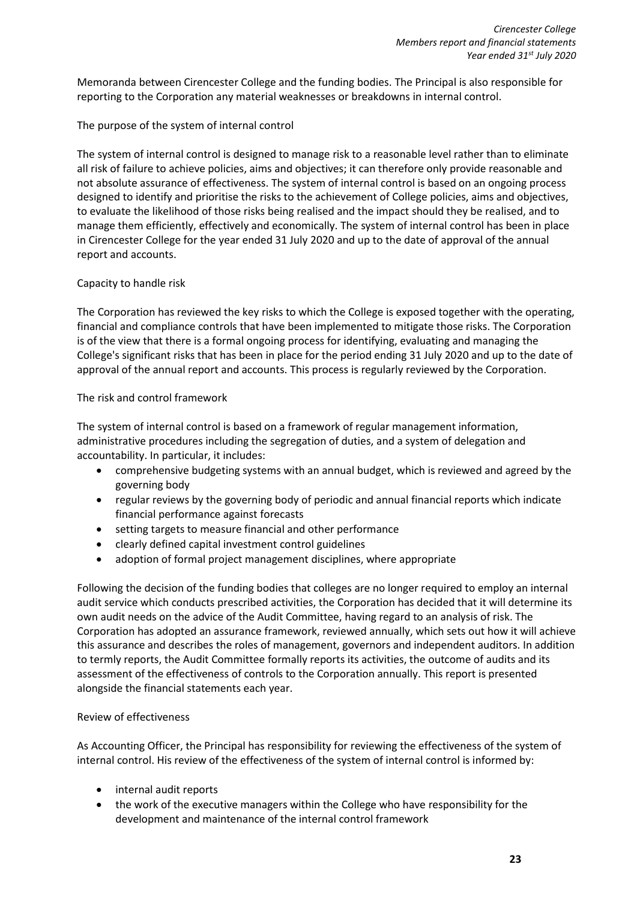Memoranda between Cirencester College and the funding bodies. The Principal is also responsible for reporting to the Corporation any material weaknesses or breakdowns in internal control.

# The purpose of the system of internal control

The system of internal control is designed to manage risk to a reasonable level rather than to eliminate all risk of failure to achieve policies, aims and objectives; it can therefore only provide reasonable and not absolute assurance of effectiveness. The system of internal control is based on an ongoing process designed to identify and prioritise the risks to the achievement of College policies, aims and objectives, to evaluate the likelihood of those risks being realised and the impact should they be realised, and to manage them efficiently, effectively and economically. The system of internal control has been in place in Cirencester College for the year ended 31 July 2020 and up to the date of approval of the annual report and accounts.

# Capacity to handle risk

The Corporation has reviewed the key risks to which the College is exposed together with the operating, financial and compliance controls that have been implemented to mitigate those risks. The Corporation is of the view that there is a formal ongoing process for identifying, evaluating and managing the College's significant risks that has been in place for the period ending 31 July 2020 and up to the date of approval of the annual report and accounts. This process is regularly reviewed by the Corporation.

# The risk and control framework

The system of internal control is based on a framework of regular management information, administrative procedures including the segregation of duties, and a system of delegation and accountability. In particular, it includes:

- comprehensive budgeting systems with an annual budget, which is reviewed and agreed by the governing body
- regular reviews by the governing body of periodic and annual financial reports which indicate financial performance against forecasts
- setting targets to measure financial and other performance
- clearly defined capital investment control guidelines
- adoption of formal project management disciplines, where appropriate

Following the decision of the funding bodies that colleges are no longer required to employ an internal audit service which conducts prescribed activities, the Corporation has decided that it will determine its own audit needs on the advice of the Audit Committee, having regard to an analysis of risk. The Corporation has adopted an assurance framework, reviewed annually, which sets out how it will achieve this assurance and describes the roles of management, governors and independent auditors. In addition to termly reports, the Audit Committee formally reports its activities, the outcome of audits and its assessment of the effectiveness of controls to the Corporation annually. This report is presented alongside the financial statements each year.

# Review of effectiveness

As Accounting Officer, the Principal has responsibility for reviewing the effectiveness of the system of internal control. His review of the effectiveness of the system of internal control is informed by:

- internal audit reports
- the work of the executive managers within the College who have responsibility for the development and maintenance of the internal control framework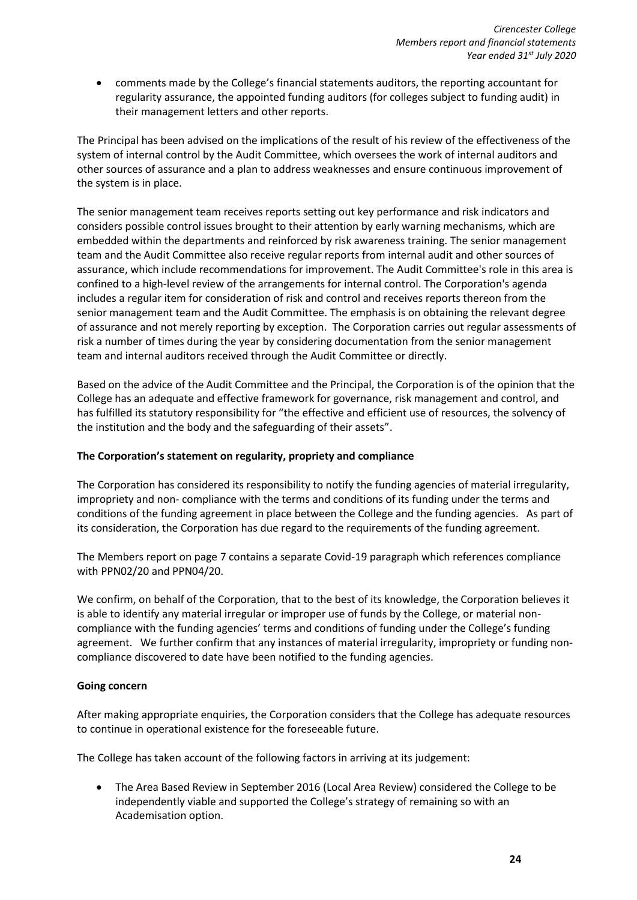• comments made by the College's financial statements auditors, the reporting accountant for regularity assurance, the appointed funding auditors (for colleges subject to funding audit) in their management letters and other reports.

The Principal has been advised on the implications of the result of his review of the effectiveness of the system of internal control by the Audit Committee, which oversees the work of internal auditors and other sources of assurance and a plan to address weaknesses and ensure continuous improvement of the system is in place.

The senior management team receives reports setting out key performance and risk indicators and considers possible control issues brought to their attention by early warning mechanisms, which are embedded within the departments and reinforced by risk awareness training. The senior management team and the Audit Committee also receive regular reports from internal audit and other sources of assurance, which include recommendations for improvement. The Audit Committee's role in this area is confined to a high-level review of the arrangements for internal control. The Corporation's agenda includes a regular item for consideration of risk and control and receives reports thereon from the senior management team and the Audit Committee. The emphasis is on obtaining the relevant degree of assurance and not merely reporting by exception. The Corporation carries out regular assessments of risk a number of times during the year by considering documentation from the senior management team and internal auditors received through the Audit Committee or directly.

Based on the advice of the Audit Committee and the Principal, the Corporation is of the opinion that the College has an adequate and effective framework for governance, risk management and control, and has fulfilled its statutory responsibility for "the effective and efficient use of resources, the solvency of the institution and the body and the safeguarding of their assets".

# **The Corporation's statement on regularity, propriety and compliance**

The Corporation has considered its responsibility to notify the funding agencies of material irregularity, impropriety and non- compliance with the terms and conditions of its funding under the terms and conditions of the funding agreement in place between the College and the funding agencies. As part of its consideration, the Corporation has due regard to the requirements of the funding agreement.

The Members report on page 7 contains a separate Covid-19 paragraph which references compliance with PPN02/20 and PPN04/20.

We confirm, on behalf of the Corporation, that to the best of its knowledge, the Corporation believes it is able to identify any material irregular or improper use of funds by the College, or material noncompliance with the funding agencies' terms and conditions of funding under the College's funding agreement. We further confirm that any instances of material irregularity, impropriety or funding noncompliance discovered to date have been notified to the funding agencies.

# **Going concern**

After making appropriate enquiries, the Corporation considers that the College has adequate resources to continue in operational existence for the foreseeable future.

The College has taken account of the following factors in arriving at its judgement:

• The Area Based Review in September 2016 (Local Area Review) considered the College to be independently viable and supported the College's strategy of remaining so with an Academisation option.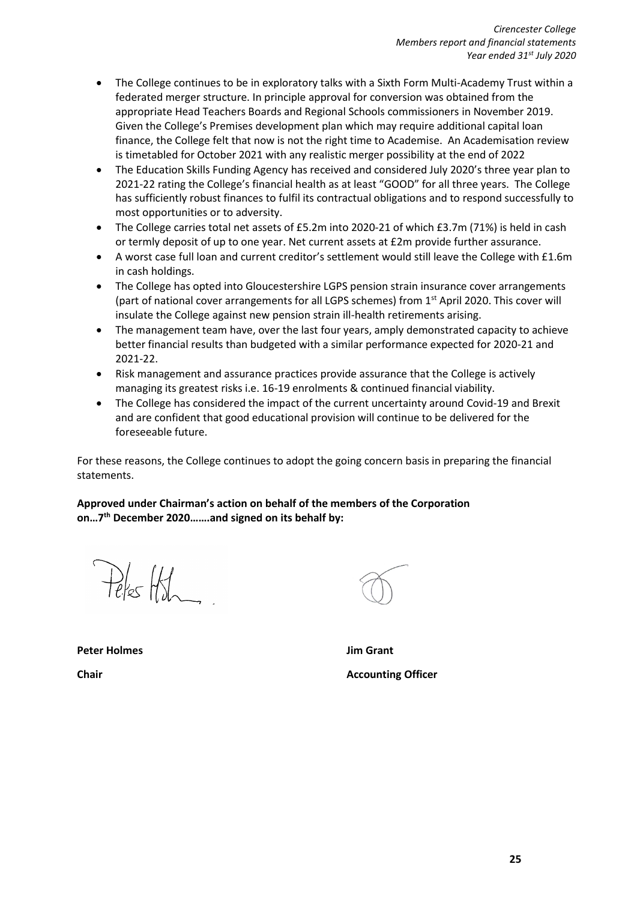- The College continues to be in exploratory talks with a Sixth Form Multi-Academy Trust within a federated merger structure. In principle approval for conversion was obtained from the appropriate Head Teachers Boards and Regional Schools commissioners in November 2019. Given the College's Premises development plan which may require additional capital loan finance, the College felt that now is not the right time to Academise. An Academisation review is timetabled for October 2021 with any realistic merger possibility at the end of 2022
- The Education Skills Funding Agency has received and considered July 2020's three year plan to 2021-22 rating the College's financial health as at least "GOOD" for all three years. The College has sufficiently robust finances to fulfil its contractual obligations and to respond successfully to most opportunities or to adversity.
- The College carries total net assets of £5.2m into 2020-21 of which £3.7m (71%) is held in cash or termly deposit of up to one year. Net current assets at £2m provide further assurance.
- A worst case full loan and current creditor's settlement would still leave the College with £1.6m in cash holdings.
- The College has opted into Gloucestershire LGPS pension strain insurance cover arrangements (part of national cover arrangements for all LGPS schemes) from 1<sup>st</sup> April 2020. This cover will insulate the College against new pension strain ill-health retirements arising.
- The management team have, over the last four years, amply demonstrated capacity to achieve better financial results than budgeted with a similar performance expected for 2020-21 and 2021-22.
- Risk management and assurance practices provide assurance that the College is actively managing its greatest risks i.e. 16-19 enrolments & continued financial viability.
- The College has considered the impact of the current uncertainty around Covid-19 and Brexit and are confident that good educational provision will continue to be delivered for the foreseeable future.

For these reasons, the College continues to adopt the going concern basis in preparing the financial statements.

**Approved under Chairman's action on behalf of the members of the Corporation on…7 th December 2020…….and signed on its behalf by:**

 $P_{\ell}$ /s  $H_{\ell}$ 

**Peter Holmes Jim Grant**

**Chair Chair Accounting Officer**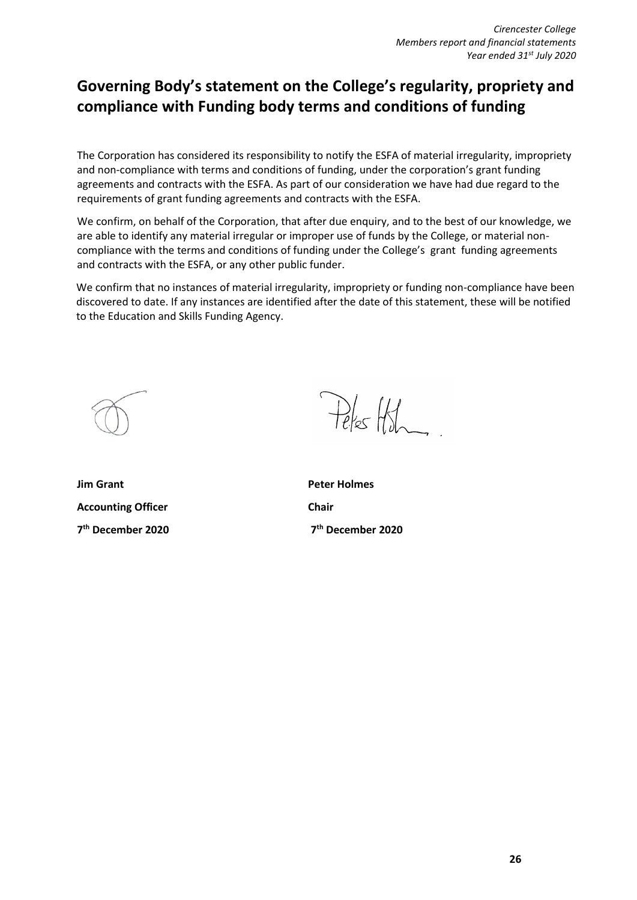# **Governing Body's statement on the College's regularity, propriety and compliance with Funding body terms and conditions of funding**

The Corporation has considered its responsibility to notify the ESFA of material irregularity, impropriety and non-compliance with terms and conditions of funding, under the corporation's grant funding agreements and contracts with the ESFA. As part of our consideration we have had due regard to the requirements of grant funding agreements and contracts with the ESFA.

We confirm, on behalf of the Corporation, that after due enquiry, and to the best of our knowledge, we are able to identify any material irregular or improper use of funds by the College, or material noncompliance with the terms and conditions of funding under the College's grant funding agreements and contracts with the ESFA, or any other public funder.

We confirm that no instances of material irregularity, impropriety or funding non-compliance have been discovered to date. If any instances are identified after the date of this statement, these will be notified to the Education and Skills Funding Agency.

**Jim Grant Peter Holmes Accounting Officer Chair 7 th December 2020 7**

 $P_{\ell}$  for  $H_{\ell}$ 

**th December 2020**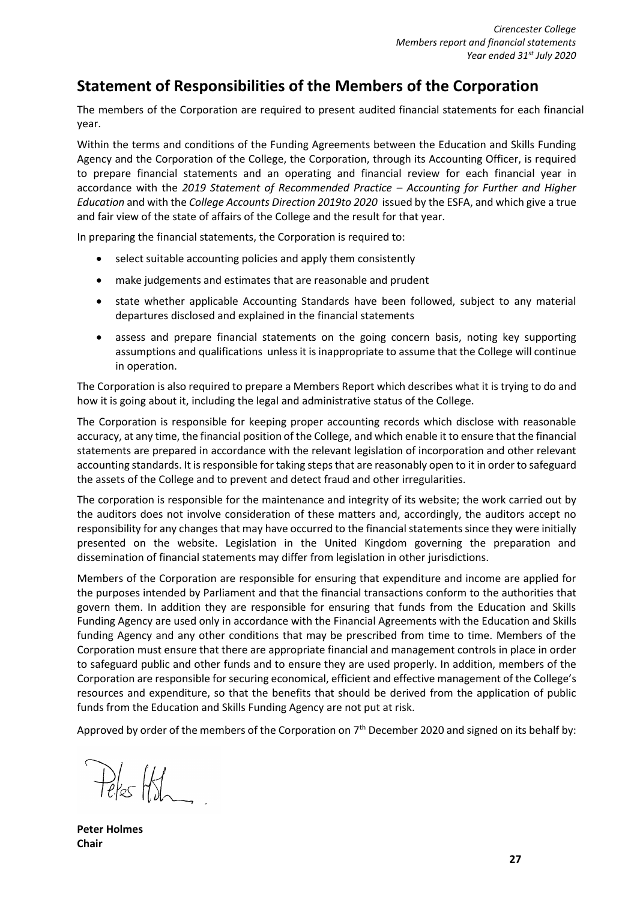# **Statement of Responsibilities of the Members of the Corporation**

The members of the Corporation are required to present audited financial statements for each financial year.

Within the terms and conditions of the Funding Agreements between the Education and Skills Funding Agency and the Corporation of the College, the Corporation, through its Accounting Officer, is required to prepare financial statements and an operating and financial review for each financial year in accordance with the *2019 Statement of Recommended Practice – Accounting for Further and Higher Education* and with the *College Accounts Direction 2019to 2020* issued by the ESFA, and which give a true and fair view of the state of affairs of the College and the result for that year.

In preparing the financial statements, the Corporation is required to:

- select suitable accounting policies and apply them consistently
- make judgements and estimates that are reasonable and prudent
- state whether applicable Accounting Standards have been followed, subject to any material departures disclosed and explained in the financial statements
- assess and prepare financial statements on the going concern basis, noting key supporting assumptions and qualifications unless it is inappropriate to assume that the College will continue in operation.

The Corporation is also required to prepare a Members Report which describes what it is trying to do and how it is going about it, including the legal and administrative status of the College.

The Corporation is responsible for keeping proper accounting records which disclose with reasonable accuracy, at any time, the financial position of the College, and which enable it to ensure that the financial statements are prepared in accordance with the relevant legislation of incorporation and other relevant accounting standards. It is responsible for taking steps that are reasonably open to it in order to safeguard the assets of the College and to prevent and detect fraud and other irregularities.

The corporation is responsible for the maintenance and integrity of its website; the work carried out by the auditors does not involve consideration of these matters and, accordingly, the auditors accept no responsibility for any changes that may have occurred to the financial statements since they were initially presented on the website. Legislation in the United Kingdom governing the preparation and dissemination of financial statements may differ from legislation in other jurisdictions.

Members of the Corporation are responsible for ensuring that expenditure and income are applied for the purposes intended by Parliament and that the financial transactions conform to the authorities that govern them. In addition they are responsible for ensuring that funds from the Education and Skills Funding Agency are used only in accordance with the Financial Agreements with the Education and Skills funding Agency and any other conditions that may be prescribed from time to time. Members of the Corporation must ensure that there are appropriate financial and management controls in place in order to safeguard public and other funds and to ensure they are used properly. In addition, members of the Corporation are responsible for securing economical, efficient and effective management of the College's resources and expenditure, so that the benefits that should be derived from the application of public funds from the Education and Skills Funding Agency are not put at risk.

Approved by order of the members of the Corporation on 7<sup>th</sup> December 2020 and signed on its behalf by:

Peles Hoh

**Peter Holmes Chair**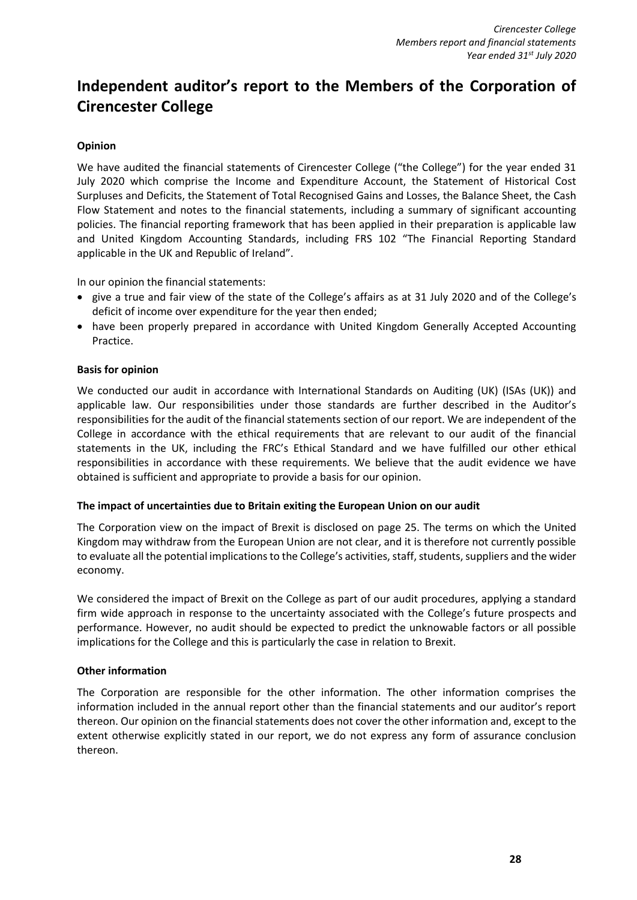# **Independent auditor's report to the Members of the Corporation of Cirencester College**

# **Opinion**

We have audited the financial statements of Cirencester College ("the College") for the year ended 31 July 2020 which comprise the Income and Expenditure Account, the Statement of Historical Cost Surpluses and Deficits, the Statement of Total Recognised Gains and Losses, the Balance Sheet, the Cash Flow Statement and notes to the financial statements, including a summary of significant accounting policies. The financial reporting framework that has been applied in their preparation is applicable law and United Kingdom Accounting Standards, including FRS 102 "The Financial Reporting Standard applicable in the UK and Republic of Ireland".

In our opinion the financial statements:

- give a true and fair view of the state of the College's affairs as at 31 July 2020 and of the College's deficit of income over expenditure for the year then ended;
- have been properly prepared in accordance with United Kingdom Generally Accepted Accounting Practice.

#### **Basis for opinion**

We conducted our audit in accordance with International Standards on Auditing (UK) (ISAs (UK)) and applicable law. Our responsibilities under those standards are further described in the Auditor's responsibilities for the audit of the financial statements section of our report. We are independent of the College in accordance with the ethical requirements that are relevant to our audit of the financial statements in the UK, including the FRC's Ethical Standard and we have fulfilled our other ethical responsibilities in accordance with these requirements. We believe that the audit evidence we have obtained is sufficient and appropriate to provide a basis for our opinion.

# **The impact of uncertainties due to Britain exiting the European Union on our audit**

The Corporation view on the impact of Brexit is disclosed on page 25. The terms on which the United Kingdom may withdraw from the European Union are not clear, and it is therefore not currently possible to evaluate all the potential implications to the College's activities, staff, students, suppliers and the wider economy.

We considered the impact of Brexit on the College as part of our audit procedures, applying a standard firm wide approach in response to the uncertainty associated with the College's future prospects and performance. However, no audit should be expected to predict the unknowable factors or all possible implications for the College and this is particularly the case in relation to Brexit.

# **Other information**

The Corporation are responsible for the other information. The other information comprises the information included in the annual report other than the financial statements and our auditor's report thereon. Our opinion on the financial statements does not cover the other information and, except to the extent otherwise explicitly stated in our report, we do not express any form of assurance conclusion thereon.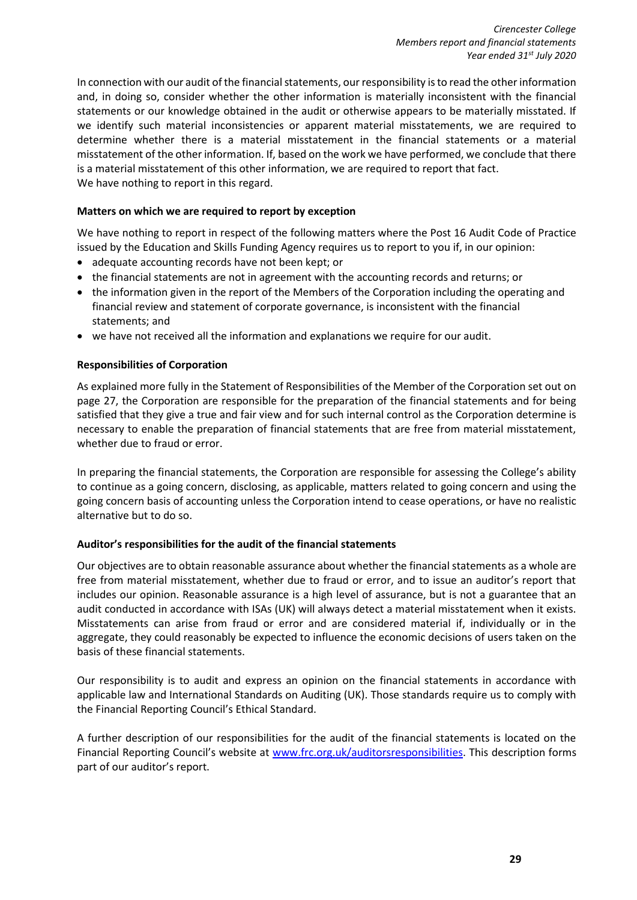In connection with our audit of the financial statements, our responsibility is to read the other information and, in doing so, consider whether the other information is materially inconsistent with the financial statements or our knowledge obtained in the audit or otherwise appears to be materially misstated. If we identify such material inconsistencies or apparent material misstatements, we are required to determine whether there is a material misstatement in the financial statements or a material misstatement of the other information. If, based on the work we have performed, we conclude that there is a material misstatement of this other information, we are required to report that fact. We have nothing to report in this regard.

# **Matters on which we are required to report by exception**

We have nothing to report in respect of the following matters where the Post 16 Audit Code of Practice issued by the Education and Skills Funding Agency requires us to report to you if, in our opinion:

- adequate accounting records have not been kept; or
- the financial statements are not in agreement with the accounting records and returns; or
- the information given in the report of the Members of the Corporation including the operating and financial review and statement of corporate governance, is inconsistent with the financial statements; and
- we have not received all the information and explanations we require for our audit.

# **Responsibilities of Corporation**

As explained more fully in the Statement of Responsibilities of the Member of the Corporation set out on page 27, the Corporation are responsible for the preparation of the financial statements and for being satisfied that they give a true and fair view and for such internal control as the Corporation determine is necessary to enable the preparation of financial statements that are free from material misstatement, whether due to fraud or error.

In preparing the financial statements, the Corporation are responsible for assessing the College's ability to continue as a going concern, disclosing, as applicable, matters related to going concern and using the going concern basis of accounting unless the Corporation intend to cease operations, or have no realistic alternative but to do so.

# **Auditor's responsibilities for the audit of the financial statements**

Our objectives are to obtain reasonable assurance about whether the financial statements as a whole are free from material misstatement, whether due to fraud or error, and to issue an auditor's report that includes our opinion. Reasonable assurance is a high level of assurance, but is not a guarantee that an audit conducted in accordance with ISAs (UK) will always detect a material misstatement when it exists. Misstatements can arise from fraud or error and are considered material if, individually or in the aggregate, they could reasonably be expected to influence the economic decisions of users taken on the basis of these financial statements.

Our responsibility is to audit and express an opinion on the financial statements in accordance with applicable law and International Standards on Auditing (UK). Those standards require us to comply with the Financial Reporting Council's Ethical Standard.

A further description of our responsibilities for the audit of the financial statements is located on the Financial Reporting Council's website at [www.frc.org.uk/auditorsresponsibilities.](http://www.frc.org.uk/auditorsresponsibilities) This description forms part of our auditor's report.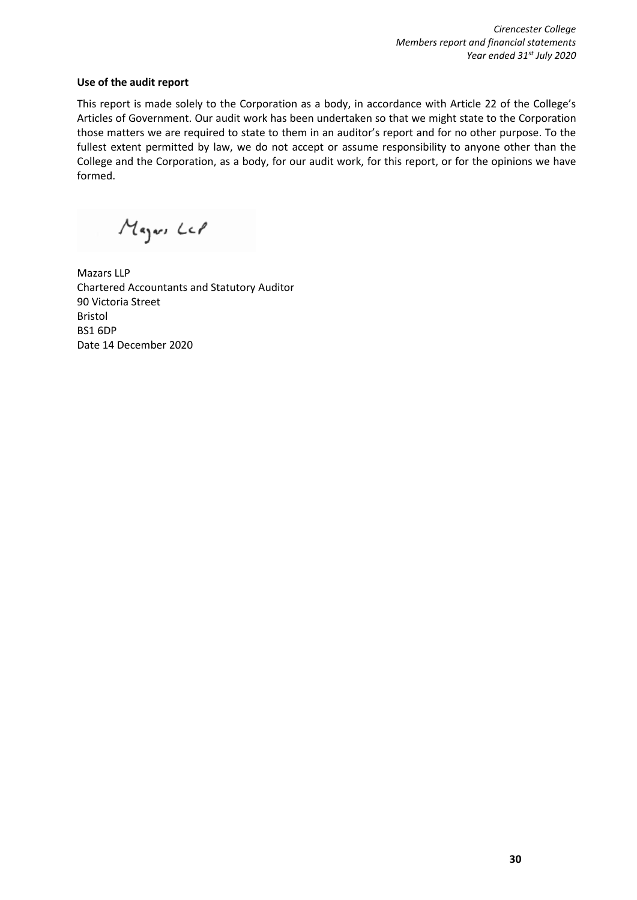# **Use of the audit report**

This report is made solely to the Corporation as a body, in accordance with Article 22 of the College's Articles of Government. Our audit work has been undertaken so that we might state to the Corporation those matters we are required to state to them in an auditor's report and for no other purpose. To the fullest extent permitted by law, we do not accept or assume responsibility to anyone other than the College and the Corporation, as a body, for our audit work, for this report, or for the opinions we have formed.

Mayor Lel

Mazars LLP Chartered Accountants and Statutory Auditor 90 Victoria Street Bristol BS1 6DP Date 14 December 2020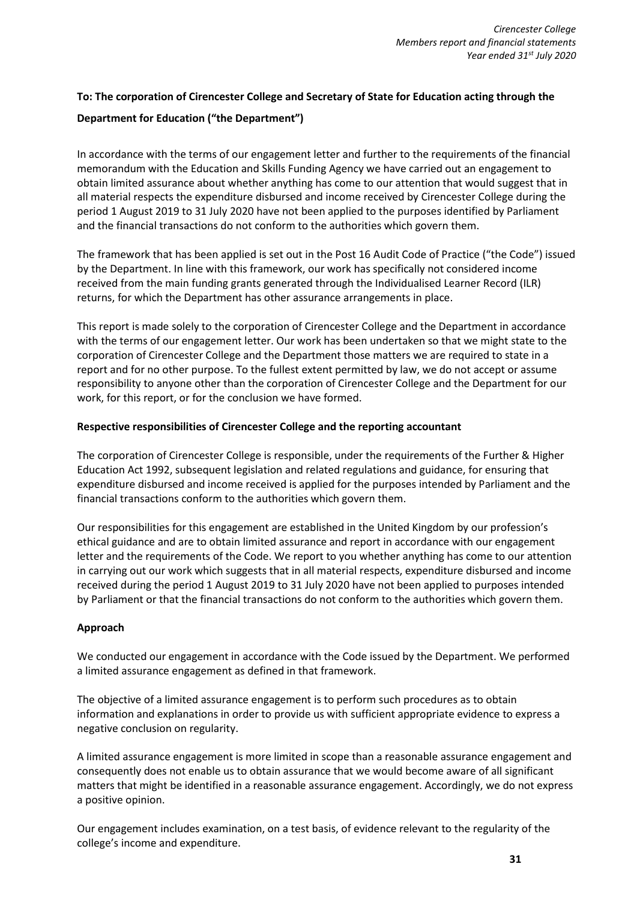# **To: The corporation of Cirencester College and Secretary of State for Education acting through the**

# **Department for Education ("the Department")**

In accordance with the terms of our engagement letter and further to the requirements of the financial memorandum with the Education and Skills Funding Agency we have carried out an engagement to obtain limited assurance about whether anything has come to our attention that would suggest that in all material respects the expenditure disbursed and income received by Cirencester College during the period 1 August 2019 to 31 July 2020 have not been applied to the purposes identified by Parliament and the financial transactions do not conform to the authorities which govern them.

The framework that has been applied is set out in the Post 16 Audit Code of Practice ("the Code") issued by the Department. In line with this framework, our work has specifically not considered income received from the main funding grants generated through the Individualised Learner Record (ILR) returns, for which the Department has other assurance arrangements in place.

This report is made solely to the corporation of Cirencester College and the Department in accordance with the terms of our engagement letter. Our work has been undertaken so that we might state to the corporation of Cirencester College and the Department those matters we are required to state in a report and for no other purpose. To the fullest extent permitted by law, we do not accept or assume responsibility to anyone other than the corporation of Cirencester College and the Department for our work, for this report, or for the conclusion we have formed.

# **Respective responsibilities of Cirencester College and the reporting accountant**

The corporation of Cirencester College is responsible, under the requirements of the Further & Higher Education Act 1992, subsequent legislation and related regulations and guidance, for ensuring that expenditure disbursed and income received is applied for the purposes intended by Parliament and the financial transactions conform to the authorities which govern them.

Our responsibilities for this engagement are established in the United Kingdom by our profession's ethical guidance and are to obtain limited assurance and report in accordance with our engagement letter and the requirements of the Code. We report to you whether anything has come to our attention in carrying out our work which suggests that in all material respects, expenditure disbursed and income received during the period 1 August 2019 to 31 July 2020 have not been applied to purposes intended by Parliament or that the financial transactions do not conform to the authorities which govern them.

# **Approach**

We conducted our engagement in accordance with the Code issued by the Department. We performed a limited assurance engagement as defined in that framework.

The objective of a limited assurance engagement is to perform such procedures as to obtain information and explanations in order to provide us with sufficient appropriate evidence to express a negative conclusion on regularity.

A limited assurance engagement is more limited in scope than a reasonable assurance engagement and consequently does not enable us to obtain assurance that we would become aware of all significant matters that might be identified in a reasonable assurance engagement. Accordingly, we do not express a positive opinion.

Our engagement includes examination, on a test basis, of evidence relevant to the regularity of the college's income and expenditure.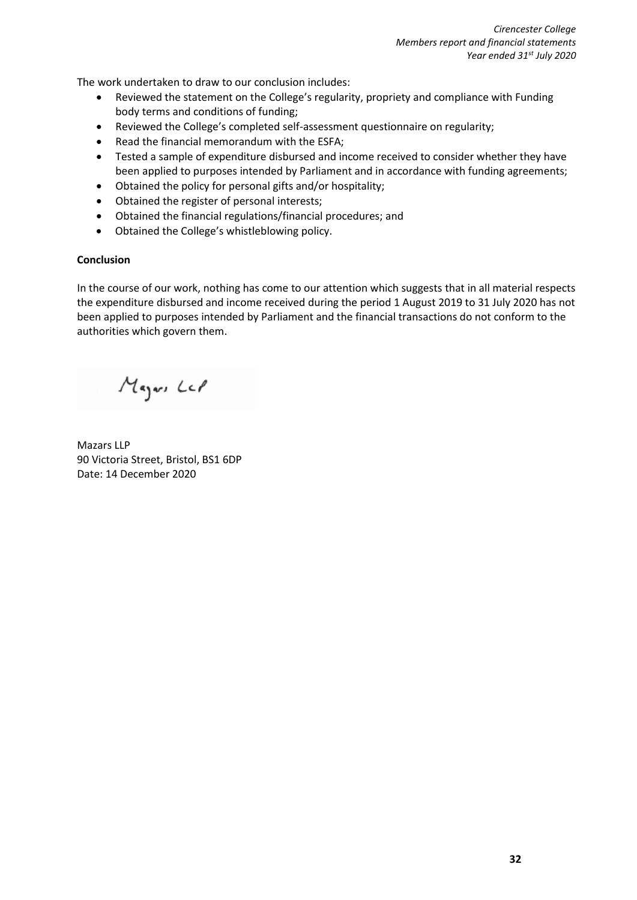The work undertaken to draw to our conclusion includes:

- Reviewed the statement on the College's regularity, propriety and compliance with Funding body terms and conditions of funding;
- Reviewed the College's completed self-assessment questionnaire on regularity;
- Read the financial memorandum with the ESFA;
- Tested a sample of expenditure disbursed and income received to consider whether they have been applied to purposes intended by Parliament and in accordance with funding agreements;
- Obtained the policy for personal gifts and/or hospitality;
- Obtained the register of personal interests;
- Obtained the financial regulations/financial procedures; and
- Obtained the College's whistleblowing policy.

# **Conclusion**

In the course of our work, nothing has come to our attention which suggests that in all material respects the expenditure disbursed and income received during the period 1 August 2019 to 31 July 2020 has not been applied to purposes intended by Parliament and the financial transactions do not conform to the authorities which govern them.

Mayor Lel

Mazars LLP 90 Victoria Street, Bristol, BS1 6DP Date: 14 December 2020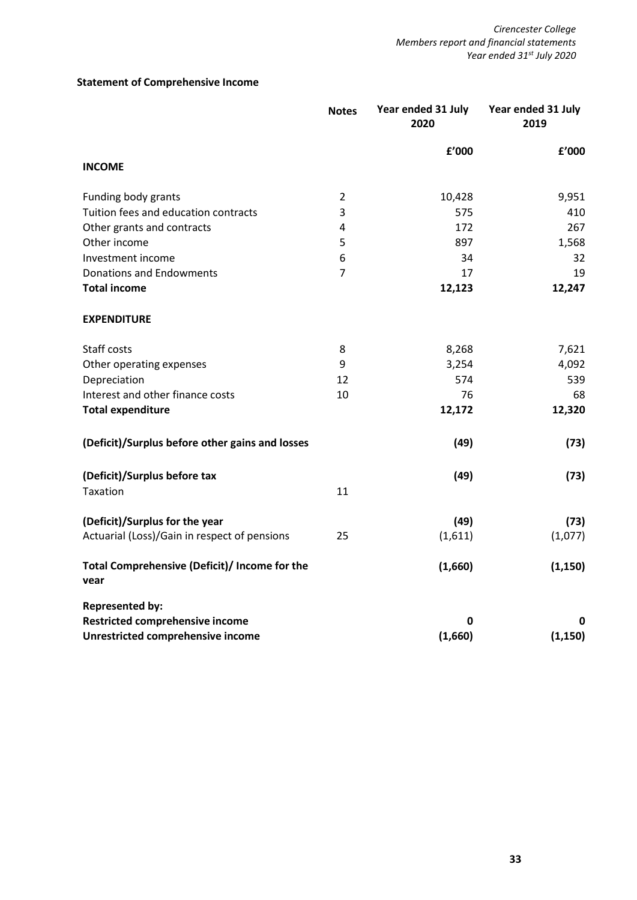# **Statement of Comprehensive Income**

|                                                       | <b>Notes</b>   | Year ended 31 July<br>2020 | Year ended 31 July<br>2019 |
|-------------------------------------------------------|----------------|----------------------------|----------------------------|
|                                                       |                | £'000                      | £'000                      |
| <b>INCOME</b>                                         |                |                            |                            |
| Funding body grants                                   | $\overline{2}$ | 10,428                     | 9,951                      |
| Tuition fees and education contracts                  | 3              | 575                        | 410                        |
| Other grants and contracts                            | 4              | 172                        | 267                        |
| Other income                                          | 5              | 897                        | 1,568                      |
| Investment income                                     | 6              | 34                         | 32                         |
| <b>Donations and Endowments</b>                       | $\overline{7}$ | 17                         | 19                         |
| <b>Total income</b>                                   |                | 12,123                     | 12,247                     |
| <b>EXPENDITURE</b>                                    |                |                            |                            |
| Staff costs                                           | 8              | 8,268                      | 7,621                      |
| Other operating expenses                              | 9              | 3,254                      | 4,092                      |
| Depreciation                                          | 12             | 574                        | 539                        |
| Interest and other finance costs                      | 10             | 76                         | 68                         |
| <b>Total expenditure</b>                              |                | 12,172                     | 12,320                     |
| (Deficit)/Surplus before other gains and losses       |                | (49)                       | (73)                       |
| (Deficit)/Surplus before tax                          |                | (49)                       | (73)                       |
| Taxation                                              | 11             |                            |                            |
| (Deficit)/Surplus for the year                        |                | (49)                       | (73)                       |
| Actuarial (Loss)/Gain in respect of pensions          | 25             | (1,611)                    | (1,077)                    |
| Total Comprehensive (Deficit)/ Income for the<br>vear |                | (1,660)                    | (1, 150)                   |
| <b>Represented by:</b>                                |                |                            |                            |
| Restricted comprehensive income                       |                | 0                          | 0                          |
| Unrestricted comprehensive income                     |                | (1,660)                    | (1, 150)                   |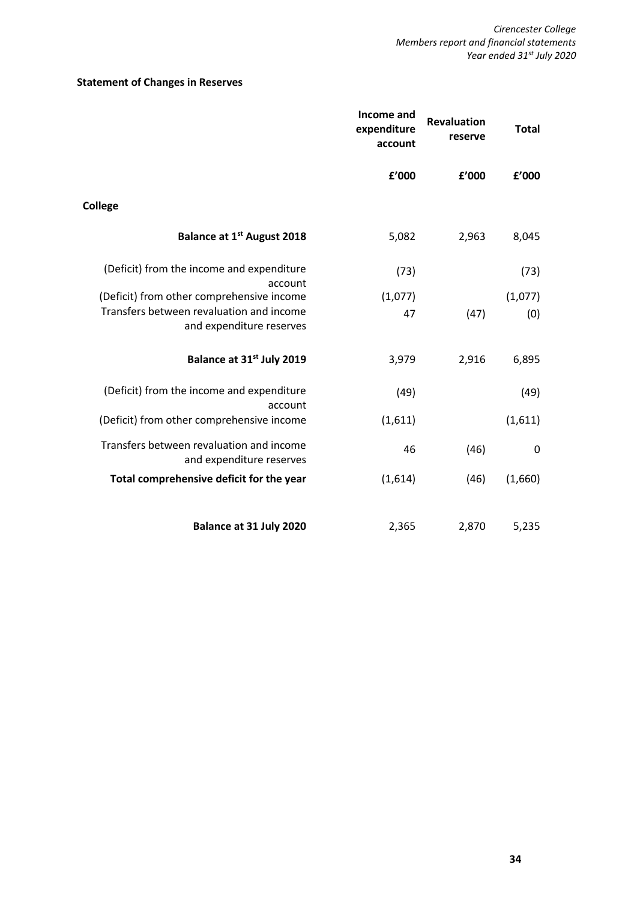# **Statement of Changes in Reserves**

|                                                                      | Income and<br>expenditure<br>account | <b>Revaluation</b><br>reserve | <b>Total</b> |
|----------------------------------------------------------------------|--------------------------------------|-------------------------------|--------------|
|                                                                      | £'000                                | £'000                         | £'000        |
| <b>College</b>                                                       |                                      |                               |              |
| Balance at 1 <sup>st</sup> August 2018                               | 5,082                                | 2,963                         | 8,045        |
| (Deficit) from the income and expenditure<br>account                 | (73)                                 |                               | (73)         |
| (Deficit) from other comprehensive income                            | (1,077)                              |                               | (1,077)      |
| Transfers between revaluation and income<br>and expenditure reserves | 47                                   | (47)                          | (0)          |
| Balance at 31 <sup>st</sup> July 2019                                | 3,979                                | 2,916                         | 6,895        |
| (Deficit) from the income and expenditure<br>account                 | (49)                                 |                               | (49)         |
| (Deficit) from other comprehensive income                            | (1,611)                              |                               | (1,611)      |
| Transfers between revaluation and income<br>and expenditure reserves | 46                                   | (46)                          | $\mathbf 0$  |
| Total comprehensive deficit for the year                             | (1,614)                              | (46)                          | (1,660)      |
| Balance at 31 July 2020                                              | 2,365                                | 2,870                         | 5,235        |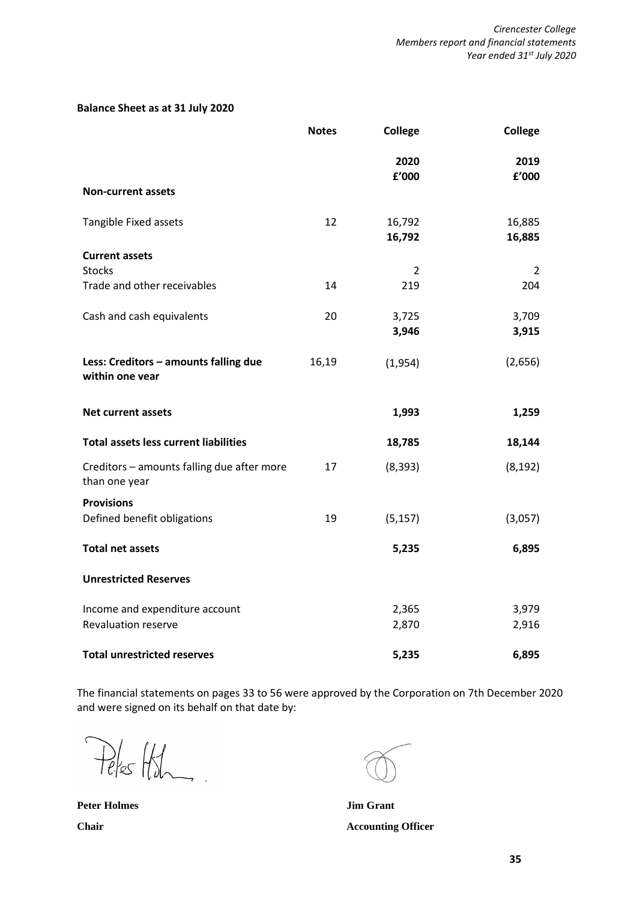# **Balance Sheet as at 31 July 2020**

|                                                             | <b>Notes</b> | <b>College</b>   | <b>College</b>   |
|-------------------------------------------------------------|--------------|------------------|------------------|
|                                                             |              | 2020<br>£'000    | 2019<br>£'000    |
| <b>Non-current assets</b>                                   |              |                  |                  |
| Tangible Fixed assets                                       | 12           | 16,792<br>16,792 | 16,885<br>16,885 |
| <b>Current assets</b><br><b>Stocks</b>                      |              | 2                | $\overline{2}$   |
| Trade and other receivables                                 | 14           | 219              | 204              |
| Cash and cash equivalents                                   | 20           | 3,725<br>3,946   | 3,709<br>3,915   |
| Less: Creditors - amounts falling due<br>within one vear    | 16,19        | (1,954)          | (2,656)          |
| <b>Net current assets</b>                                   |              | 1,993            | 1,259            |
| <b>Total assets less current liabilities</b>                |              | 18,785           | 18,144           |
| Creditors - amounts falling due after more<br>than one year | 17           | (8, 393)         | (8, 192)         |
| <b>Provisions</b><br>Defined benefit obligations            | 19           | (5, 157)         | (3,057)          |
| <b>Total net assets</b>                                     |              | 5,235            | 6,895            |
| <b>Unrestricted Reserves</b>                                |              |                  |                  |
| Income and expenditure account                              |              | 2,365            | 3,979            |
| <b>Revaluation reserve</b>                                  |              | 2,870            | 2,916            |
| <b>Total unrestricted reserves</b>                          |              | 5,235            | 6,895            |

The financial statements on pages 33 to 56 were approved by the Corporation on 7th December 2020 and were signed on its behalf on that date by:

Peles Holm

**Peter Holmes Jim Grant**

**Chair Accounting Officer**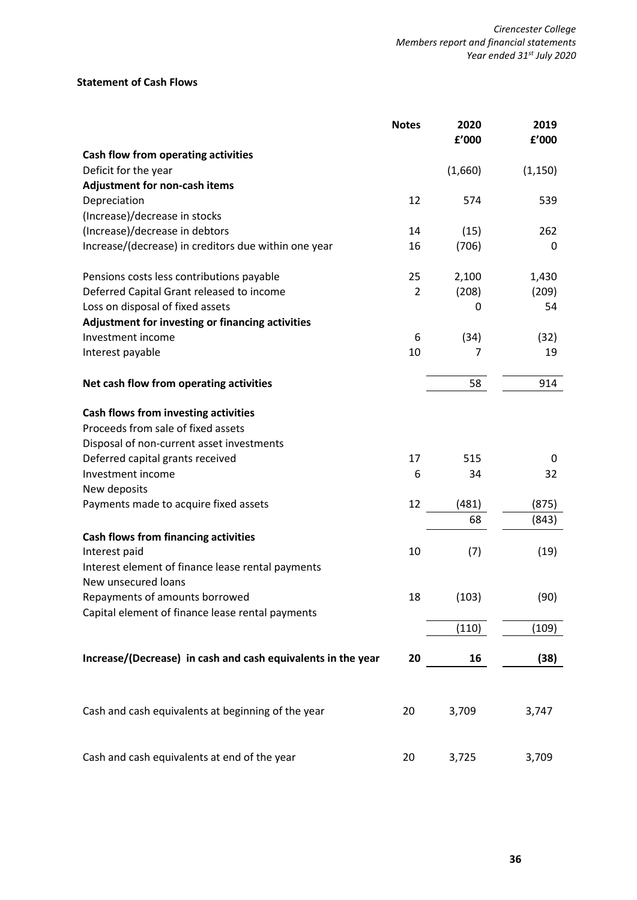# **Statement of Cash Flows**

|                                                              | <b>Notes</b> | 2020<br>£'000 | 2019<br>f'000 |
|--------------------------------------------------------------|--------------|---------------|---------------|
| Cash flow from operating activities                          |              |               |               |
| Deficit for the year                                         |              | (1,660)       | (1, 150)      |
| <b>Adjustment for non-cash items</b>                         |              |               |               |
| Depreciation                                                 | 12           | 574           | 539           |
| (Increase)/decrease in stocks                                |              |               |               |
| (Increase)/decrease in debtors                               | 14           | (15)          | 262           |
| Increase/(decrease) in creditors due within one year         | 16           | (706)         | 0             |
| Pensions costs less contributions payable                    | 25           | 2,100         | 1,430         |
| Deferred Capital Grant released to income                    | 2            | (208)         | (209)         |
| Loss on disposal of fixed assets                             |              | 0             | 54            |
| Adjustment for investing or financing activities             |              |               |               |
| Investment income                                            | 6            | (34)          | (32)          |
| Interest payable                                             | 10           | 7             | 19            |
| Net cash flow from operating activities                      |              | 58            | 914           |
| Cash flows from investing activities                         |              |               |               |
| Proceeds from sale of fixed assets                           |              |               |               |
| Disposal of non-current asset investments                    |              |               |               |
| Deferred capital grants received                             | 17           | 515           | 0             |
| Investment income                                            | 6            | 34            | 32            |
| New deposits                                                 |              |               |               |
| Payments made to acquire fixed assets                        | 12           | (481)         | (875)         |
|                                                              |              | 68            | (843)         |
| <b>Cash flows from financing activities</b>                  |              |               |               |
| Interest paid                                                | 10           | (7)           | (19)          |
| Interest element of finance lease rental payments            |              |               |               |
| New unsecured loans                                          |              |               |               |
| Repayments of amounts borrowed                               | 18           | (103)         | (90)          |
| Capital element of finance lease rental payments             |              |               |               |
|                                                              |              | (110)         | (109)         |
| Increase/(Decrease) in cash and cash equivalents in the year | 20           | 16            | (38)          |
|                                                              |              |               |               |
| Cash and cash equivalents at beginning of the year           | 20           | 3,709         | 3,747         |
| Cash and cash equivalents at end of the year                 | 20           | 3,725         | 3,709         |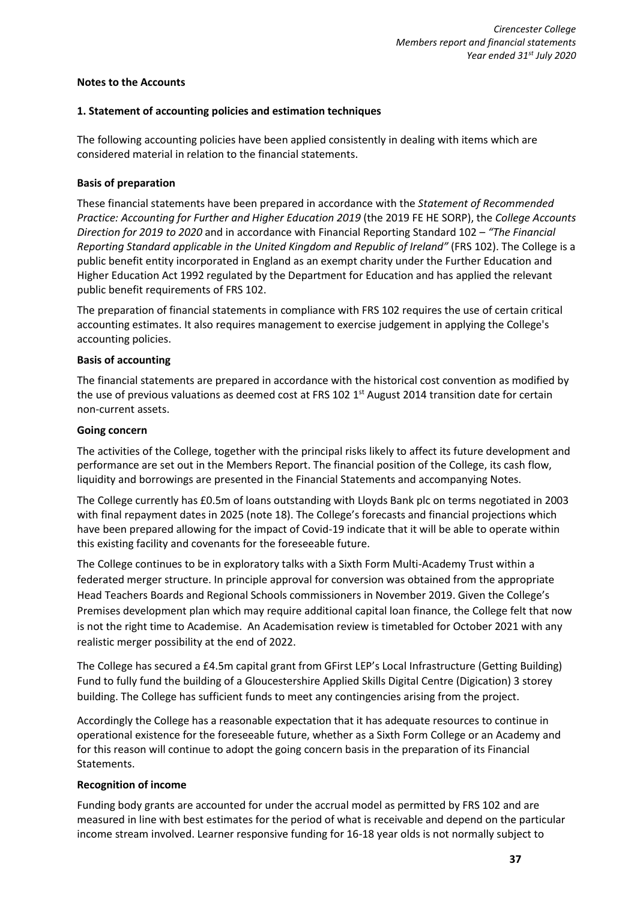# **Notes to the Accounts**

## **1. Statement of accounting policies and estimation techniques**

The following accounting policies have been applied consistently in dealing with items which are considered material in relation to the financial statements.

#### **Basis of preparation**

These financial statements have been prepared in accordance with the *Statement of Recommended Practice: Accounting for Further and Higher Education 2019* (the 2019 FE HE SORP), the *College Accounts Direction for 2019 to 2020* and in accordance with Financial Reporting Standard 102 – *"The Financial Reporting Standard applicable in the United Kingdom and Republic of Ireland"* (FRS 102). The College is a public benefit entity incorporated in England as an exempt charity under the Further Education and Higher Education Act 1992 regulated by the Department for Education and has applied the relevant public benefit requirements of FRS 102.

The preparation of financial statements in compliance with FRS 102 requires the use of certain critical accounting estimates. It also requires management to exercise judgement in applying the College's accounting policies.

#### **Basis of accounting**

The financial statements are prepared in accordance with the historical cost convention as modified by the use of previous valuations as deemed cost at FRS 102 1<sup>st</sup> August 2014 transition date for certain non-current assets.

#### **Going concern**

The activities of the College, together with the principal risks likely to affect its future development and performance are set out in the Members Report. The financial position of the College, its cash flow, liquidity and borrowings are presented in the Financial Statements and accompanying Notes.

The College currently has £0.5m of loans outstanding with Lloyds Bank plc on terms negotiated in 2003 with final repayment dates in 2025 (note 18). The College's forecasts and financial projections which have been prepared allowing for the impact of Covid-19 indicate that it will be able to operate within this existing facility and covenants for the foreseeable future.

The College continues to be in exploratory talks with a Sixth Form Multi-Academy Trust within a federated merger structure. In principle approval for conversion was obtained from the appropriate Head Teachers Boards and Regional Schools commissioners in November 2019. Given the College's Premises development plan which may require additional capital loan finance, the College felt that now is not the right time to Academise. An Academisation review is timetabled for October 2021 with any realistic merger possibility at the end of 2022.

The College has secured a £4.5m capital grant from GFirst LEP's Local Infrastructure (Getting Building) Fund to fully fund the building of a Gloucestershire Applied Skills Digital Centre (Digication) 3 storey building. The College has sufficient funds to meet any contingencies arising from the project.

Accordingly the College has a reasonable expectation that it has adequate resources to continue in operational existence for the foreseeable future, whether as a Sixth Form College or an Academy and for this reason will continue to adopt the going concern basis in the preparation of its Financial Statements.

# **Recognition of income**

Funding body grants are accounted for under the accrual model as permitted by FRS 102 and are measured in line with best estimates for the period of what is receivable and depend on the particular income stream involved. Learner responsive funding for 16-18 year olds is not normally subject to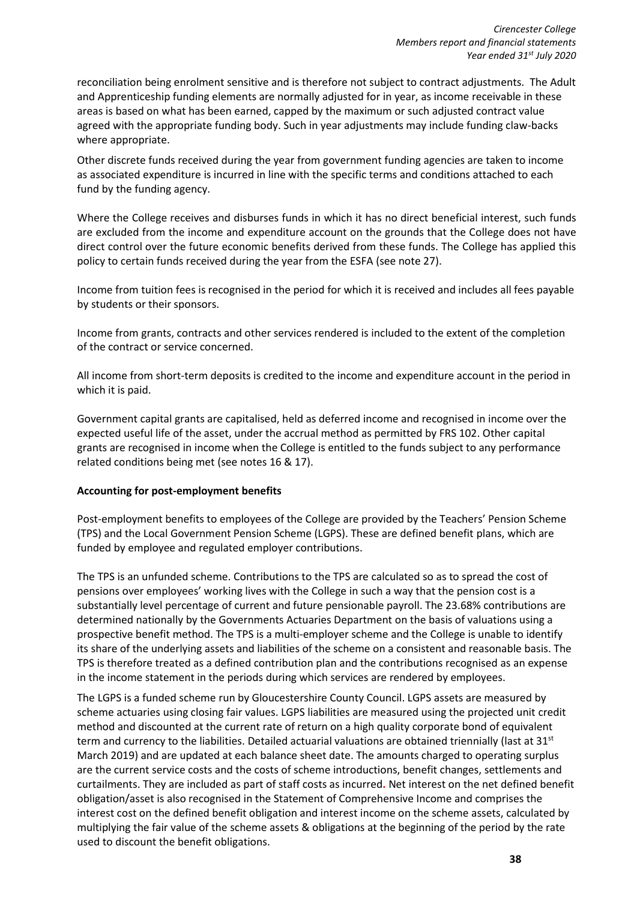reconciliation being enrolment sensitive and is therefore not subject to contract adjustments. The Adult and Apprenticeship funding elements are normally adjusted for in year, as income receivable in these areas is based on what has been earned, capped by the maximum or such adjusted contract value agreed with the appropriate funding body. Such in year adjustments may include funding claw-backs where appropriate.

Other discrete funds received during the year from government funding agencies are taken to income as associated expenditure is incurred in line with the specific terms and conditions attached to each fund by the funding agency.

Where the College receives and disburses funds in which it has no direct beneficial interest, such funds are excluded from the income and expenditure account on the grounds that the College does not have direct control over the future economic benefits derived from these funds. The College has applied this policy to certain funds received during the year from the ESFA (see note 27).

Income from tuition fees is recognised in the period for which it is received and includes all fees payable by students or their sponsors.

Income from grants, contracts and other services rendered is included to the extent of the completion of the contract or service concerned.

All income from short-term deposits is credited to the income and expenditure account in the period in which it is paid.

Government capital grants are capitalised, held as deferred income and recognised in income over the expected useful life of the asset, under the accrual method as permitted by FRS 102. Other capital grants are recognised in income when the College is entitled to the funds subject to any performance related conditions being met (see notes 16 & 17).

# **Accounting for post-employment benefits**

Post-employment benefits to employees of the College are provided by the Teachers' Pension Scheme (TPS) and the Local Government Pension Scheme (LGPS). These are defined benefit plans, which are funded by employee and regulated employer contributions.

The TPS is an unfunded scheme. Contributions to the TPS are calculated so as to spread the cost of pensions over employees' working lives with the College in such a way that the pension cost is a substantially level percentage of current and future pensionable payroll. The 23.68% contributions are determined nationally by the Governments Actuaries Department on the basis of valuations using a prospective benefit method. The TPS is a multi-employer scheme and the College is unable to identify its share of the underlying assets and liabilities of the scheme on a consistent and reasonable basis. The TPS is therefore treated as a defined contribution plan and the contributions recognised as an expense in the income statement in the periods during which services are rendered by employees.

The LGPS is a funded scheme run by Gloucestershire County Council. LGPS assets are measured by scheme actuaries using closing fair values. LGPS liabilities are measured using the projected unit credit method and discounted at the current rate of return on a high quality corporate bond of equivalent term and currency to the liabilities. Detailed actuarial valuations are obtained triennially (last at 31<sup>st</sup> March 2019) and are updated at each balance sheet date. The amounts charged to operating surplus are the current service costs and the costs of scheme introductions, benefit changes, settlements and curtailments. They are included as part of staff costs as incurred**.** Net interest on the net defined benefit obligation/asset is also recognised in the Statement of Comprehensive Income and comprises the interest cost on the defined benefit obligation and interest income on the scheme assets, calculated by multiplying the fair value of the scheme assets & obligations at the beginning of the period by the rate used to discount the benefit obligations.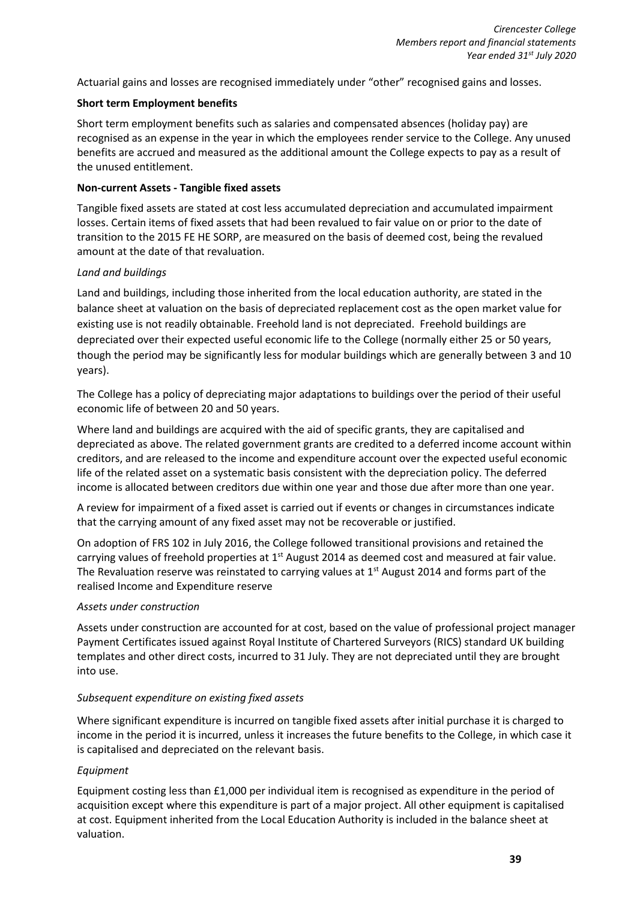Actuarial gains and losses are recognised immediately under "other" recognised gains and losses.

# **Short term Employment benefits**

Short term employment benefits such as salaries and compensated absences (holiday pay) are recognised as an expense in the year in which the employees render service to the College. Any unused benefits are accrued and measured as the additional amount the College expects to pay as a result of the unused entitlement.

# **Non-current Assets - Tangible fixed assets**

Tangible fixed assets are stated at cost less accumulated depreciation and accumulated impairment losses. Certain items of fixed assets that had been revalued to fair value on or prior to the date of transition to the 2015 FE HE SORP, are measured on the basis of deemed cost, being the revalued amount at the date of that revaluation.

# *Land and buildings*

Land and buildings, including those inherited from the local education authority, are stated in the balance sheet at valuation on the basis of depreciated replacement cost as the open market value for existing use is not readily obtainable. Freehold land is not depreciated. Freehold buildings are depreciated over their expected useful economic life to the College (normally either 25 or 50 years, though the period may be significantly less for modular buildings which are generally between 3 and 10 years).

The College has a policy of depreciating major adaptations to buildings over the period of their useful economic life of between 20 and 50 years.

Where land and buildings are acquired with the aid of specific grants, they are capitalised and depreciated as above. The related government grants are credited to a deferred income account within creditors, and are released to the income and expenditure account over the expected useful economic life of the related asset on a systematic basis consistent with the depreciation policy. The deferred income is allocated between creditors due within one year and those due after more than one year.

A review for impairment of a fixed asset is carried out if events or changes in circumstances indicate that the carrying amount of any fixed asset may not be recoverable or justified.

On adoption of FRS 102 in July 2016, the College followed transitional provisions and retained the carrying values of freehold properties at  $1<sup>st</sup>$  August 2014 as deemed cost and measured at fair value. The Revaluation reserve was reinstated to carrying values at  $1<sup>st</sup>$  August 2014 and forms part of the realised Income and Expenditure reserve

# *Assets under construction*

Assets under construction are accounted for at cost, based on the value of professional project manager Payment Certificates issued against Royal Institute of Chartered Surveyors (RICS) standard UK building templates and other direct costs, incurred to 31 July. They are not depreciated until they are brought into use.

# *Subsequent expenditure on existing fixed assets*

Where significant expenditure is incurred on tangible fixed assets after initial purchase it is charged to income in the period it is incurred, unless it increases the future benefits to the College, in which case it is capitalised and depreciated on the relevant basis.

# *Equipment*

Equipment costing less than £1,000 per individual item is recognised as expenditure in the period of acquisition except where this expenditure is part of a major project. All other equipment is capitalised at cost. Equipment inherited from the Local Education Authority is included in the balance sheet at valuation.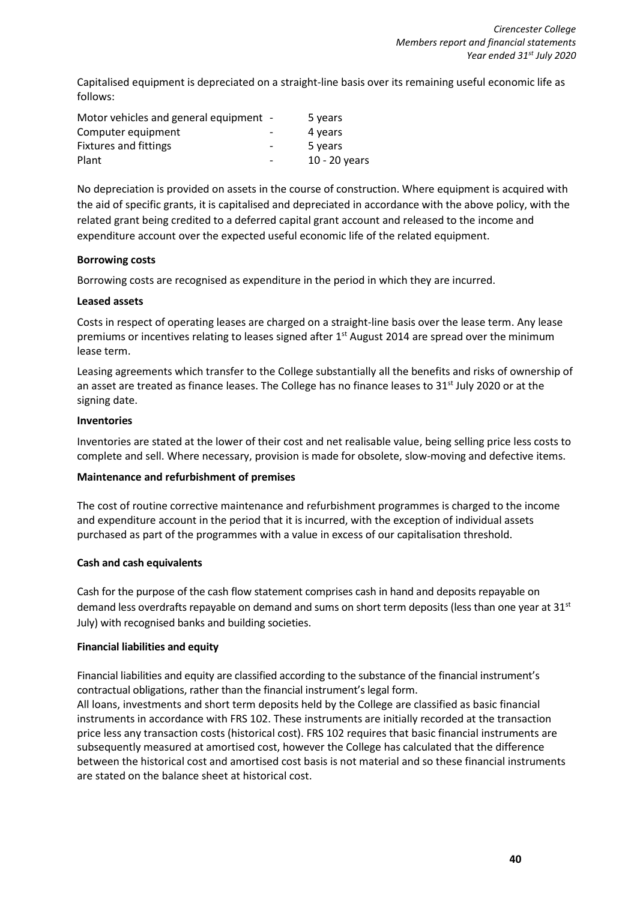Capitalised equipment is depreciated on a straight-line basis over its remaining useful economic life as follows:

| Motor vehicles and general equipment - |                          | 5 years       |
|----------------------------------------|--------------------------|---------------|
| Computer equipment                     |                          | 4 years       |
| <b>Fixtures and fittings</b>           | $\overline{\phantom{a}}$ | 5 years       |
| Plant                                  | $\overline{\phantom{0}}$ | 10 - 20 years |

No depreciation is provided on assets in the course of construction. Where equipment is acquired with the aid of specific grants, it is capitalised and depreciated in accordance with the above policy, with the related grant being credited to a deferred capital grant account and released to the income and expenditure account over the expected useful economic life of the related equipment.

# **Borrowing costs**

Borrowing costs are recognised as expenditure in the period in which they are incurred.

# **Leased assets**

Costs in respect of operating leases are charged on a straight-line basis over the lease term. Any lease premiums or incentives relating to leases signed after 1<sup>st</sup> August 2014 are spread over the minimum lease term.

Leasing agreements which transfer to the College substantially all the benefits and risks of ownership of an asset are treated as finance leases. The College has no finance leases to  $31<sup>st</sup>$  July 2020 or at the signing date.

# **Inventories**

Inventories are stated at the lower of their cost and net realisable value, being selling price less costs to complete and sell. Where necessary, provision is made for obsolete, slow-moving and defective items.

# **Maintenance and refurbishment of premises**

The cost of routine corrective maintenance and refurbishment programmes is charged to the income and expenditure account in the period that it is incurred, with the exception of individual assets purchased as part of the programmes with a value in excess of our capitalisation threshold.

# **Cash and cash equivalents**

Cash for the purpose of the cash flow statement comprises cash in hand and deposits repayable on demand less overdrafts repayable on demand and sums on short term deposits (less than one year at 31<sup>st</sup> July) with recognised banks and building societies.

# **Financial liabilities and equity**

Financial liabilities and equity are classified according to the substance of the financial instrument's contractual obligations, rather than the financial instrument's legal form.

All loans, investments and short term deposits held by the College are classified as basic financial instruments in accordance with FRS 102. These instruments are initially recorded at the transaction price less any transaction costs (historical cost). FRS 102 requires that basic financial instruments are subsequently measured at amortised cost, however the College has calculated that the difference between the historical cost and amortised cost basis is not material and so these financial instruments are stated on the balance sheet at historical cost.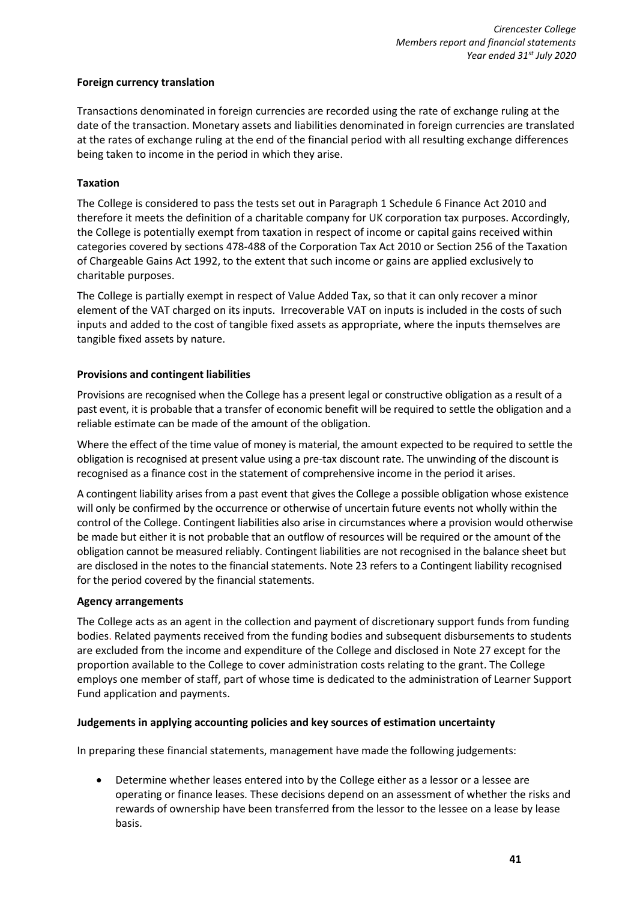# **Foreign currency translation**

Transactions denominated in foreign currencies are recorded using the rate of exchange ruling at the date of the transaction. Monetary assets and liabilities denominated in foreign currencies are translated at the rates of exchange ruling at the end of the financial period with all resulting exchange differences being taken to income in the period in which they arise.

# **Taxation**

The College is considered to pass the tests set out in Paragraph 1 Schedule 6 Finance Act 2010 and therefore it meets the definition of a charitable company for UK corporation tax purposes. Accordingly, the College is potentially exempt from taxation in respect of income or capital gains received within categories covered by sections 478-488 of the Corporation Tax Act 2010 or Section 256 of the Taxation of Chargeable Gains Act 1992, to the extent that such income or gains are applied exclusively to charitable purposes.

The College is partially exempt in respect of Value Added Tax, so that it can only recover a minor element of the VAT charged on its inputs. Irrecoverable VAT on inputs is included in the costs of such inputs and added to the cost of tangible fixed assets as appropriate, where the inputs themselves are tangible fixed assets by nature.

# **Provisions and contingent liabilities**

Provisions are recognised when the College has a present legal or constructive obligation as a result of a past event, it is probable that a transfer of economic benefit will be required to settle the obligation and a reliable estimate can be made of the amount of the obligation.

Where the effect of the time value of money is material, the amount expected to be required to settle the obligation is recognised at present value using a pre-tax discount rate. The unwinding of the discount is recognised as a finance cost in the statement of comprehensive income in the period it arises.

A contingent liability arises from a past event that gives the College a possible obligation whose existence will only be confirmed by the occurrence or otherwise of uncertain future events not wholly within the control of the College. Contingent liabilities also arise in circumstances where a provision would otherwise be made but either it is not probable that an outflow of resources will be required or the amount of the obligation cannot be measured reliably. Contingent liabilities are not recognised in the balance sheet but are disclosed in the notes to the financial statements. Note 23 refers to a Contingent liability recognised for the period covered by the financial statements.

# **Agency arrangements**

The College acts as an agent in the collection and payment of discretionary support funds from funding bodies. Related payments received from the funding bodies and subsequent disbursements to students are excluded from the income and expenditure of the College and disclosed in Note 27 except for the proportion available to the College to cover administration costs relating to the grant. The College employs one member of staff, part of whose time is dedicated to the administration of Learner Support Fund application and payments.

# **Judgements in applying accounting policies and key sources of estimation uncertainty**

In preparing these financial statements, management have made the following judgements:

• Determine whether leases entered into by the College either as a lessor or a lessee are operating or finance leases. These decisions depend on an assessment of whether the risks and rewards of ownership have been transferred from the lessor to the lessee on a lease by lease basis.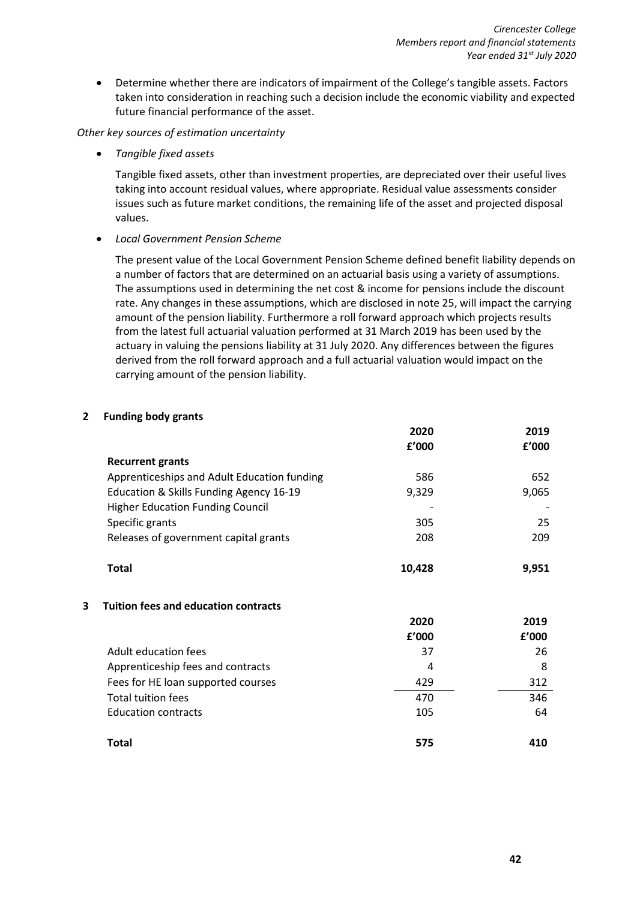• Determine whether there are indicators of impairment of the College's tangible assets. Factors taken into consideration in reaching such a decision include the economic viability and expected future financial performance of the asset.

# *Other key sources of estimation uncertainty*

• *Tangible fixed assets*

Tangible fixed assets, other than investment properties, are depreciated over their useful lives taking into account residual values, where appropriate. Residual value assessments consider issues such as future market conditions, the remaining life of the asset and projected disposal values.

• *Local Government Pension Scheme*

The present value of the Local Government Pension Scheme defined benefit liability depends on a number of factors that are determined on an actuarial basis using a variety of assumptions. The assumptions used in determining the net cost & income for pensions include the discount rate. Any changes in these assumptions, which are disclosed in note 25, will impact the carrying amount of the pension liability. Furthermore a roll forward approach which projects results from the latest full actuarial valuation performed at 31 March 2019 has been used by the actuary in valuing the pensions liability at 31 July 2020. Any differences between the figures derived from the roll forward approach and a full actuarial valuation would impact on the carrying amount of the pension liability.

# **2 Funding body grants**

|   |                                             | 2020   | 2019  |
|---|---------------------------------------------|--------|-------|
|   |                                             | £'000  | f'000 |
|   | <b>Recurrent grants</b>                     |        |       |
|   | Apprenticeships and Adult Education funding | 586    | 652   |
|   | Education & Skills Funding Agency 16-19     | 9,329  | 9,065 |
|   | <b>Higher Education Funding Council</b>     |        |       |
|   | Specific grants                             | 305    | 25    |
|   | Releases of government capital grants       | 208    | 209   |
|   | <b>Total</b>                                | 10,428 | 9,951 |
| 3 | <b>Tuition fees and education contracts</b> |        |       |
|   |                                             | 2020   | 2019  |
|   |                                             | £'000  | f'000 |
|   | Adult education fees                        | 37     | 26    |
|   | Apprenticeship fees and contracts           | 4      | 8     |
|   | Fees for HE loan supported courses          | 429    | 312   |
|   | <b>Total tuition fees</b>                   | 470    | 346   |
|   | <b>Education contracts</b>                  | 105    | 64    |
|   | <b>Total</b>                                | 575    | 410   |
|   |                                             |        |       |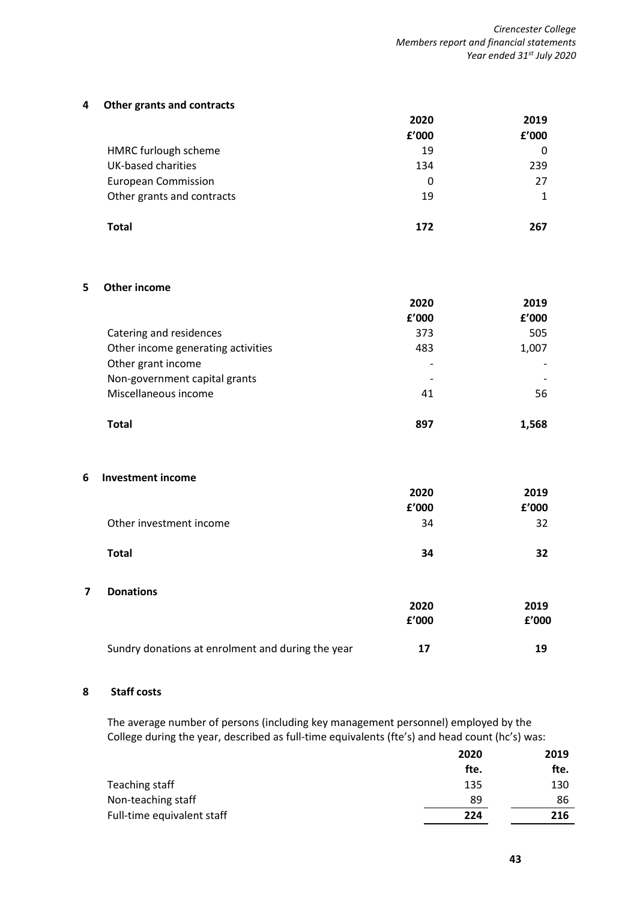#### **4 Other grants and contracts**

|                            | 2020  | 2019  |
|----------------------------|-------|-------|
|                            | £'000 | f'000 |
| HMRC furlough scheme       | 19    | 0     |
| <b>UK-based charities</b>  | 134   | 239   |
| <b>European Commission</b> | 0     | 27    |
| Other grants and contracts | 19    |       |
|                            |       |       |
| <b>Total</b>               | 172   | 267   |

## **5 Other income**

|                                    | 2020  | 2019  |
|------------------------------------|-------|-------|
|                                    | £'000 | f'000 |
| Catering and residences            | 373   | 505   |
| Other income generating activities | 483   | 1,007 |
| Other grant income                 |       |       |
| Non-government capital grants      |       |       |
| Miscellaneous income               | 41    | 56    |
|                                    |       |       |
| Total                              | 897   | 1,568 |

#### **6 Investment income**

|                         | 2020  | 2019  |
|-------------------------|-------|-------|
|                         | £'000 | £'000 |
| Other investment income | 34    | 32    |
| <b>Total</b>            | 34    | 32    |
| <b>Donations</b><br>7   |       |       |
|                         | 2020  | 2019  |
|                         | £'000 | £'000 |

#### **8 Staff costs**

The average number of persons (including key management personnel) employed by the College during the year, described as full-time equivalents (fte's) and head count (hc's) was:

Sundry donations at enrolment and during the year **17** 19

|                            | 2020 | 2019 |
|----------------------------|------|------|
|                            | fte. | fte. |
| Teaching staff             | 135  | 130  |
| Non-teaching staff         | 89   | 86   |
| Full-time equivalent staff | 224  | 216  |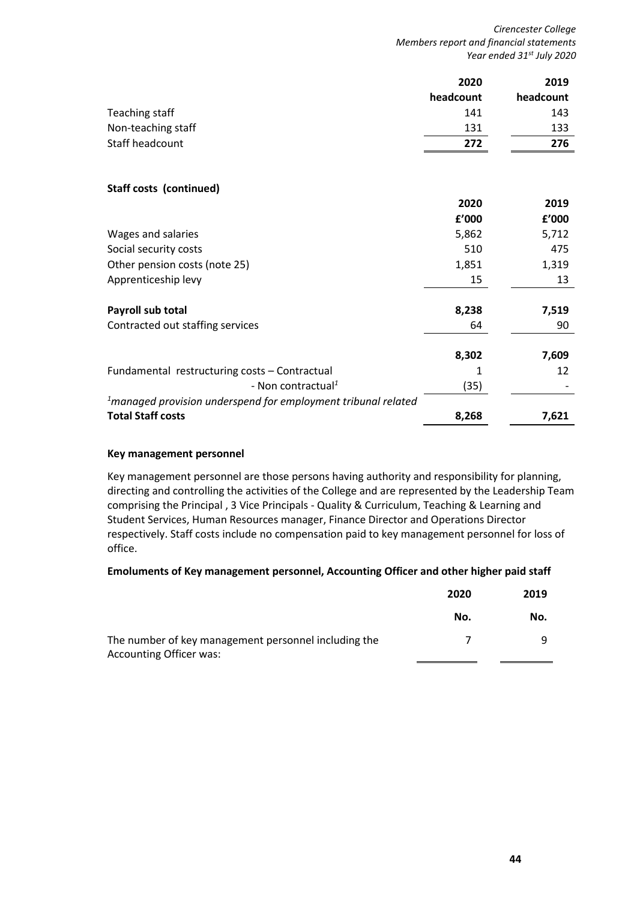*Cirencester College Members report and financial statements Year ended 31st July 2020*

|                                                                  | 2020      | 2019      |
|------------------------------------------------------------------|-----------|-----------|
|                                                                  | headcount | headcount |
| Teaching staff                                                   | 141       | 143       |
| Non-teaching staff                                               | 131       | 133       |
| Staff headcount                                                  | 272       | 276       |
| <b>Staff costs (continued)</b>                                   |           |           |
|                                                                  | 2020      | 2019      |
|                                                                  | £'000     | f'000     |
| Wages and salaries                                               | 5,862     | 5,712     |
| Social security costs                                            | 510       | 475       |
| Other pension costs (note 25)                                    | 1,851     | 1,319     |
| Apprenticeship levy                                              | 15        | 13        |
| Payroll sub total                                                | 8,238     | 7,519     |
| Contracted out staffing services                                 | 64        | 90        |
|                                                                  | 8,302     | 7,609     |
| Fundamental restructuring costs - Contractual                    | 1         | 12        |
| - Non contractual <sup>1</sup>                                   | (35)      |           |
| $1$ managed provision underspend for employment tribunal related |           |           |
| <b>Total Staff costs</b>                                         | 8,268     | 7,621     |

# **Key management personnel**

Key management personnel are those persons having authority and responsibility for planning, directing and controlling the activities of the College and are represented by the Leadership Team comprising the Principal , 3 Vice Principals - Quality & Curriculum, Teaching & Learning and Student Services, Human Resources manager, Finance Director and Operations Director respectively. Staff costs include no compensation paid to key management personnel for loss of office.

# **Emoluments of Key management personnel, Accounting Officer and other higher paid staff**

|                                                                                        | 2020 | 2019 |
|----------------------------------------------------------------------------------------|------|------|
|                                                                                        | No.  | No.  |
| The number of key management personnel including the<br><b>Accounting Officer was:</b> |      |      |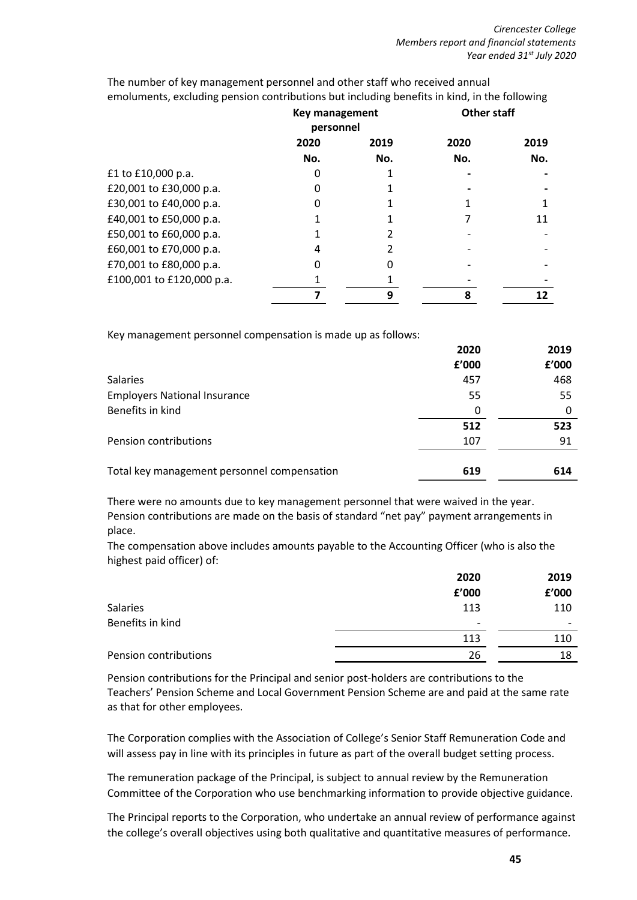|                           | <b>Key management</b><br>personnel |      | <b>Other staff</b> |      |
|---------------------------|------------------------------------|------|--------------------|------|
|                           | 2020                               | 2019 | 2020               | 2019 |
|                           | No.                                | No.  | No.                | No.  |
| £1 to £10,000 p.a.        |                                    |      |                    |      |
| £20,001 to £30,000 p.a.   |                                    |      |                    |      |
| £30,001 to £40,000 p.a.   |                                    |      |                    |      |
| £40,001 to £50,000 p.a.   |                                    |      |                    | 11   |
| £50,001 to £60,000 p.a.   |                                    |      |                    |      |
| £60,001 to £70,000 p.a.   | 4                                  |      |                    |      |
| £70,001 to £80,000 p.a.   | O                                  | O    |                    |      |
| £100,001 to £120,000 p.a. |                                    |      |                    |      |
|                           |                                    | 9    | 8                  | 12   |

The number of key management personnel and other staff who received annual emoluments, excluding pension contributions but including benefits in kind, in the following

Key management personnel compensation is made up as follows:

|                                             | 2020  | 2019  |
|---------------------------------------------|-------|-------|
|                                             | £'000 | £'000 |
| <b>Salaries</b>                             | 457   | 468   |
| <b>Employers National Insurance</b>         | 55    | 55    |
| Benefits in kind                            | 0     |       |
|                                             | 512   | 523   |
| Pension contributions                       | 107   | 91    |
|                                             |       |       |
| Total key management personnel compensation | 619   | 614   |

There were no amounts due to key management personnel that were waived in the year. Pension contributions are made on the basis of standard "net pay" payment arrangements in place.

The compensation above includes amounts payable to the Accounting Officer (who is also the highest paid officer) of:

|                       | 2020                     | 2019  |
|-----------------------|--------------------------|-------|
|                       | f'000                    | £'000 |
| Salaries              | 113                      | 110   |
| Benefits in kind      | $\overline{\phantom{0}}$ |       |
|                       | 113                      | 110   |
| Pension contributions | 26                       | 18    |
|                       |                          |       |

Pension contributions for the Principal and senior post-holders are contributions to the Teachers' Pension Scheme and Local Government Pension Scheme are and paid at the same rate as that for other employees.

The Corporation complies with the Association of College's Senior Staff Remuneration Code and will assess pay in line with its principles in future as part of the overall budget setting process.

The remuneration package of the Principal, is subject to annual review by the Remuneration Committee of the Corporation who use benchmarking information to provide objective guidance.

The Principal reports to the Corporation, who undertake an annual review of performance against the college's overall objectives using both qualitative and quantitative measures of performance.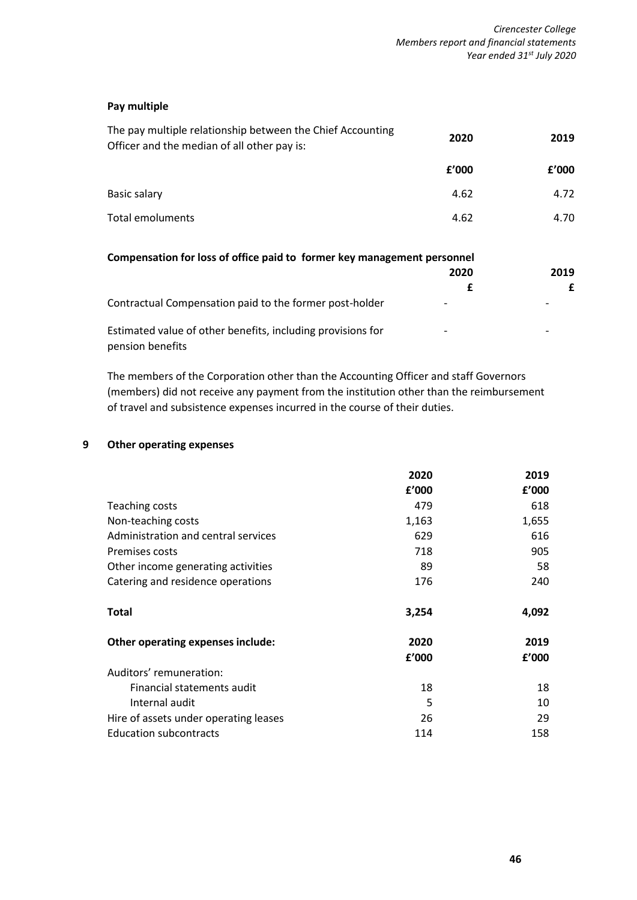# **Pay multiple**

| The pay multiple relationship between the Chief Accounting<br>Officer and the median of all other pay is: | 2020  | 2019  |
|-----------------------------------------------------------------------------------------------------------|-------|-------|
|                                                                                                           | f'000 | f'000 |
| Basic salary                                                                                              | 4.62  | 4.72  |
| Total emoluments                                                                                          | 4.62  | 4.70  |
|                                                                                                           |       |       |

| Compensation for loss of office paid to former key management personnel         |      |      |
|---------------------------------------------------------------------------------|------|------|
|                                                                                 | 2020 | 2019 |
|                                                                                 |      | £    |
| Contractual Compensation paid to the former post-holder                         |      |      |
| Estimated value of other benefits, including provisions for<br>pension benefits | -    | ۰    |

The members of the Corporation other than the Accounting Officer and staff Governors (members) did not receive any payment from the institution other than the reimbursement of travel and subsistence expenses incurred in the course of their duties.

# **9 Other operating expenses**

|                                       | 2020  | 2019  |
|---------------------------------------|-------|-------|
|                                       | f'000 | f'000 |
| Teaching costs                        | 479   | 618   |
| Non-teaching costs                    | 1,163 | 1,655 |
| Administration and central services   | 629   | 616   |
| <b>Premises costs</b>                 | 718   | 905   |
| Other income generating activities    | 89    | 58    |
| Catering and residence operations     | 176   | 240   |
| <b>Total</b>                          | 3,254 | 4,092 |
| Other operating expenses include:     | 2020  | 2019  |
|                                       | f'000 | f'000 |
| Auditors' remuneration:               |       |       |
| Financial statements audit            | 18    | 18    |
| Internal audit                        | 5     | 10    |
| Hire of assets under operating leases | 26    | 29    |
| <b>Education subcontracts</b>         | 114   | 158   |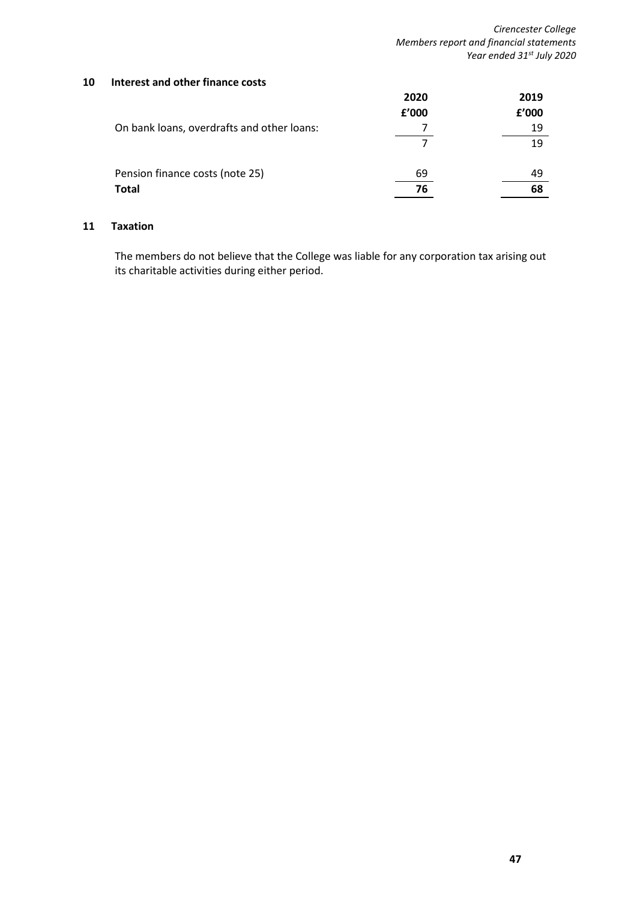## **10 Interest and other finance costs**

|                                            | 2020  | 2019  |
|--------------------------------------------|-------|-------|
|                                            | f'000 | £'000 |
| On bank loans, overdrafts and other loans: |       | 19    |
|                                            |       | 19    |
| Pension finance costs (note 25)            | 69    | 49    |
| <b>Total</b>                               | 76    | 68    |

# **11 Taxation**

The members do not believe that the College was liable for any corporation tax arising out its charitable activities during either period.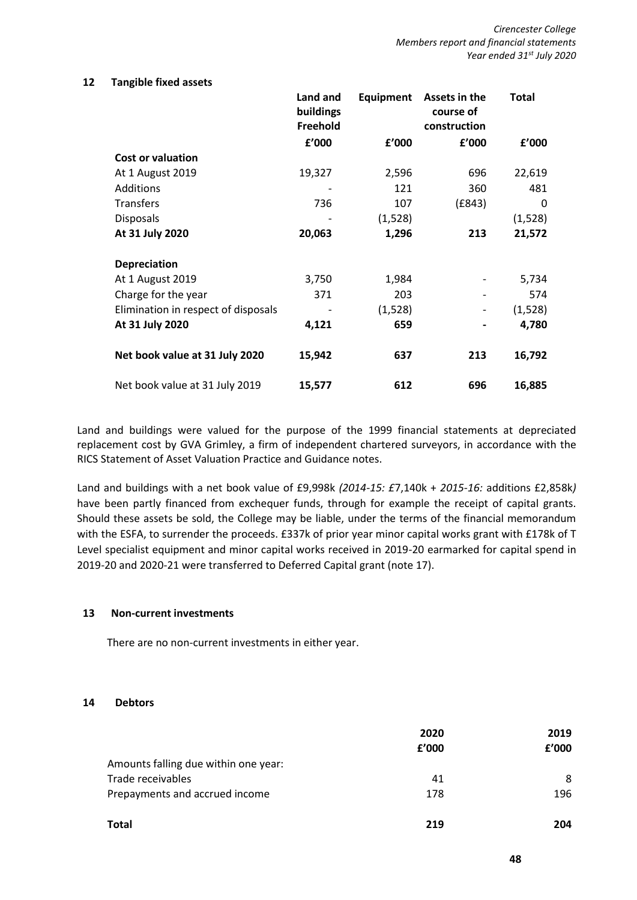#### **12 Tangible fixed assets**

|                                     | Land and<br>buildings<br>Freehold | Equipment | Assets in the<br>course of<br>construction | <b>Total</b> |
|-------------------------------------|-----------------------------------|-----------|--------------------------------------------|--------------|
|                                     | £'000                             | f'000     | f'000                                      | f'000        |
| <b>Cost or valuation</b>            |                                   |           |                                            |              |
| At 1 August 2019                    | 19,327                            | 2,596     | 696                                        | 22,619       |
| <b>Additions</b>                    |                                   | 121       | 360                                        | 481          |
| <b>Transfers</b>                    | 736                               | 107       | (E843)                                     | 0            |
| <b>Disposals</b>                    |                                   | (1,528)   |                                            | (1, 528)     |
| At 31 July 2020                     | 20,063                            | 1,296     | 213                                        | 21,572       |
|                                     |                                   |           |                                            |              |
| <b>Depreciation</b>                 |                                   |           |                                            |              |
| At 1 August 2019                    | 3,750                             | 1,984     |                                            | 5,734        |
| Charge for the year                 | 371                               | 203       |                                            | 574          |
| Elimination in respect of disposals |                                   | (1,528)   |                                            | (1,528)      |
| At 31 July 2020                     | 4,121                             | 659       |                                            | 4,780        |
| Net book value at 31 July 2020      | 15,942                            | 637       | 213                                        | 16,792       |
| Net book value at 31 July 2019      | 15,577                            | 612       | 696                                        | 16,885       |

Land and buildings were valued for the purpose of the 1999 financial statements at depreciated replacement cost by GVA Grimley, a firm of independent chartered surveyors, in accordance with the RICS Statement of Asset Valuation Practice and Guidance notes.

Land and buildings with a net book value of £9,998k *(2014-15: £*7,140k + *2015-16:* additions £2,858k*)*  have been partly financed from exchequer funds, through for example the receipt of capital grants. Should these assets be sold, the College may be liable, under the terms of the financial memorandum with the ESFA, to surrender the proceeds. £337k of prior year minor capital works grant with £178k of T Level specialist equipment and minor capital works received in 2019-20 earmarked for capital spend in 2019-20 and 2020-21 were transferred to Deferred Capital grant (note 17).

# **13 Non-current investments**

There are no non-current investments in either year.

# **14 Debtors**

|                                      | 2020  | 2019  |
|--------------------------------------|-------|-------|
|                                      | f'000 | f'000 |
| Amounts falling due within one year: |       |       |
| Trade receivables                    | 41    | 8     |
| Prepayments and accrued income       | 178   | 196   |
| <b>Total</b>                         | 219   | 204   |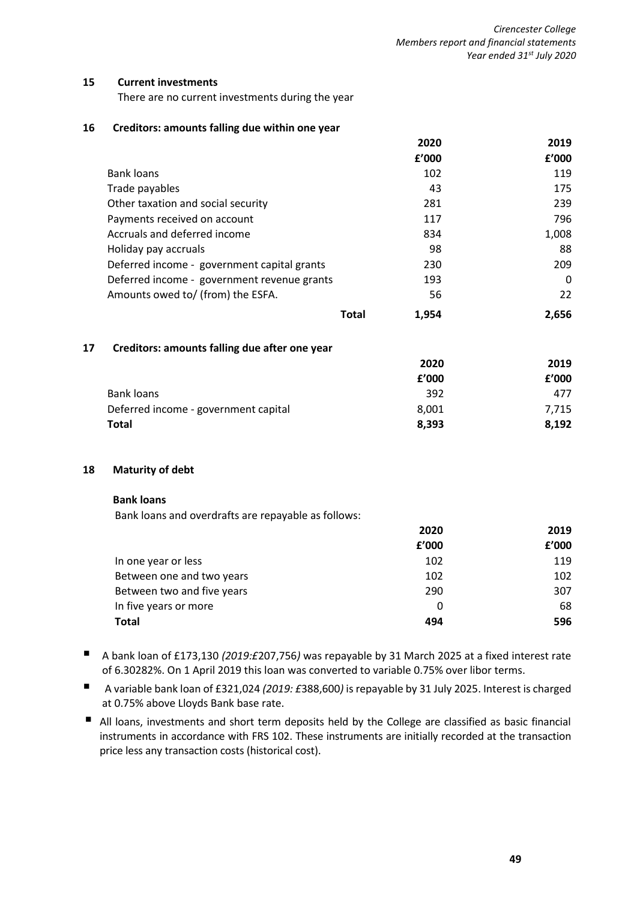#### **15 Current investments**

There are no current investments during the year

#### **16 Creditors: amounts falling due within one year**

|                                                     |              | 2020  | 2019     |
|-----------------------------------------------------|--------------|-------|----------|
|                                                     |              | £'000 | f'000    |
| Bank loans                                          |              | 102   | 119      |
| Trade payables                                      |              | 43    | 175      |
| Other taxation and social security                  |              | 281   | 239      |
| Payments received on account                        |              | 117   | 796      |
| Accruals and deferred income                        |              | 834   | 1,008    |
| Holiday pay accruals                                |              | 98    | 88       |
| Deferred income - government capital grants         |              | 230   | 209      |
| Deferred income - government revenue grants         |              | 193   | $\Omega$ |
| Amounts owed to/ (from) the ESFA.                   |              | 56    | 22       |
|                                                     | <b>Total</b> | 1,954 | 2,656    |
| 17<br>Creditors: amounts falling due after one year |              |       |          |
|                                                     |              | 2020  | 2019     |
|                                                     |              | f'000 | f'000    |

| I VVV | I VVV |
|-------|-------|
| 392   | 477   |
| 8.001 | 7,715 |
| 8.393 | 8.192 |
|       |       |

#### **18 Maturity of debt**

#### **Bank loans**

Bank loans and overdrafts are repayable as follows:

|                            | 2020  | 2019  |
|----------------------------|-------|-------|
|                            | f'000 | f'000 |
| In one year or less        | 102   | 119   |
| Between one and two years  | 102   | 102   |
| Between two and five years | 290   | 307   |
| In five years or more      | 0     | 68    |
| Total                      | 494   | 596   |

- A bank loan of £173,130 *(2019:£207,756)* was repayable by 31 March 2025 at a fixed interest rate of 6.30282%. On 1 April 2019 this loan was converted to variable 0.75% over libor terms.
- A variable bank loan of £321,024 (2019: £388,600) is repayable by 31 July 2025. Interest is charged at 0.75% above Lloyds Bank base rate.
- All loans, investments and short term deposits held by the College are classified as basic financial instruments in accordance with FRS 102. These instruments are initially recorded at the transaction price less any transaction costs (historical cost).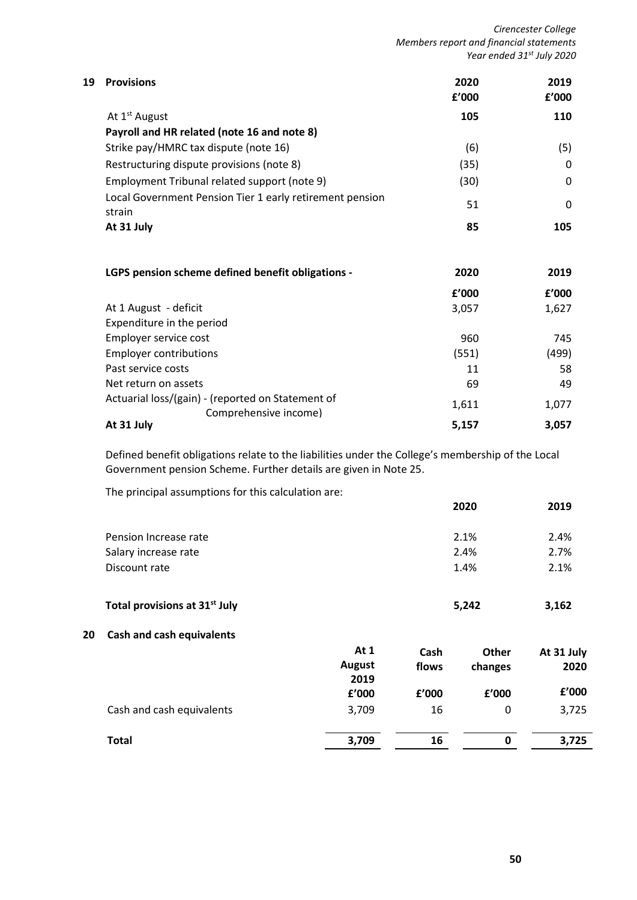*Cirencester College Members report and financial statements Year ended 31st July 2020*

| 19 | <b>Provisions</b>                                                          | 2020<br>f'000 | 2019<br>£'000 |
|----|----------------------------------------------------------------------------|---------------|---------------|
|    | At 1 <sup>st</sup> August                                                  | 105           | 110           |
|    | Payroll and HR related (note 16 and note 8)                                |               |               |
|    | Strike pay/HMRC tax dispute (note 16)                                      | (6)           | (5)           |
|    | Restructuring dispute provisions (note 8)                                  | (35)          | 0             |
|    | Employment Tribunal related support (note 9)                               | (30)          | $\Omega$      |
|    | Local Government Pension Tier 1 early retirement pension<br>strain         | 51            | 0             |
|    | At 31 July                                                                 | 85            | 105           |
|    | LGPS pension scheme defined benefit obligations -                          | 2020          | 2019          |
|    |                                                                            | f'000         | £'000         |
|    | At 1 August - deficit                                                      | 3,057         | 1,627         |
|    | Expenditure in the period                                                  |               |               |
|    | Employer service cost                                                      | 960           | 745           |
|    | <b>Employer contributions</b>                                              | (551)         | (499)         |
|    | Past service costs                                                         | 11            | 58            |
|    | Net return on assets                                                       | 69            | 49            |
|    | Actuarial loss/(gain) - (reported on Statement of<br>Comprehensive income) | 1,611         | 1,077         |
|    | At 31 July                                                                 | 5,157         | 3,057         |

Defined benefit obligations relate to the liabilities under the College's membership of the Local Government pension Scheme. Further details are given in Note 25.

The principal assumptions for this calculation are:

|                       |       |         | 2019                                  |
|-----------------------|-------|---------|---------------------------------------|
|                       |       |         | 2.4%                                  |
|                       |       |         | 2.7%                                  |
|                       |       |         | 2.1%                                  |
|                       |       |         | 3,162                                 |
|                       |       |         |                                       |
| At $1$                | Cash  | Other   | At 31 July                            |
| <b>August</b><br>2019 | flows | changes | 2020                                  |
| £'000                 | f'000 | £'000   | f'000                                 |
| 3,709                 | 16    | 0       | 3,725                                 |
| 3,709                 | 16    | 0       | 3,725                                 |
|                       |       |         | 2020<br>2.1%<br>2.4%<br>1.4%<br>5,242 |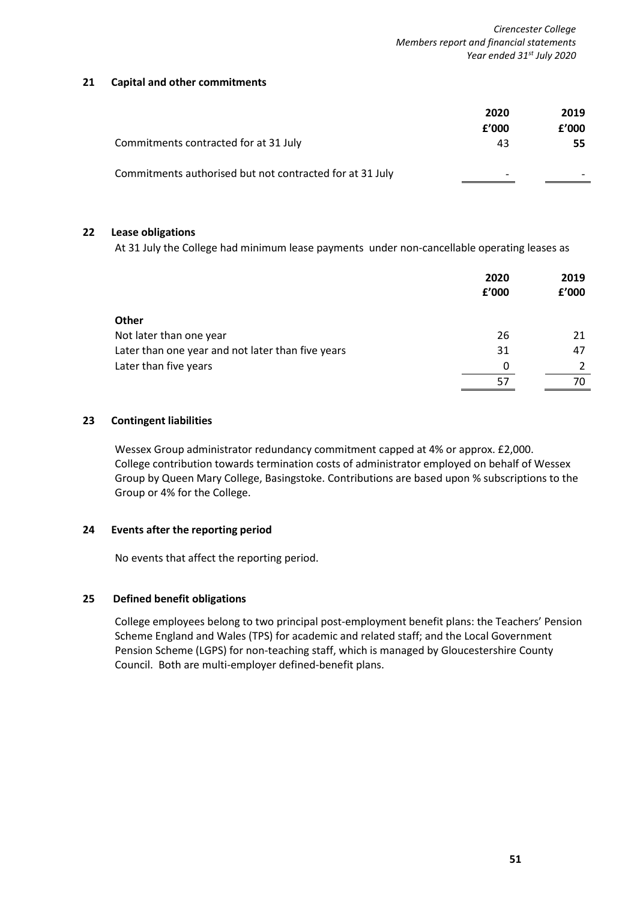# **21 Capital and other commitments**

|                                                          | 2020  | 2019  |
|----------------------------------------------------------|-------|-------|
|                                                          | f'000 | £'000 |
| Commitments contracted for at 31 July                    | 43    | 55    |
| Commitments authorised but not contracted for at 31 July |       |       |

# **22 Lease obligations**

At 31 July the College had minimum lease payments under non-cancellable operating leases as

|                                                   | 2020<br>f'000 | 2019<br>£'000 |
|---------------------------------------------------|---------------|---------------|
| <b>Other</b>                                      |               |               |
| Not later than one year                           | 26            | 21            |
| Later than one year and not later than five years | 31            | 47            |
| Later than five years                             | 0             |               |
|                                                   | 57            | 70            |

# **23 Contingent liabilities**

Wessex Group administrator redundancy commitment capped at 4% or approx. £2,000. College contribution towards termination costs of administrator employed on behalf of Wessex Group by Queen Mary College, Basingstoke. Contributions are based upon % subscriptions to the Group or 4% for the College.

# **24 Events after the reporting period**

No events that affect the reporting period.

# **25 Defined benefit obligations**

College employees belong to two principal post-employment benefit plans: the Teachers' Pension Scheme England and Wales (TPS) for academic and related staff; and the Local Government Pension Scheme (LGPS) for non-teaching staff, which is managed by Gloucestershire County Council. Both are multi-employer defined-benefit plans.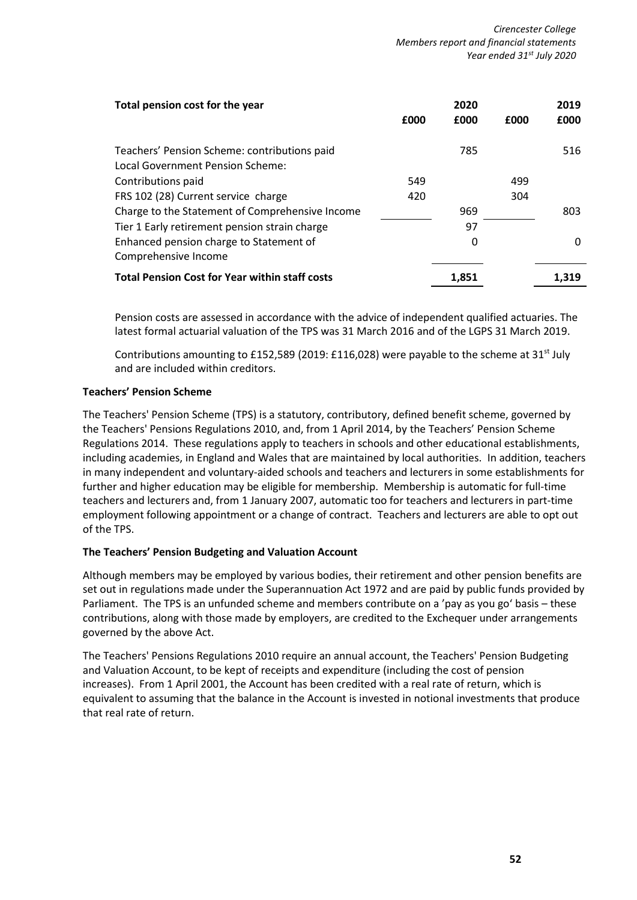| Total pension cost for the year                       |      | 2020  |      | 2019  |
|-------------------------------------------------------|------|-------|------|-------|
|                                                       | £000 | £000  | £000 | £000  |
| Teachers' Pension Scheme: contributions paid          |      | 785   |      | 516   |
| Local Government Pension Scheme:                      |      |       |      |       |
| Contributions paid                                    | 549  |       | 499  |       |
| FRS 102 (28) Current service charge                   | 420  |       | 304  |       |
| Charge to the Statement of Comprehensive Income       |      | 969   |      | 803   |
| Tier 1 Early retirement pension strain charge         |      | 97    |      |       |
| Enhanced pension charge to Statement of               |      | 0     |      | 0     |
| Comprehensive Income                                  |      |       |      |       |
| <b>Total Pension Cost for Year within staff costs</b> |      | 1,851 |      | 1.319 |

Pension costs are assessed in accordance with the advice of independent qualified actuaries. The latest formal actuarial valuation of the TPS was 31 March 2016 and of the LGPS 31 March 2019.

Contributions amounting to £152,589 (2019: £116,028) were payable to the scheme at 31<sup>st</sup> July and are included within creditors.

# **Teachers' Pension Scheme**

The Teachers' Pension Scheme (TPS) is a statutory, contributory, defined benefit scheme, governed by the Teachers' Pensions Regulations 2010, and, from 1 April 2014, by the Teachers' Pension Scheme Regulations 2014. These regulations apply to teachers in schools and other educational establishments, including academies, in England and Wales that are maintained by local authorities. In addition, teachers in many independent and voluntary-aided schools and teachers and lecturers in some establishments for further and higher education may be eligible for membership. Membership is automatic for full-time teachers and lecturers and, from 1 January 2007, automatic too for teachers and lecturers in part-time employment following appointment or a change of contract. Teachers and lecturers are able to opt out of the TPS.

# **The Teachers' Pension Budgeting and Valuation Account**

Although members may be employed by various bodies, their retirement and other pension benefits are set out in regulations made under the Superannuation Act 1972 and are paid by public funds provided by Parliament. The TPS is an unfunded scheme and members contribute on a 'pay as you go' basis – these contributions, along with those made by employers, are credited to the Exchequer under arrangements governed by the above Act.

The Teachers' Pensions Regulations 2010 require an annual account, the Teachers' Pension Budgeting and Valuation Account, to be kept of receipts and expenditure (including the cost of pension increases). From 1 April 2001, the Account has been credited with a real rate of return, which is equivalent to assuming that the balance in the Account is invested in notional investments that produce that real rate of return.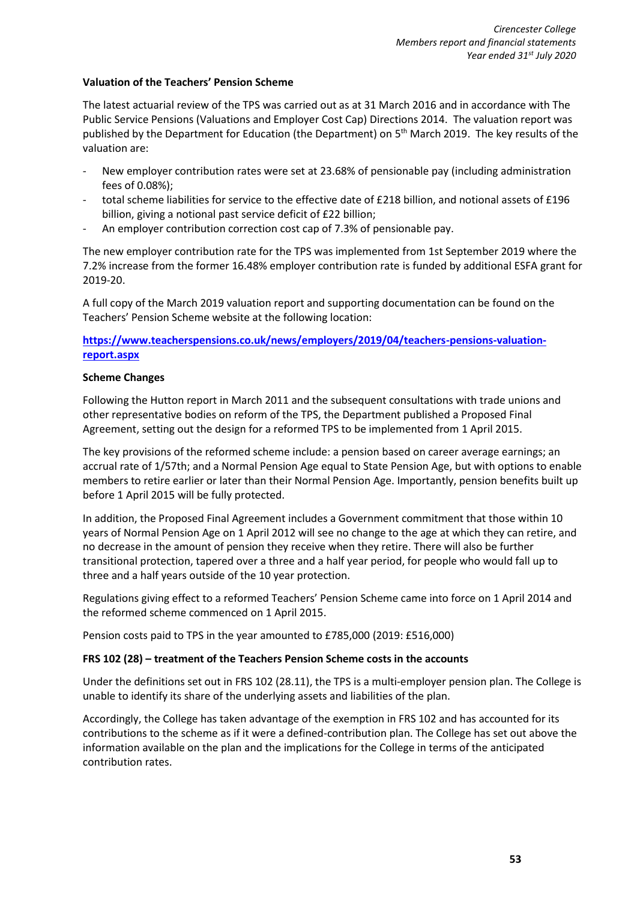# **Valuation of the Teachers' Pension Scheme**

The latest actuarial review of the TPS was carried out as at 31 March 2016 and in accordance with The Public Service Pensions (Valuations and Employer Cost Cap) Directions 2014. The valuation report was published by the Department for Education (the Department) on 5<sup>th</sup> March 2019. The key results of the valuation are:

- New employer contribution rates were set at 23.68% of pensionable pay (including administration fees of 0.08%);
- total scheme liabilities for service to the effective date of £218 billion, and notional assets of £196 billion, giving a notional past service deficit of £22 billion;
- An employer contribution correction cost cap of 7.3% of pensionable pay.

The new employer contribution rate for the TPS was implemented from 1st September 2019 where the 7.2% increase from the former 16.48% employer contribution rate is funded by additional ESFA grant for 2019-20.

A full copy of the March 2019 valuation report and supporting documentation can be found on the Teachers' Pension Scheme website at the following location:

# **[https://www.teacherspensions.co.uk/news/employers/2019/04/teachers-pensions-valuation](https://www.teacherspensions.co.uk/news/employers/2019/04/teachers-pensions-valuation-report.aspx)[report.aspx](https://www.teacherspensions.co.uk/news/employers/2019/04/teachers-pensions-valuation-report.aspx)**

# **Scheme Changes**

Following the Hutton report in March 2011 and the subsequent consultations with trade unions and other representative bodies on reform of the TPS, the Department published a Proposed Final Agreement, setting out the design for a reformed TPS to be implemented from 1 April 2015.

The key provisions of the reformed scheme include: a pension based on career average earnings; an accrual rate of 1/57th; and a Normal Pension Age equal to State Pension Age, but with options to enable members to retire earlier or later than their Normal Pension Age. Importantly, pension benefits built up before 1 April 2015 will be fully protected.

In addition, the Proposed Final Agreement includes a Government commitment that those within 10 years of Normal Pension Age on 1 April 2012 will see no change to the age at which they can retire, and no decrease in the amount of pension they receive when they retire. There will also be further transitional protection, tapered over a three and a half year period, for people who would fall up to three and a half years outside of the 10 year protection.

Regulations giving effect to a reformed Teachers' Pension Scheme came into force on 1 April 2014 and the reformed scheme commenced on 1 April 2015.

Pension costs paid to TPS in the year amounted to £785,000 (2019: £516,000)

# **FRS 102 (28) – treatment of the Teachers Pension Scheme costs in the accounts**

Under the definitions set out in FRS 102 (28.11), the TPS is a multi-employer pension plan. The College is unable to identify its share of the underlying assets and liabilities of the plan.

Accordingly, the College has taken advantage of the exemption in FRS 102 and has accounted for its contributions to the scheme as if it were a defined-contribution plan. The College has set out above the information available on the plan and the implications for the College in terms of the anticipated contribution rates.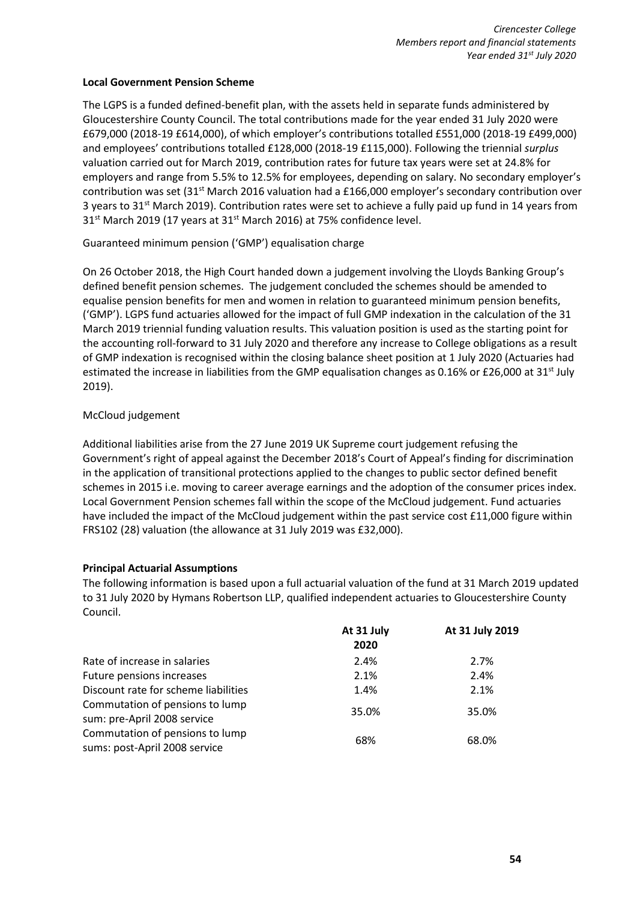# **Local Government Pension Scheme**

The LGPS is a funded defined-benefit plan, with the assets held in separate funds administered by Gloucestershire County Council. The total contributions made for the year ended 31 July 2020 were £679,000 (2018-19 £614,000), of which employer's contributions totalled £551,000 (2018-19 £499,000) and employees' contributions totalled £128,000 (2018-19 £115,000). Following the triennial *surplus* valuation carried out for March 2019, contribution rates for future tax years were set at 24.8% for employers and range from 5.5% to 12.5% for employees, depending on salary. No secondary employer's contribution was set  $(31^{st}$  March 2016 valuation had a £166,000 employer's secondary contribution over 3 years to  $31<sup>st</sup>$  March 2019). Contribution rates were set to achieve a fully paid up fund in 14 years from 31<sup>st</sup> March 2019 (17 years at 31<sup>st</sup> March 2016) at 75% confidence level.

Guaranteed minimum pension ('GMP') equalisation charge

On 26 October 2018, the High Court handed down a judgement involving the Lloyds Banking Group's defined benefit pension schemes. The judgement concluded the schemes should be amended to equalise pension benefits for men and women in relation to guaranteed minimum pension benefits, ('GMP'). LGPS fund actuaries allowed for the impact of full GMP indexation in the calculation of the 31 March 2019 triennial funding valuation results. This valuation position is used as the starting point for the accounting roll-forward to 31 July 2020 and therefore any increase to College obligations as a result of GMP indexation is recognised within the closing balance sheet position at 1 July 2020 (Actuaries had estimated the increase in liabilities from the GMP equalisation changes as 0.16% or £26,000 at 31<sup>st</sup> July 2019).

# McCloud judgement

Additional liabilities arise from the 27 June 2019 UK Supreme court judgement refusing the Government's right of appeal against the December 2018's Court of Appeal's finding for discrimination in the application of transitional protections applied to the changes to public sector defined benefit schemes in 2015 i.e. moving to career average earnings and the adoption of the consumer prices index. Local Government Pension schemes fall within the scope of the McCloud judgement. Fund actuaries have included the impact of the McCloud judgement within the past service cost £11,000 figure within FRS102 (28) valuation (the allowance at 31 July 2019 was £32,000).

# **Principal Actuarial Assumptions**

The following information is based upon a full actuarial valuation of the fund at 31 March 2019 updated to 31 July 2020 by Hymans Robertson LLP, qualified independent actuaries to Gloucestershire County Council.

|                                                                  | At 31 July<br>2020 | At 31 July 2019 |
|------------------------------------------------------------------|--------------------|-----------------|
| Rate of increase in salaries                                     | 2.4%               | 2.7%            |
| Future pensions increases                                        | 2.1%               | 2.4%            |
| Discount rate for scheme liabilities                             | 1.4%               | 2.1%            |
| Commutation of pensions to lump<br>sum: pre-April 2008 service   | 35.0%              | 35.0%           |
| Commutation of pensions to lump<br>sums: post-April 2008 service | 68%                | 68.0%           |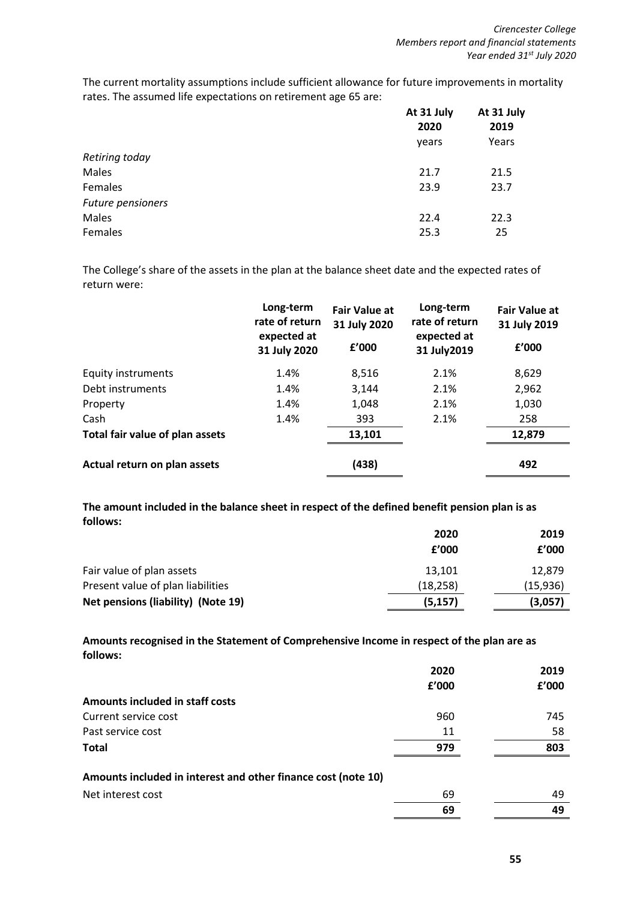The current mortality assumptions include sufficient allowance for future improvements in mortality rates. The assumed life expectations on retirement age 65 are:

|                   | At 31 July | At 31 July |
|-------------------|------------|------------|
|                   | 2020       | 2019       |
|                   | years      | Years      |
| Retiring today    |            |            |
| Males             | 21.7       | 21.5       |
| Females           | 23.9       | 23.7       |
| Future pensioners |            |            |
| Males             | 22.4       | 22.3       |
| Females           | 25.3       | 25         |

The College's share of the assets in the plan at the balance sheet date and the expected rates of return were:

|                                 | Long-term<br>rate of return<br>expected at<br>31 July 2020 | <b>Fair Value at</b><br>31 July 2020<br>£'000 | Long-term<br>rate of return<br>expected at<br>31 July 2019 | <b>Fair Value at</b><br>31 July 2019<br>£'000 |
|---------------------------------|------------------------------------------------------------|-----------------------------------------------|------------------------------------------------------------|-----------------------------------------------|
| <b>Equity instruments</b>       | 1.4%                                                       | 8,516                                         | 2.1%                                                       | 8,629                                         |
| Debt instruments                | 1.4%                                                       | 3,144                                         | 2.1%                                                       | 2,962                                         |
| Property                        | 1.4%                                                       | 1,048                                         | 2.1%                                                       | 1,030                                         |
| Cash                            | 1.4%                                                       | 393                                           | 2.1%                                                       | 258                                           |
| Total fair value of plan assets |                                                            | 13,101                                        |                                                            | 12,879                                        |
| Actual return on plan assets    |                                                            | (438)                                         |                                                            | 492                                           |

**The amount included in the balance sheet in respect of the defined benefit pension plan is as follows:**

|                                    | 2020      | 2019      |
|------------------------------------|-----------|-----------|
|                                    | f'000     | f'000     |
| Fair value of plan assets          | 13.101    | 12.879    |
| Present value of plan liabilities  | (18, 258) | (15, 936) |
| Net pensions (liability) (Note 19) | (5, 157)  | (3,057)   |

**Amounts recognised in the Statement of Comprehensive Income in respect of the plan are as follows:**

|                                                               | 2020  | 2019  |
|---------------------------------------------------------------|-------|-------|
|                                                               | f'000 | £'000 |
| Amounts included in staff costs                               |       |       |
| Current service cost                                          | 960   | 745   |
| Past service cost                                             | 11    | 58    |
| <b>Total</b>                                                  | 979   | 803   |
|                                                               |       |       |
| Amounts included in interest and other finance cost (note 10) |       |       |
| Net interest cost                                             | 69    | 49    |
|                                                               | 69    | 49    |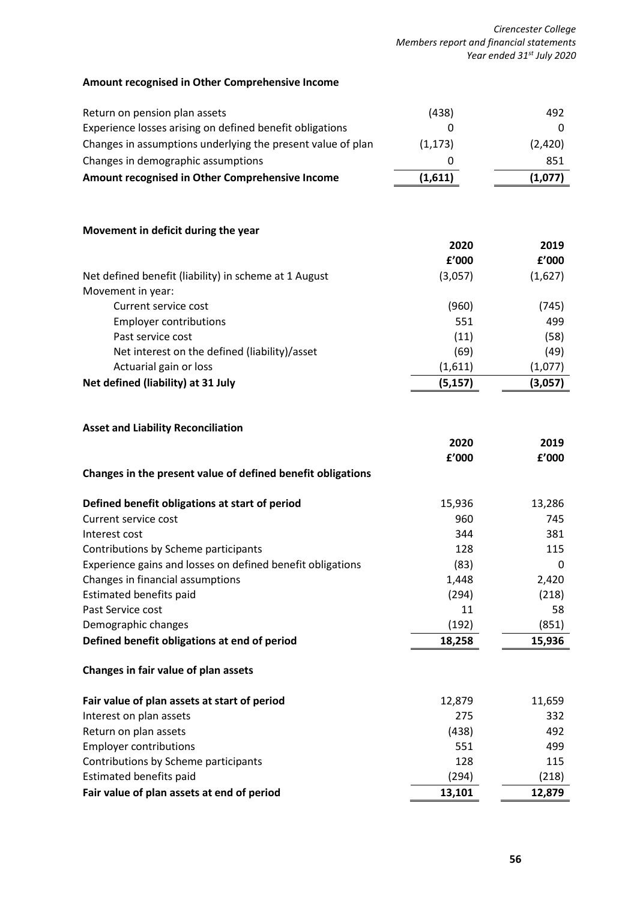*Cirencester College Members report and financial statements Year ended 31st July 2020*

# **Amount recognised in Other Comprehensive Income**

| Return on pension plan assets                               | (438)    | 492     |
|-------------------------------------------------------------|----------|---------|
| Experience losses arising on defined benefit obligations    | 0        | 0       |
| Changes in assumptions underlying the present value of plan | (1, 173) | (2,420) |
| Changes in demographic assumptions                          | 0        | 851     |
| Amount recognised in Other Comprehensive Income             | (1,611)  | (1,077) |
|                                                             |          |         |
| Movement in deficit during the year                         |          |         |
|                                                             | 2020     | 2019    |
|                                                             | f'000    | f'000   |
| Net defined benefit (liability) in scheme at 1 August       | (3,057)  | (1,627) |
| Movement in year:                                           |          |         |
| Current service cost                                        | (960)    | (745)   |
| <b>Employer contributions</b>                               | 551      | 499     |
| Past service cost                                           | (11)     | (58)    |
| Net interest on the defined (liability)/asset               | (69)     | (49)    |
| Actuarial gain or loss                                      | (1,611)  | (1,077) |
| Net defined (liability) at 31 July                          | (5, 157) | (3,057) |
|                                                             |          |         |
|                                                             |          |         |
| <b>Asset and Liability Reconciliation</b>                   | 2020     | 2019    |
|                                                             | £'000    | f'000   |
| Changes in the present value of defined benefit obligations |          |         |
|                                                             |          |         |
| Defined benefit obligations at start of period              | 15,936   | 13,286  |
| Current service cost                                        | 960      | 745     |
| Interest cost                                               | 344      | 381     |
| Contributions by Scheme participants                        | 128      | 115     |
| Experience gains and losses on defined benefit obligations  | (83)     | 0       |
| Changes in financial assumptions                            | 1,448    | 2,420   |
| Estimated benefits paid                                     | (294)    | (218)   |
| Past Service cost                                           | 11       | 58      |
| Demographic changes                                         | (192)    | (851)   |
| Defined benefit obligations at end of period                | 18,258   | 15,936  |
| Changes in fair value of plan assets                        |          |         |
| Fair value of plan assets at start of period                | 12,879   | 11,659  |
| Interest on plan assets                                     | 275      | 332     |
| Return on plan assets                                       | (438)    | 492     |
| <b>Employer contributions</b>                               | 551      | 499     |
| Contributions by Scheme participants                        | 128      | 115     |
| <b>Estimated benefits paid</b>                              | (294)    | (218)   |
| Fair value of plan assets at end of period                  | 13,101   | 12,879  |